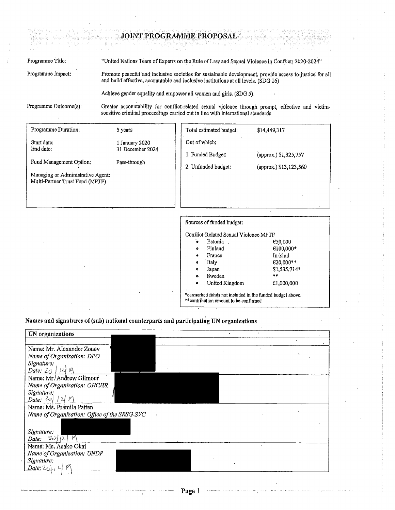### JOINT PROGRAMME PROPOSAL

Programme Title: "United Nations Team of Experts on the Rule of Law and Sexual Violence in Conflict; 2020-2024" Programme Impact: Promote peaceful and inclusive societies for sustainable development, provide access to justice for all and build effective, accountable and inclusive institutions at all levels. (SDG 16)

Achieve gender equality and empower all women and girls. (SDG 5).

Programme Outcome(s):

Greater accountability for conflict-related sexual violence through prompt, effective and victimsensitive criminal proceedings carried out in line with international standards

| Programme Duration:                                                                                                                | 5 years                                            | Total estimated budget:                                                                                                                                                                                                                                                       | \$14,449,317                                                                          |
|------------------------------------------------------------------------------------------------------------------------------------|----------------------------------------------------|-------------------------------------------------------------------------------------------------------------------------------------------------------------------------------------------------------------------------------------------------------------------------------|---------------------------------------------------------------------------------------|
| Start date:<br>End date:<br><b>Fund Management Option:</b><br>Managing or Administrative Agent:<br>Multi-Partner Trust Fund (MPTF) | 1 January 2020<br>31 December 2024<br>Pass-through | Out of which:<br>1. Funded Budget:<br>2. Unfunded budget:                                                                                                                                                                                                                     | (approx.) \$1,325,757<br>(approx.) \$13,123,560                                       |
|                                                                                                                                    |                                                    | Sources of funded budget:<br>Conflict-Related Sexual Violence MPTF<br>Estonia.<br>õ<br>Finland<br>۰<br>France<br>Italy<br>6<br>Japan<br>Sweden<br>о.<br>United Kingdom<br>*earmarked funds not included in the funded budget above.<br>** contribution amount to be confirmed | C50,000<br>$€100,000*$<br>In-kind<br>$€20,000**$<br>$$1,535,714*$<br>宗家<br>£1,000,000 |

Names and signatures of (sub) national counterparts and participating UN organizations

| UN organizations                             |  |            |
|----------------------------------------------|--|------------|
|                                              |  | $\epsilon$ |
| Name: Mr. Alexander Zouev                    |  |            |
| Name of Organization; DPO                    |  |            |
| Signature:                                   |  |            |
| Date: $20$ 124 $\%$                          |  |            |
| Name: Mr. Andrew Gilmour                     |  |            |
| Name of Organization: OHCHR                  |  |            |
| Signature:                                   |  |            |
| Date: $20/12/11$                             |  |            |
| Name: Ms. Pramila Patten                     |  |            |
| Name of Organization: Office of the SRSG-SVC |  |            |
|                                              |  |            |
| Signature:                                   |  |            |
| 20/2<br>Date:                                |  |            |
| Name: Ms. Asako Okai                         |  |            |
| Name of Organization: UNDP                   |  |            |
| Signature:                                   |  |            |
| Date: $20$                                   |  |            |
|                                              |  |            |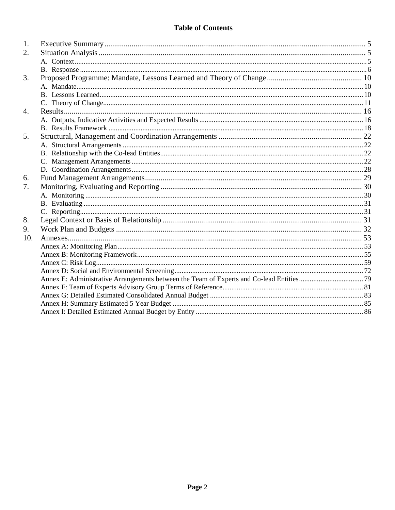# **Table of Contents**

| 1.  |  |
|-----|--|
| 2.  |  |
|     |  |
|     |  |
| 3.  |  |
|     |  |
|     |  |
|     |  |
| 4.  |  |
|     |  |
|     |  |
| 5.  |  |
|     |  |
|     |  |
|     |  |
|     |  |
| 6.  |  |
| 7.  |  |
|     |  |
|     |  |
|     |  |
| 8.  |  |
| 9.  |  |
| 10. |  |
|     |  |
|     |  |
|     |  |
|     |  |
|     |  |
|     |  |
|     |  |
|     |  |
|     |  |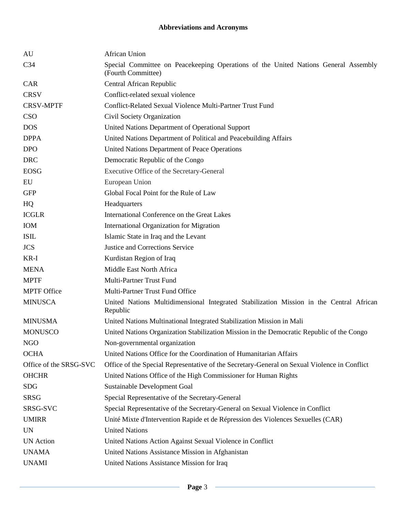# **Abbreviations and Acronyms**

| <b>African Union</b>                                                                                      |
|-----------------------------------------------------------------------------------------------------------|
| Special Committee on Peacekeeping Operations of the United Nations General Assembly<br>(Fourth Committee) |
| Central African Republic                                                                                  |
| Conflict-related sexual violence                                                                          |
| Conflict-Related Sexual Violence Multi-Partner Trust Fund                                                 |
| Civil Society Organization                                                                                |
| United Nations Department of Operational Support                                                          |
| United Nations Department of Political and Peacebuilding Affairs                                          |
| United Nations Department of Peace Operations                                                             |
| Democratic Republic of the Congo                                                                          |
| Executive Office of the Secretary-General                                                                 |
| European Union                                                                                            |
| Global Focal Point for the Rule of Law                                                                    |
| Headquarters                                                                                              |
| International Conference on the Great Lakes                                                               |
| International Organization for Migration                                                                  |
| Islamic State in Iraq and the Levant                                                                      |
| <b>Justice and Corrections Service</b>                                                                    |
| Kurdistan Region of Iraq                                                                                  |
| Middle East North Africa                                                                                  |
| Multi-Partner Trust Fund                                                                                  |
| Multi-Partner Trust Fund Office                                                                           |
| United Nations Multidimensional Integrated Stabilization Mission in the Central African<br>Republic       |
| United Nations Multinational Integrated Stabilization Mission in Mali                                     |
| United Nations Organization Stabilization Mission in the Democratic Republic of the Congo                 |
| Non-governmental organization                                                                             |
| United Nations Office for the Coordination of Humanitarian Affairs                                        |
| Office of the Special Representative of the Secretary-General on Sexual Violence in Conflict              |
| United Nations Office of the High Commissioner for Human Rights                                           |
| Sustainable Development Goal                                                                              |
| Special Representative of the Secretary-General                                                           |
| Special Representative of the Secretary-General on Sexual Violence in Conflict                            |
| Unité Mixte d'Intervention Rapide et de Répression des Violences Sexuelles (CAR)                          |
| <b>United Nations</b>                                                                                     |
| United Nations Action Against Sexual Violence in Conflict                                                 |
| United Nations Assistance Mission in Afghanistan                                                          |
| United Nations Assistance Mission for Iraq                                                                |
|                                                                                                           |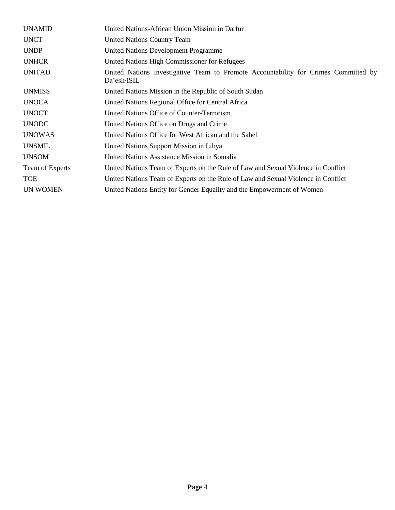| <b>UNAMID</b>   | United Nations-African Union Mission in Darfur                                                     |
|-----------------|----------------------------------------------------------------------------------------------------|
| <b>UNCT</b>     | <b>United Nations Country Team</b>                                                                 |
| <b>UNDP</b>     | <b>United Nations Development Programme</b>                                                        |
| <b>UNHCR</b>    | United Nations High Commissioner for Refugees                                                      |
| <b>UNITAD</b>   | United Nations Investigative Team to Promote Accountability for Crimes Committed by<br>Da'esh/ISIL |
| <b>UNMISS</b>   | United Nations Mission in the Republic of South Sudan                                              |
| <b>UNOCA</b>    | United Nations Regional Office for Central Africa                                                  |
| <b>UNOCT</b>    | United Nations Office of Counter-Terrorism                                                         |
| <b>UNODC</b>    | United Nations Office on Drugs and Crime                                                           |
| <b>UNOWAS</b>   | United Nations Office for West African and the Sahel                                               |
| <b>UNSMIL</b>   | United Nations Support Mission in Libya                                                            |
| <b>UNSOM</b>    | United Nations Assistance Mission in Somalia                                                       |
| Team of Experts | United Nations Team of Experts on the Rule of Law and Sexual Violence in Conflict                  |
| <b>TOE</b>      | United Nations Team of Experts on the Rule of Law and Sexual Violence in Conflict                  |
| <b>UN WOMEN</b> | United Nations Entity for Gender Equality and the Empowerment of Women                             |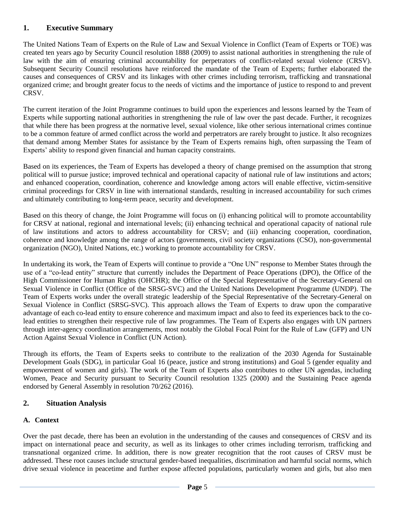# <span id="page-4-0"></span>**1. Executive Summary**

The United Nations Team of Experts on the Rule of Law and Sexual Violence in Conflict (Team of Experts or TOE) was created ten years ago by Security Council resolution 1888 (2009) to assist national authorities in strengthening the rule of law with the aim of ensuring criminal accountability for perpetrators of conflict-related sexual violence (CRSV). Subsequent Security Council resolutions have reinforced the mandate of the Team of Experts; further elaborated the causes and consequences of CRSV and its linkages with other crimes including terrorism, trafficking and transnational organized crime; and brought greater focus to the needs of victims and the importance of justice to respond to and prevent CRSV.

The current iteration of the Joint Programme continues to build upon the experiences and lessons learned by the Team of Experts while supporting national authorities in strengthening the rule of law over the past decade. Further, it recognizes that while there has been progress at the normative level, sexual violence, like other serious international crimes continue to be a common feature of armed conflict across the world and perpetrators are rarely brought to justice. It also recognizes that demand among Member States for assistance by the Team of Experts remains high, often surpassing the Team of Experts' ability to respond given financial and human capacity constraints.

Based on its experiences, the Team of Experts has developed a theory of change premised on the assumption that strong political will to pursue justice; improved technical and operational capacity of national rule of law institutions and actors; and enhanced cooperation, coordination, coherence and knowledge among actors will enable effective, victim-sensitive criminal proceedings for CRSV in line with international standards, resulting in increased accountability for such crimes and ultimately contributing to long-term peace, security and development.

Based on this theory of change, the Joint Programme will focus on (i) enhancing political will to promote accountability for CRSV at national, regional and international levels; (ii) enhancing technical and operational capacity of national rule of law institutions and actors to address accountability for CRSV; and (iii) enhancing cooperation, coordination, coherence and knowledge among the range of actors (governments, civil society organizations (CSO), non-governmental organization (NGO), United Nations, etc.) working to promote accountability for CRSV.

In undertaking its work, the Team of Experts will continue to provide a "One UN" response to Member States through the use of a "co-lead entity" structure that currently includes the Department of Peace Operations (DPO), the Office of the High Commissioner for Human Rights (OHCHR); the Office of the Special Representative of the Secretary-General on Sexual Violence in Conflict (Office of the SRSG-SVC) and the United Nations Development Programme (UNDP). The Team of Experts works under the overall strategic leadership of the Special Representative of the Secretary-General on Sexual Violence in Conflict (SRSG-SVC). This approach allows the Team of Experts to draw upon the comparative advantage of each co-lead entity to ensure coherence and maximum impact and also to feed its experiences back to the colead entities to strengthen their respective rule of law programmes. The Team of Experts also engages with UN partners through inter-agency coordination arrangements, most notably the Global Focal Point for the Rule of Law (GFP) and UN Action Against Sexual Violence in Conflict (UN Action).

Through its efforts, the Team of Experts seeks to contribute to the realization of the 2030 Agenda for Sustainable Development Goals (SDG), in particular Goal 16 (peace, justice and strong institutions) and Goal 5 (gender equality and empowerment of women and girls). The work of the Team of Experts also contributes to other UN agendas, including Women, Peace and Security pursuant to Security Council resolution 1325 (2000) and the Sustaining Peace agenda endorsed by General Assembly in resolution 70/262 (2016).

# <span id="page-4-1"></span>**2. Situation Analysis**

# <span id="page-4-2"></span>**A. Context**

Over the past decade, there has been an evolution in the understanding of the causes and consequences of CRSV and its impact on international peace and security, as well as its linkages to other crimes including terrorism, trafficking and transnational organized crime. In addition, there is now greater recognition that the root causes of CRSV must be addressed. These root causes include structural gender-based inequalities, discrimination and harmful social norms, which drive sexual violence in peacetime and further expose affected populations, particularly women and girls, but also men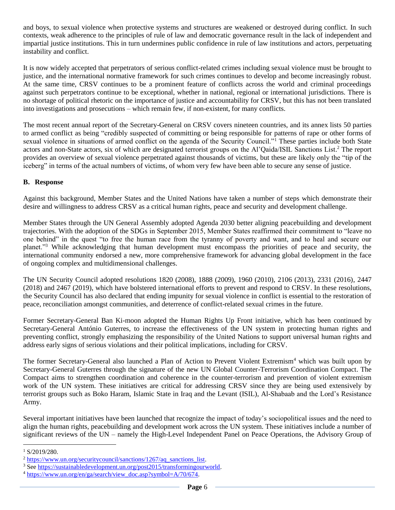and boys, to sexual violence when protective systems and structures are weakened or destroyed during conflict. In such contexts, weak adherence to the principles of rule of law and democratic governance result in the lack of independent and impartial justice institutions. This in turn undermines public confidence in rule of law institutions and actors, perpetuating instability and conflict.

It is now widely accepted that perpetrators of serious conflict-related crimes including sexual violence must be brought to justice, and the international normative framework for such crimes continues to develop and become increasingly robust. At the same time, CRSV continues to be a prominent feature of conflicts across the world and criminal proceedings against such perpetrators continue to be exceptional, whether in national, regional or international jurisdictions. There is no shortage of political rhetoric on the importance of justice and accountability for CRSV, but this has not been translated into investigations and prosecutions – which remain few, if non-existent, for many conflicts.

The most recent annual report of the Secretary-General on CRSV covers nineteen countries, and its annex lists 50 parties to armed conflict as being "credibly suspected of committing or being responsible for patterns of rape or other forms of sexual violence in situations of armed conflict on the agenda of the Security Council."<sup>1</sup> These parties include both State actors and non-State actors, six of which are designated terrorist groups on the Al'Qaida/ISIL Sanctions List. <sup>2</sup> The report provides an overview of sexual violence perpetrated against thousands of victims, but these are likely only the "tip of the iceberg" in terms of the actual numbers of victims, of whom very few have been able to secure any sense of justice.

## <span id="page-5-0"></span>**B. Response**

Against this background, Member States and the United Nations have taken a number of steps which demonstrate their desire and willingness to address CRSV as a critical human rights, peace and security and development challenge.

Member States through the UN General Assembly adopted Agenda 2030 better aligning peacebuilding and development trajectories. With the adoption of the SDGs in September 2015, Member States reaffirmed their commitment to "leave no one behind" in the quest "to free the human race from the tyranny of poverty and want, and to heal and secure our planet."<sup>3</sup> While acknowledging that human development must encompass the priorities of peace and security, the international community endorsed a new, more comprehensive framework for advancing global development in the face of ongoing complex and multidimensional challenges.

The UN Security Council adopted resolutions 1820 (2008), 1888 (2009), 1960 (2010), 2106 (2013), 2331 (2016), 2447 (2018) and 2467 (2019), which have bolstered international efforts to prevent and respond to CRSV. In these resolutions, the Security Council has also declared that ending impunity for sexual violence in conflict is essential to the restoration of peace, reconciliation amongst communities, and deterrence of conflict-related sexual crimes in the future.

Former Secretary-General Ban Ki-moon adopted the Human Rights Up Front initiative, which has been continued by Secretary-General António Guterres, to increase the effectiveness of the UN system in protecting human rights and preventing conflict, strongly emphasizing the responsibility of the United Nations to support universal human rights and address early signs of serious violations and their political implications, including for CRSV.

The former Secretary-General also launched a Plan of Action to Prevent Violent Extremism<sup>4</sup> which was built upon by Secretary-General Guterres through the signature of the new UN Global Counter-Terrorism Coordination Compact. The Compact aims to strengthen coordination and coherence in the counter-terrorism and prevention of violent extremism work of the UN system. These initiatives are critical for addressing CRSV since they are being used extensively by terrorist groups such as Boko Haram, Islamic State in Iraq and the Levant (ISIL), Al-Shabaab and the Lord's Resistance Army.

Several important initiatives have been launched that recognize the impact of today's sociopolitical issues and the need to align the human rights, peacebuilding and development work across the UN system. These initiatives include a number of significant reviews of the UN – namely the High-Level Independent Panel on Peace Operations, the Advisory Group of

 $1 S/2019/280.$ 

 $2 \text{ https://www.un.org/securitycount/sanctions}/1267/\text{aq} \text{~sanctions}$  list.

<sup>3</sup> Se[e https://sustainabledevelopment.un.org/post2015/transformingourworld.](https://sustainabledevelopment.un.org/post2015/transformingourworld)

<sup>&</sup>lt;sup>4</sup> [https://www.un.org/en/ga/search/view\\_doc.asp?symbol=A/70/674.](https://www.un.org/en/ga/search/view_doc.asp?symbol=A/70/674)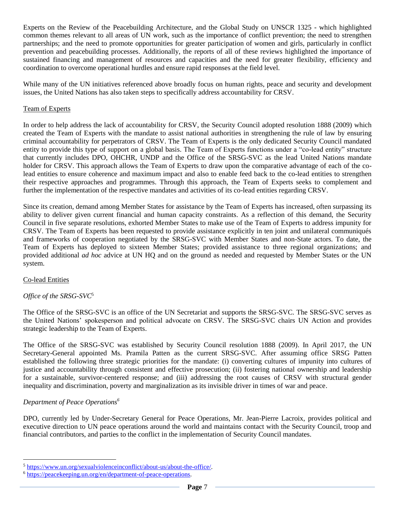Experts on the Review of the Peacebuilding Architecture, and the Global Study on UNSCR 1325 - which highlighted common themes relevant to all areas of UN work, such as the importance of conflict prevention; the need to strengthen partnerships; and the need to promote opportunities for greater participation of women and girls, particularly in conflict prevention and peacebuilding processes. Additionally, the reports of all of these reviews highlighted the importance of sustained financing and management of resources and capacities and the need for greater flexibility, efficiency and coordination to overcome operational hurdles and ensure rapid responses at the field level.

While many of the UN initiatives referenced above broadly focus on human rights, peace and security and development issues, the United Nations has also taken steps to specifically address accountability for CRSV.

### Team of Experts

In order to help address the lack of accountability for CRSV, the Security Council adopted resolution 1888 (2009) which created the Team of Experts with the mandate to assist national authorities in strengthening the rule of law by ensuring criminal accountability for perpetrators of CRSV. The Team of Experts is the only dedicated Security Council mandated entity to provide this type of support on a global basis. The Team of Experts functions under a "co-lead entity" structure that currently includes DPO, OHCHR, UNDP and the Office of the SRSG-SVC as the lead United Nations mandate holder for CRSV. This approach allows the Team of Experts to draw upon the comparative advantage of each of the colead entities to ensure coherence and maximum impact and also to enable feed back to the co-lead entities to strengthen their respective approaches and programmes. Through this approach, the Team of Experts seeks to complement and further the implementation of the respective mandates and activities of its co-lead entities regarding CRSV.

Since its creation, demand among Member States for assistance by the Team of Experts has increased, often surpassing its ability to deliver given current financial and human capacity constraints. As a reflection of this demand, the Security Council in five separate resolutions, exhorted Member States to make use of the Team of Experts to address impunity for CRSV. The Team of Experts has been requested to provide assistance explicitly in ten joint and unilateral communiqués and frameworks of cooperation negotiated by the SRSG-SVC with Member States and non-State actors. To date, the Team of Experts has deployed to sixteen Member States; provided assistance to three regional organizations; and provided additional *ad hoc* advice at UN HQ and on the ground as needed and requested by Member States or the UN system.

## Co-lead Entities

 $\overline{a}$ 

## *Office of the SRSG-SVC*<sup>5</sup>

The Office of the SRSG-SVC is an office of the UN Secretariat and supports the SRSG-SVC. The SRSG-SVC serves as the United Nations' spokesperson and political advocate on CRSV. The SRSG-SVC chairs UN Action and provides strategic leadership to the Team of Experts.

The Office of the SRSG-SVC was established by Security Council resolution 1888 (2009). In April 2017, the UN Secretary-General appointed Ms. Pramila Patten as the current SRSG-SVC. After assuming office SRSG Patten established the following three strategic priorities for the mandate: (i) converting cultures of impunity into cultures of justice and accountability through consistent and effective prosecution; (ii) fostering national ownership and leadership for a sustainable, survivor-centered response; and (iii) addressing the root causes of CRSV with structural gender inequality and discrimination, poverty and marginalization as its invisible driver in times of war and peace.

## *Department of Peace Operations<sup>6</sup>*

DPO, currently led by Under-Secretary General for Peace Operations, Mr. Jean-Pierre Lacroix, provides political and executive direction to UN peace operations around the world and maintains contact with the Security Council, troop and financial contributors, and parties to the conflict in the implementation of Security Council mandates.

<sup>5</sup> [https://www.un.org/sexualviolenceinconflict/about-us/about-the-office/.](https://www.un.org/sexualviolenceinconflict/about-us/about-the-office/)

<sup>6</sup> [https://peacekeeping.un.org/en/department-of-peace-operations.](https://peacekeeping.un.org/en/department-of-peace-operations)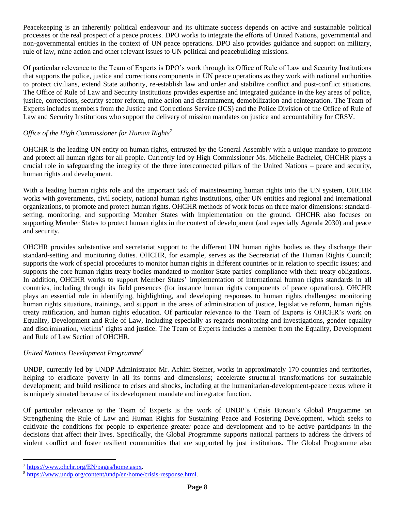Peacekeeping is an inherently political endeavour and its ultimate success depends on active and sustainable political processes or the real prospect of a peace process. DPO works to integrate the efforts of United Nations, governmental and non-governmental entities in the context of UN peace operations. DPO also provides guidance and support on military, rule of law, mine action and other relevant issues to UN political and peacebuilding missions.

Of particular relevance to the Team of Experts is DPO's work through its Office of Rule of Law and Security Institutions that supports the police, justice and corrections components in UN peace operations as they work with national authorities to protect civilians, extend State authority, re-establish law and order and stabilize conflict and post-conflict situations. The Office of Rule of Law and Security Institutions provides expertise and integrated guidance in the key areas of police, justice, corrections, security sector reform, mine action and disarmament, demobilization and reintegration. The Team of Experts includes members from the Justice and Corrections Service (JCS) and the Police Division of the Office of Rule of Law and Security Institutions who support the delivery of mission mandates on justice and accountability for CRSV.

## *Office of the High Commissioner for Human Rights<sup>7</sup>*

OHCHR is the leading UN entity on human rights, entrusted by the General Assembly with a unique mandate to promote and protect all human rights for all people. Currently led by High Commissioner Ms. Michelle Bachelet, OHCHR plays a crucial role in safeguarding the integrity of the three interconnected pillars of the United Nations – peace and security, human rights and development.

With a leading human rights role and the important task of mainstreaming human rights into the UN system, OHCHR works with governments, civil society, national human rights institutions, other UN entities and regional and international organizations, to promote and protect human rights. OHCHR methods of work focus on three major dimensions: standardsetting, monitoring, and supporting Member States with implementation on the ground. OHCHR also focuses on supporting Member States to protect human rights in the context of development (and especially Agenda 2030) and peace and security.

OHCHR provides substantive and secretariat support to the different UN human rights bodies as they discharge their standard-setting and monitoring duties. OHCHR, for example, serves as the Secretariat of the [Human Rights Council;](https://eur03.safelinks.protection.outlook.com/?url=https%3A%2F%2Fwww.ohchr.org%2FEN%2FHRBodies%2FHRC%2FPages%2FHRCIndexold.aspx&data=02%7C01%7Ctoby.bonini%40undp.org%7C5f014db5509943f47add08d76a1b5ec0%7Cb3e5db5e2944483799f57488ace54319%7C0%7C0%7C637094538114753573&sdata=8PfQ3f2xpNvy7m%2BN6tmYCUIAnRObsLF2ARAfZGjOoyg%3D&reserved=0) supports the work of special procedures to monitor human rights in different countries or in relation to specific issues; and supports the core human rights treaty bodies mandated to monitor State parties' compliance with their treaty obligations. In addition, OHCHR works to support Member States' implementation of international human rights standards in all countries, including through its [field presences](https://eur03.safelinks.protection.outlook.com/?url=https%3A%2F%2Fwww.ohchr.org%2FEN%2FCountries%2FPages%2FWorkInField.aspx&data=02%7C01%7Ctoby.bonini%40undp.org%7C5f014db5509943f47add08d76a1b5ec0%7Cb3e5db5e2944483799f57488ace54319%7C0%7C0%7C637094538114753573&sdata=l0sDGfUT%2FsPPyAzbadcFmuCvYttYmJX55Y%2F%2FhIPXN0s%3D&reserved=0) (for instance human rights components of peace operations). OHCHR plays an essential role in identifying, highlighting, and developing responses to human rights challenges; monitoring human rights situations, trainings, and support in the areas of administration of justice, legislative reform, human rights treaty ratification, and human rights education. Of particular relevance to the Team of Experts is OHCHR's work on Equality, Development and Rule of Law, including especially as regards monitoring and investigations, gender equality and discrimination, victims' rights and justice. The Team of Experts includes a member from the Equality, Development and Rule of Law Section of OHCHR.

## *United Nations Development Programme<sup>8</sup>*

UNDP, currently led by UNDP Administrator Mr. Achim Steiner, works in approximately 170 countries and territories, helping to eradicate poverty in all its forms and dimensions; accelerate structural transformations for sustainable development; and build [resilience to crises and shocks,](https://www.undp.org/content/undp/en/home/crisis-response.html) including at the humanitarian-development-peace nexus where it is uniquely situated because of its development mandate and integrator function.

Of particular relevance to the Team of Experts is the work of UNDP's Crisis Bureau's Global Programme on Strengthening the Rule of Law and Human Rights for Sustaining Peace and Fostering Development, which seeks to cultivate the conditions for people to experience greater peace and development and to be active participants in the decisions that affect their lives. Specifically, the Global Programme supports national partners to address the drivers of violent conflict and foster resilient communities that are supported by just institutions. The Global Programme also

<sup>7</sup> [https://www.ohchr.org/EN/pages/home.aspx.](https://www.ohchr.org/EN/pages/home.aspx)

<sup>8</sup> [https://www.undp.org/content/undp/en/home/crisis-response.html.](https://www.undp.org/content/undp/en/home/crisis-response.html)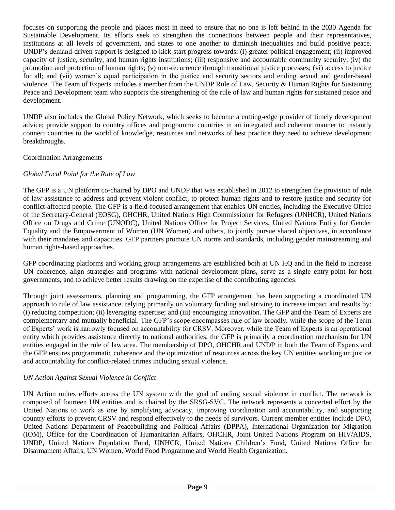focuses on supporting the people and places most in need to ensure that no one is left behind in the 2030 Agenda for Sustainable Development. Its efforts seek to strengthen the connections between people and their representatives, institutions at all levels of government, and states to one another to diminish inequalities and build positive peace. UNDP's demand-driven support is designed to kick-start progress towards: (i) greater political engagement; (ii) improved capacity of justice, security, and human rights institutions; (iii) responsive and accountable community security; (iv) the promotion and protection of human rights; (v) non-recurrence through transitional justice processes; (vi) access to justice for all; and (vii) women's equal participation in the justice and security sectors and ending sexual and gender-based violence. The Team of Experts includes a member from the UNDP Rule of Law, Security & Human Rights for Sustaining Peace and Development team who supports the strengthening of the rule of law and human rights for sustained peace and development.

UNDP also includes the Global Policy Network, which seeks to become a cutting-edge provider of timely development advice; provide support to country offices and programme countries in an integrated and coherent manner to instantly connect countries to the world of knowledge, resources and networks of best practice they need to achieve development breakthroughs.

## Coordination Arrangements

## *Global Focal Point for the Rule of Law*

The GFP is a UN platform co-chaired by DPO and UNDP that was established in 2012 to strengthen the provision of rule of law assistance to address and prevent violent conflict, to protect human rights and to restore justice and security for conflict-affected people. The GFP is a field-focused arrangement that enables UN entities, including the Executive Office of the Secretary-General (EOSG), OHCHR, United Nations High Commissioner for Refugees (UNHCR), United Nations Office on Drugs and Crime (UNODC), United Nations Office for Project Services, United Nations Entity for Gender Equality and the Empowerment of Women (UN Women) and others, to jointly pursue shared objectives, in accordance with their mandates and capacities. GFP partners promote UN norms and standards, including gender mainstreaming and human rights-based approaches.

GFP coordinating platforms and working group arrangements are established both at UN HQ and in the field to increase UN coherence, align strategies and programs with national development plans, serve as a single entry-point for host governments, and to achieve better results drawing on the expertise of the contributing agencies.

Through joint assessments, planning and programming, the GFP arrangement has been supporting a coordinated UN approach to rule of law assistance, relying primarily on voluntary funding and striving to increase impact and results by: (i) reducing competition; (ii) leveraging expertise; and (iii) encouraging innovation. The GFP and the Team of Experts are complementary and mutually beneficial. The GFP's scope encompasses rule of law broadly, while the scope of the Team of Experts' work is narrowly focused on accountability for CRSV. Moreover, while the Team of Experts is an operational entity which provides assistance directly to national authorities, the GFP is primarily a coordination mechanism for UN entities engaged in the rule of law area. The membership of DPO, OHCHR and UNDP in both the Team of Experts and the GFP ensures programmatic coherence and the optimization of resources across the key UN entities working on justice and accountability for conflict-related crimes including sexual violence.

## *UN Action Against Sexual Violence in Conflict*

UN Action unites efforts across the UN system with the goal of ending sexual violence in conflict. The network is composed of fourteen UN entities and is chaired by the SRSG-SVC. The network represents a concerted effort by the United Nations to work as one by amplifying advocacy, improving coordination and accountability, and supporting country efforts to prevent CRSV and respond effectively to the needs of survivors. Current member entities include DPO, United Nations Department of Peacebuilding and Political Affairs (DPPA), International Organization for Migration (IOM), Office for the Coordination of Humanitarian Affairs, OHCHR, Joint United Nations Program on HIV/AIDS, UNDP, United Nations Population Fund, UNHCR, United Nations Children's Fund, United Nations Office for Disarmament Affairs, UN Women, World Food Programme and World Health Organization.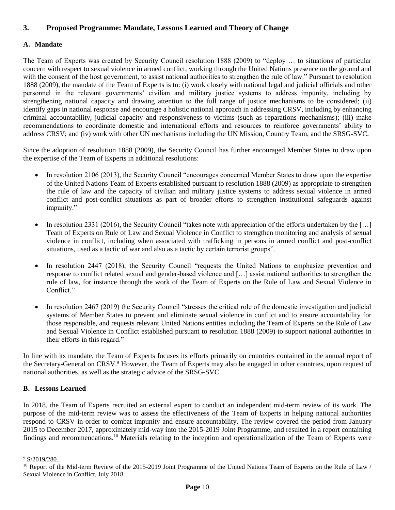# <span id="page-9-0"></span>**3. Proposed Programme: Mandate, Lessons Learned and Theory of Change**

## <span id="page-9-1"></span>**A. Mandate**

The Team of Experts was created by Security Council resolution 1888 (2009) to "deploy … to situations of particular concern with respect to sexual violence in armed conflict, working through the United Nations presence on the ground and with the consent of the host government, to assist national authorities to strengthen the rule of law." Pursuant to resolution 1888 (2009), the mandate of the Team of Experts is to: (i) work closely with national legal and judicial officials and other personnel in the relevant governments' civilian and military justice systems to address impunity, including by strengthening national capacity and drawing attention to the full range of justice mechanisms to be considered; (ii) identify gaps in national response and encourage a holistic national approach in addressing CRSV, including by enhancing criminal accountability, judicial capacity and responsiveness to victims (such as reparations mechanisms); (iii) make recommendations to coordinate domestic and international efforts and resources to reinforce governments' ability to address CRSV; and (iv) work with other UN mechanisms including the UN Mission, Country Team, and the SRSG-SVC.

Since the adoption of resolution 1888 (2009), the Security Council has further encouraged Member States to draw upon the expertise of the Team of Experts in additional resolutions:

- In resolution 2106 (2013), the Security Council "encourages concerned Member States to draw upon the expertise of the United Nations Team of Experts established pursuant to resolution 1888 (2009) as appropriate to strengthen the rule of law and the capacity of civilian and military justice systems to address sexual violence in armed conflict and post-conflict situations as part of broader efforts to strengthen institutional safeguards against impunity."
- In resolution 2331 (2016), the Security Council "takes note with appreciation of the efforts undertaken by the […] Team of Experts on Rule of Law and Sexual Violence in Conflict to strengthen monitoring and analysis of sexual violence in conflict, including when associated with trafficking in persons in armed conflict and post-conflict situations, used as a tactic of war and also as a tactic by certain terrorist groups".
- In resolution 2447 (2018), the Security Council "requests the United Nations to emphasize prevention and response to conflict related sexual and gender-based violence and […] assist national authorities to strengthen the rule of law, for instance through the work of the Team of Experts on the Rule of Law and Sexual Violence in Conflict."
- In resolution 2467 (2019) the Security Council "stresses the critical role of the domestic investigation and judicial systems of Member States to prevent and eliminate sexual violence in conflict and to ensure accountability for those responsible, and requests relevant United Nations entities including the Team of Experts on the Rule of Law and Sexual Violence in Conflict established pursuant to resolution 1888 (2009) to support national authorities in their efforts in this regard."

In line with its mandate, the Team of Experts focuses its efforts primarily on countries contained in the annual report of the Secretary-General on CRSV.<sup>9</sup> However, the Team of Experts may also be engaged in other countries, upon request of national authorities, as well as the strategic advice of the SRSG-SVC.

## <span id="page-9-2"></span>**B. Lessons Learned**

In 2018, the Team of Experts recruited an external expert to conduct an independent mid-term review of its work. The purpose of the mid-term review was to assess the effectiveness of the Team of Experts in helping national authorities respond to CRSV in order to combat impunity and ensure accountability. The review covered the period from January 2015 to December 2017, approximately mid-way into the 2015-2019 Joint Programme, and resulted in a report containing findings and recommendations. <sup>10</sup> Materials relating to the inception and operationalization of the Team of Experts were

 $9$  S/2019/280.

<sup>&</sup>lt;sup>10</sup> Report of the Mid-term Review of the 2015-2019 Joint Programme of the United Nations Team of Experts on the Rule of Law / Sexual Violence in Conflict, July 2018.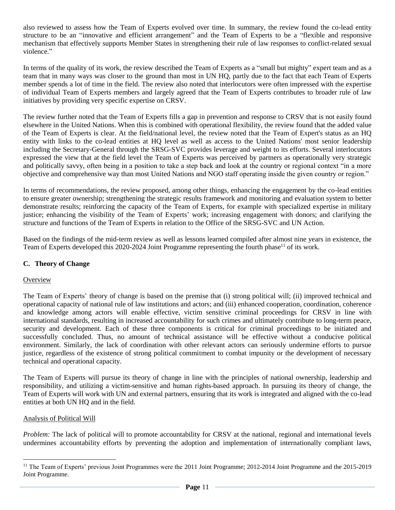also reviewed to assess how the Team of Experts evolved over time. In summary, the review found the co-lead entity structure to be an "innovative and efficient arrangement" and the Team of Experts to be a "flexible and responsive mechanism that effectively supports Member States in strengthening their rule of law responses to conflict-related sexual violence."

In terms of the quality of its work, the review described the Team of Experts as a "small but mighty" expert team and as a team that in many ways was closer to the ground than most in UN HQ, partly due to the fact that each Team of Experts member spends a lot of time in the field. The review also noted that interlocutors were often impressed with the expertise of individual Team of Experts members and largely agreed that the Team of Experts contributes to broader rule of law initiatives by providing very specific expertise on CRSV.

The review further noted that the Team of Experts fills a gap in prevention and response to CRSV that is not easily found elsewhere in the United Nations. When this is combined with operational flexibility, the review found that the added value of the Team of Experts is clear. At the field/national level, the review noted that the Team of Expert's status as an HQ entity with links to the co-lead entities at HQ level as well as access to the United Nations' most senior leadership including the Secretary-General through the SRSG-SVC provides leverage and weight to its efforts. Several interlocutors expressed the view that at the field level the Team of Experts was perceived by partners as operationally very strategic and politically savvy, often being in a position to take a step back and look at the country or regional context "in a more objective and comprehensive way than most United Nations and NGO staff operating inside the given country or region."

In terms of recommendations, the review proposed, among other things, enhancing the engagement by the co-lead entities to ensure greater ownership; strengthening the strategic results framework and monitoring and evaluation system to better demonstrate results; reinforcing the capacity of the Team of Experts, for example with specialized expertise in military justice; enhancing the visibility of the Team of Experts' work; increasing engagement with donors; and clarifying the structure and functions of the Team of Experts in relation to the Office of the SRSG-SVC and UN Action.

Based on the findings of the mid-term review as well as lessons learned compiled after almost nine years in existence, the Team of Experts developed this 2020-2024 Joint Programme representing the fourth phase<sup>11</sup> of its work.

## <span id="page-10-0"></span>**C. Theory of Change**

## **Overview**

The Team of Experts' theory of change is based on the premise that (i) strong political will; (ii) improved technical and operational capacity of national rule of law institutions and actors; and (iii) enhanced cooperation, coordination, coherence and knowledge among actors will enable effective, victim sensitive criminal proceedings for CRSV in line with international standards, resulting in increased accountability for such crimes and ultimately contribute to long-term peace, security and development. Each of these three components is critical for criminal proceedings to be initiated and successfully concluded. Thus, no amount of technical assistance will be effective without a conducive political environment. Similarly, the lack of coordination with other relevant actors can seriously undermine efforts to pursue justice, regardless of the existence of strong political commitment to combat impunity or the development of necessary technical and operational capacity.

The Team of Experts will pursue its theory of change in line with the principles of national ownership, leadership and responsibility, and utilizing a victim-sensitive and human rights-based approach. In pursuing its theory of change, the Team of Experts will work with UN and external partners, ensuring that its work is integrated and aligned with the co-lead entities at both UN HQ and in the field.

## Analysis of Political Will

 $\overline{a}$ 

*Problem:* The lack of political will to promote accountability for CRSV at the national, regional and international levels undermines accountability efforts by preventing the adoption and implementation of internationally compliant laws,

<sup>&</sup>lt;sup>11</sup> The Team of Experts' previous Joint Programmes were the 2011 Joint Programme; 2012-2014 Joint Programme and the 2015-2019 Joint Programme.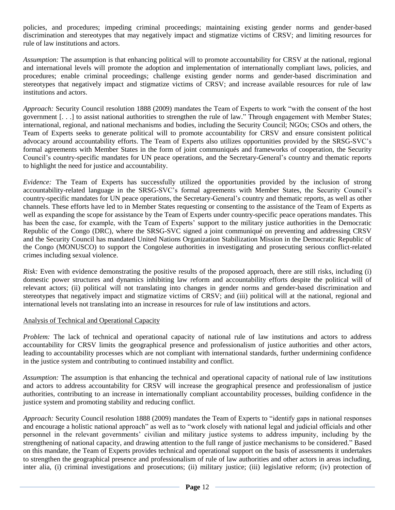policies, and procedures; impeding criminal proceedings; maintaining existing gender norms and gender-based discrimination and stereotypes that may negatively impact and stigmatize victims of CRSV; and limiting resources for rule of law institutions and actors.

*Assumption:* The assumption is that enhancing political will to promote accountability for CRSV at the national, regional and international levels will promote the adoption and implementation of internationally compliant laws, policies, and procedures; enable criminal proceedings; challenge existing gender norms and gender-based discrimination and stereotypes that negatively impact and stigmatize victims of CRSV; and increase available resources for rule of law institutions and actors.

*Approach:* Security Council resolution 1888 (2009) mandates the Team of Experts to work "with the consent of the host government [. . .] to assist national authorities to strengthen the rule of law." Through engagement with Member States; international, regional, and national mechanisms and bodies, including the Security Council; NGOs; CSOs and others, the Team of Experts seeks to generate political will to promote accountability for CRSV and ensure consistent political advocacy around accountability efforts. The Team of Experts also utilizes opportunities provided by the SRSG-SVC's formal agreements with Member States in the form of joint communiqués and frameworks of cooperation, the Security Council's country-specific mandates for UN peace operations, and the Secretary-General's country and thematic reports to highlight the need for justice and accountability.

*Evidence:* The Team of Experts has successfully utilized the opportunities provided by the inclusion of strong accountability-related language in the SRSG-SVC's formal agreements with Member States, the Security Council's country-specific mandates for UN peace operations, the Secretary-General's country and thematic reports, as well as other channels. These efforts have led to in Member States requesting or consenting to the assistance of the Team of Experts as well as expanding the scope for assistance by the Team of Experts under country-specific peace operations mandates. This has been the case, for example, with the Team of Experts' support to the military justice authorities in the Democratic Republic of the Congo (DRC), where the SRSG-SVC signed a joint communiqué on preventing and addressing CRSV and the Security Council has mandated United Nations Organization Stabilization Mission in the Democratic Republic of the Congo (MONUSCO) to support the Congolese authorities in investigating and prosecuting serious conflict-related crimes including sexual violence.

*Risk:* Even with evidence demonstrating the positive results of the proposed approach, there are still risks, including (i) domestic power structures and dynamics inhibiting law reform and accountability efforts despite the political will of relevant actors; (ii) political will not translating into changes in gender norms and gender-based discrimination and stereotypes that negatively impact and stigmatize victims of CRSV; and (iii) political will at the national, regional and international levels not translating into an increase in resources for rule of law institutions and actors.

## Analysis of Technical and Operational Capacity

*Problem:* The lack of technical and operational capacity of national rule of law institutions and actors to address accountability for CRSV limits the geographical presence and professionalism of justice authorities and other actors, leading to accountability processes which are not compliant with international standards, further undermining confidence in the justice system and contributing to continued instability and conflict.

*Assumption:* The assumption is that enhancing the technical and operational capacity of national rule of law institutions and actors to address accountability for CRSV will increase the geographical presence and professionalism of justice authorities, contributing to an increase in internationally compliant accountability processes, building confidence in the justice system and promoting stability and reducing conflict.

*Approach:* Security Council resolution 1888 (2009) mandates the Team of Experts to "identify gaps in national responses and encourage a holistic national approach" as well as to "work closely with national legal and judicial officials and other personnel in the relevant governments' civilian and military justice systems to address impunity, including by the strengthening of national capacity, and drawing attention to the full range of justice mechanisms to be considered." Based on this mandate, the Team of Experts provides technical and operational support on the basis of assessments it undertakes to strengthen the geographical presence and professionalism of rule of law authorities and other actors in areas including, inter alia, (i) criminal investigations and prosecutions; (ii) military justice; (iii) legislative reform; (iv) protection of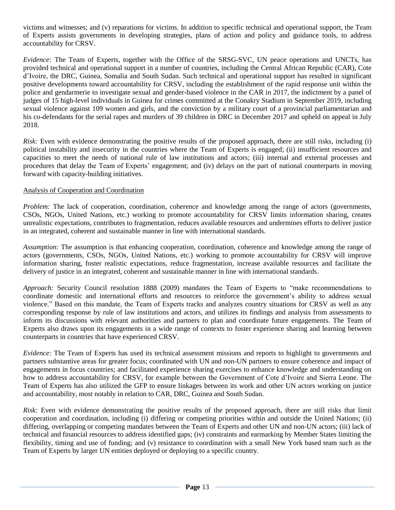victims and witnesses; and (v) reparations for victims. In addition to specific technical and operational support, the Team of Experts assists governments in developing strategies, plans of action and policy and guidance tools, to address accountability for CRSV.

*Evidence:* The Team of Experts, together with the Office of the SRSG-SVC, UN peace operations and UNCTs, has provided technical and operational support in a number of countries, including the Central African Republic (CAR), Cote d'Ivoire, the DRC, Guinea, Somalia and South Sudan. Such technical and operational support has resulted in significant positive developments toward accountability for CRSV, including the establishment of the rapid response unit within the police and gendarmerie to investigate sexual and gender-based violence in the CAR in 2017, the indictment by a panel of judges of 15 high-level individuals in Guinea for crimes committed at the Conakry Stadium in September 2019, including sexual violence against 109 women and girls, and the conviction by a military court of a provincial parliamentarian and his co-defendants for the serial rapes and murders of 39 children in DRC in December 2017 and upheld on appeal in July 2018.

*Risk:* Even with evidence demonstrating the positive results of the proposed approach, there are still risks, including (i) political instability and insecurity in the countries where the Team of Experts is engaged; (ii) insufficient resources and capacities to meet the needs of national rule of law institutions and actors; (iii) internal and external processes and procedures that delay the Team of Experts' engagement; and (iv) delays on the part of national counterparts in moving forward with capacity-building initiatives.

## Analysis of Cooperation and Coordination

*Problem:* The lack of cooperation, coordination, coherence and knowledge among the range of actors (governments, CSOs, NGOs, United Nations, etc.) working to promote accountability for CRSV limits information sharing, creates unrealistic expectations, contributes to fragmentation, reduces available resources and undermines efforts to deliver justice in an integrated, coherent and sustainable manner in line with international standards.

*Assumption:* The assumption is that enhancing cooperation, coordination, coherence and knowledge among the range of actors (governments, CSOs, NGOs, United Nations, etc.) working to promote accountability for CRSV will improve information sharing, foster realistic expectations, reduce fragmentation, increase available resources and facilitate the delivery of justice in an integrated, coherent and sustainable manner in line with international standards.

*Approach:* Security Council resolution 1888 (2009) mandates the Team of Experts to "make recommendations to coordinate domestic and international efforts and resources to reinforce the government's ability to address sexual violence." Based on this mandate, the Team of Experts tracks and analyzes country situations for CRSV as well as any corresponding response by rule of law institutions and actors, and utilizes its findings and analysis from assessments to inform its discussions with relevant authorities and partners to plan and coordinate future engagements. The Team of Experts also draws upon its engagements in a wide range of contexts to foster experience sharing and learning between counterparts in countries that have experienced CRSV.

*Evidence:* The Team of Experts has used its technical assessment missions and reports to highlight to governments and partners substantive areas for greater focus; coordinated with UN and non-UN partners to ensure coherence and impact of engagements in focus countries; and facilitated experience sharing exercises to enhance knowledge and understanding on how to address accountability for CRSV, for example between the Government of Cote d'Ivoire and Sierra Leone. The Team of Experts has also utilized the GFP to ensure linkages between its work and other UN actors working on justice and accountability, most notably in relation to CAR, DRC, Guinea and South Sudan.

*Risk:* Even with evidence demonstrating the positive results of the proposed approach, there are still risks that limit cooperation and coordination, including (i) differing or competing priorities within and outside the United Nations; (ii) differing, overlapping or competing mandates between the Team of Experts and other UN and non-UN actors; (iii) lack of technical and financial resources to address identified gaps; (iv) constraints and earmarking by Member States limiting the flexibility, timing and use of funding; and (v) resistance to coordination with a small New York based team such as the Team of Experts by larger UN entities deployed or deploying to a specific country.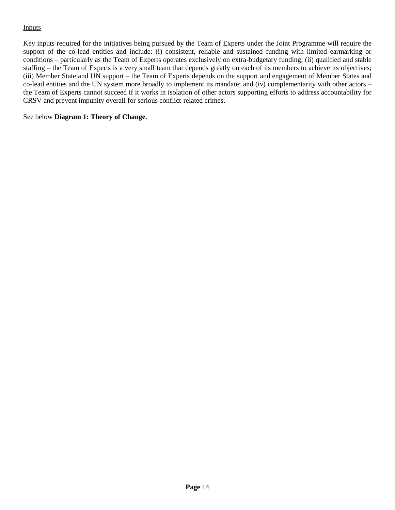## Inputs

Key inputs required for the initiatives being pursued by the Team of Experts under the Joint Programme will require the support of the co-lead entities and include: (i) consistent, reliable and sustained funding with limited earmarking or conditions – particularly as the Team of Experts operates exclusively on extra-budgetary funding; (ii) qualified and stable staffing – the Team of Experts is a very small team that depends greatly on each of its members to achieve its objectives; (iii) Member State and UN support – the Team of Experts depends on the support and engagement of Member States and co-lead entities and the UN system more broadly to implement its mandate; and (iv) complementarity with other actors – the Team of Experts cannot succeed if it works in isolation of other actors supporting efforts to address accountability for CRSV and prevent impunity overall for serious conflict-related crimes.

See below **Diagram 1: Theory of Change**.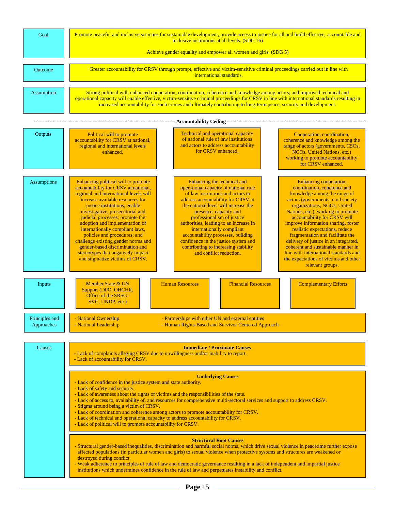| Goal                         | Promote peaceful and inclusive societies for sustainable development, provide access to justice for all and build effective, accountable and<br>inclusive institutions at all levels. (SDG 16)<br>Achieve gender equality and empower all women and girls. (SDG 5)                                                                                                                                                                                                                                                                                                                                                                                                                                                                                                                                                                                                                                                                                                                                                                                                                                                                                                                                                                                                                                                                                                                                                                                                                                                                        |  |  |  |  |  |
|------------------------------|-------------------------------------------------------------------------------------------------------------------------------------------------------------------------------------------------------------------------------------------------------------------------------------------------------------------------------------------------------------------------------------------------------------------------------------------------------------------------------------------------------------------------------------------------------------------------------------------------------------------------------------------------------------------------------------------------------------------------------------------------------------------------------------------------------------------------------------------------------------------------------------------------------------------------------------------------------------------------------------------------------------------------------------------------------------------------------------------------------------------------------------------------------------------------------------------------------------------------------------------------------------------------------------------------------------------------------------------------------------------------------------------------------------------------------------------------------------------------------------------------------------------------------------------|--|--|--|--|--|
| Outcome                      | Greater accountability for CRSV through prompt, effective and victim-sensitive criminal proceedings carried out in line with<br>international standards.                                                                                                                                                                                                                                                                                                                                                                                                                                                                                                                                                                                                                                                                                                                                                                                                                                                                                                                                                                                                                                                                                                                                                                                                                                                                                                                                                                                  |  |  |  |  |  |
| Assumption                   | Strong political will; enhanced cooperation, coordination, coherence and knowledge among actors; and improved technical and<br>operational capacity will enable effective, victim-sensitive criminal proceedings for CRSV in line with international standards resulting in<br>increased accountability for such crimes and ultimately contributing to long-term peace, security and development.                                                                                                                                                                                                                                                                                                                                                                                                                                                                                                                                                                                                                                                                                                                                                                                                                                                                                                                                                                                                                                                                                                                                         |  |  |  |  |  |
|                              |                                                                                                                                                                                                                                                                                                                                                                                                                                                                                                                                                                                                                                                                                                                                                                                                                                                                                                                                                                                                                                                                                                                                                                                                                                                                                                                                                                                                                                                                                                                                           |  |  |  |  |  |
| Outputs                      | Technical and operational capacity<br>Political will to promote<br>Cooperation, coordination,<br>of national rule of law institutions<br>accountability for CRSV at national,<br>coherence and knowledge among the<br>and actors to address accountability<br>regional and international levels<br>range of actors (governments, CSOs,<br>for CRSV enhanced.<br>NGOs, United Nations, etc.)<br>enhanced.<br>working to promote accountability<br>for CRSV enhanced.                                                                                                                                                                                                                                                                                                                                                                                                                                                                                                                                                                                                                                                                                                                                                                                                                                                                                                                                                                                                                                                                       |  |  |  |  |  |
| <b>Assumptions</b>           | Enhancing political will to promote<br>Enhancing the technical and<br>Enhancing cooperation,<br>accountability for CRSV at national,<br>operational capacity of national rule<br>coordination, coherence and<br>regional and international levels will<br>of law institutions and actors to<br>knowledge among the range of<br>increase available resources for<br>address accountability for CRSV at<br>actors (governments, civil society<br>justice institutions; enable<br>the national level will increase the<br>organizations, NGOs, United<br>investigative, prosecutorial and<br>Nations, etc.), working to promote<br>presence, capacity and<br>judicial processes; promote the<br>professionalism of justice<br>accountability for CRSV will<br>adoption and implementation of<br>authorities, leading to an increase in<br>improve information sharing, foster<br>internationally compliant laws,<br>internationally compliant<br>realistic expectations, reduce<br>policies and procedures; and<br>accountability processes, building<br>fragmentation and facilitate the<br>challenge existing gender norms and<br>confidence in the justice system and<br>delivery of justice in an integrated,<br>gender-based discrimination and<br>contributing to increasing stability<br>coherent and sustainable manner in<br>and conflict reduction.<br>stereotypes that negatively impact<br>line with international standards and<br>and stigmatize victims of CRSV.<br>the expectations of victims and other<br>relevant groups. |  |  |  |  |  |
| Inputs                       | Member State & UN<br><b>Human Resources</b><br><b>Financial Resources</b><br><b>Complementary Efforts</b><br>Support (DPO, OHCHR,<br>Office of the SRSG-<br>SVC, UNDP, etc.)                                                                                                                                                                                                                                                                                                                                                                                                                                                                                                                                                                                                                                                                                                                                                                                                                                                                                                                                                                                                                                                                                                                                                                                                                                                                                                                                                              |  |  |  |  |  |
| Principles and<br>Approaches | - National Ownership<br>- Partnerships with other UN and external entities<br>- National Leadership<br>- Human Rights-Based and Survivor Centered Approach                                                                                                                                                                                                                                                                                                                                                                                                                                                                                                                                                                                                                                                                                                                                                                                                                                                                                                                                                                                                                                                                                                                                                                                                                                                                                                                                                                                |  |  |  |  |  |
| Causes                       | <b>Immediate / Proximate Causes</b><br>- Lack of complaints alleging CRSV due to unwillingness and/or inability to report.<br>- Lack of accountability for CRSV.                                                                                                                                                                                                                                                                                                                                                                                                                                                                                                                                                                                                                                                                                                                                                                                                                                                                                                                                                                                                                                                                                                                                                                                                                                                                                                                                                                          |  |  |  |  |  |
|                              | <b>Underlying Causes</b><br>- Lack of confidence in the justice system and state authority.<br>- Lack of safety and security.<br>- Lack of awareness about the rights of victims and the responsibilities of the state.<br>- Lack of access to, availability of, and resources for comprehensive multi-sectoral services and support to address CRSV.<br>- Stigma around being a victim of CRSV.<br>- Lack of coordination and coherence among actors to promote accountability for CRSV.<br>- Lack of technical and operational capacity to address accountability for CRSV.<br>- Lack of political will to promote accountability for CRSV.                                                                                                                                                                                                                                                                                                                                                                                                                                                                                                                                                                                                                                                                                                                                                                                                                                                                                             |  |  |  |  |  |
|                              | <b>Structural Root Causes</b><br>- Structural gender-based inequalities, discrimination and harmful social norms, which drive sexual violence in peacetime further expose<br>affected populations (in particular women and girls) to sexual violence when protective systems and structures are weakened or<br>destroyed during conflict.<br>- Weak adherence to principles of rule of law and democratic governance resulting in a lack of independent and impartial justice<br>institutions which undermines confidence in the rule of law and perpetuates instability and conflict.                                                                                                                                                                                                                                                                                                                                                                                                                                                                                                                                                                                                                                                                                                                                                                                                                                                                                                                                                    |  |  |  |  |  |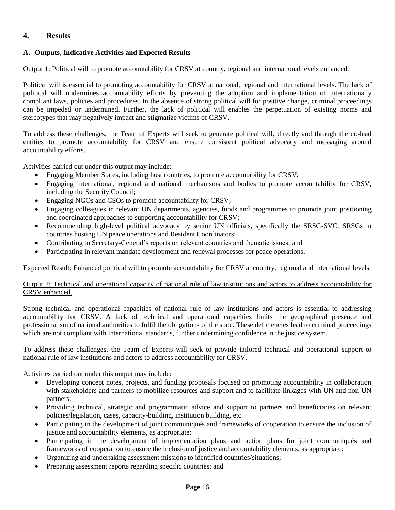## <span id="page-15-0"></span>**4. Results**

## <span id="page-15-1"></span>**A. Outputs, Indicative Activities and Expected Results**

### Output 1: Political will to promote accountability for CRSV at country, regional and international levels enhanced.

Political will is essential to promoting accountability for CRSV at national, regional and international levels. The lack of political will undermines accountability efforts by preventing the adoption and implementation of internationally compliant laws, policies and procedures. In the absence of strong political will for positive change, criminal proceedings can be impeded or undermined. Further, the lack of political will enables the perpetuation of existing norms and stereotypes that may negatively impact and stigmatize victims of CRSV.

To address these challenges, the Team of Experts will seek to generate political will, directly and through the co-lead entities to promote accountability for CRSV and ensure consistent political advocacy and messaging around accountability efforts.

Activities carried out under this output may include:

- Engaging Member States, including host countries, to promote accountability for CRSV;
- Engaging international, regional and national mechanisms and bodies to promote accountability for CRSV, including the Security Council;
- Engaging NGOs and CSOs to promote accountability for CRSV;
- Engaging colleagues in relevant UN departments, agencies, funds and programmes to promote joint positioning and coordinated approaches to supporting accountability for CRSV;
- Recommending high-level political advocacy by senior UN officials, specifically the SRSG-SVC, SRSGs in countries hosting UN peace operations and Resident Coordinators;
- Contributing to Secretary-General's reports on relevant countries and thematic issues; and
- Participating in relevant mandate development and renewal processes for peace operations.

Expected Result: Enhanced political will to promote accountability for CRSV at country, regional and international levels.

### Output 2: Technical and operational capacity of national rule of law institutions and actors to address accountability for CRSV enhanced.

Strong technical and operational capacities of national rule of law institutions and actors is essential to addressing accountability for CRSV. A lack of technical and operational capacities limits the geographical presence and professionalism of national authorities to fulfil the obligations of the state. These deficiencies lead to criminal proceedings which are not compliant with international standards, further undermining confidence in the justice system.

To address these challenges, the Team of Experts will seek to provide tailored technical and operational support to national rule of law institutions and actors to address accountability for CRSV.

Activities carried out under this output may include:

- Developing concept notes, projects, and funding proposals focused on promoting accountability in collaboration with stakeholders and partners to mobilize resources and support and to facilitate linkages with UN and non-UN partners;
- Providing technical, strategic and programmatic advice and support to partners and beneficiaries on relevant policies/legislation, cases, capacity-building, institution building, etc.
- Participating in the development of joint communiqués and frameworks of cooperation to ensure the inclusion of justice and accountability elements, as appropriate;
- Participating in the development of implementation plans and action plans for joint communiqués and frameworks of cooperation to ensure the inclusion of justice and accountability elements, as appropriate;
- Organizing and undertaking assessment missions to identified countries/situations;
- Preparing assessment reports regarding specific countries; and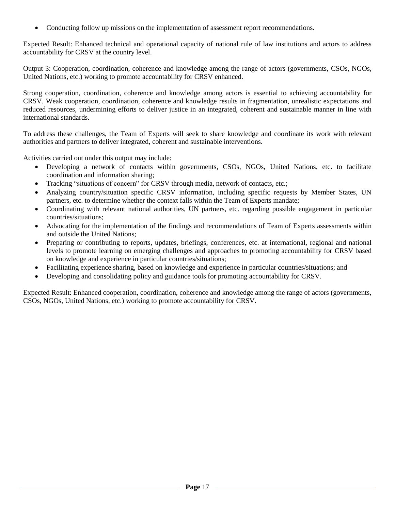• Conducting follow up missions on the implementation of assessment report recommendations.

Expected Result: Enhanced technical and operational capacity of national rule of law institutions and actors to address accountability for CRSV at the country level.

Output 3: Cooperation, coordination, coherence and knowledge among the range of actors (governments, CSOs, NGOs, United Nations, etc.) working to promote accountability for CRSV enhanced.

Strong cooperation, coordination, coherence and knowledge among actors is essential to achieving accountability for CRSV. Weak cooperation, coordination, coherence and knowledge results in fragmentation, unrealistic expectations and reduced resources, undermining efforts to deliver justice in an integrated, coherent and sustainable manner in line with international standards.

To address these challenges, the Team of Experts will seek to share knowledge and coordinate its work with relevant authorities and partners to deliver integrated, coherent and sustainable interventions.

Activities carried out under this output may include:

- Developing a network of contacts within governments, CSOs, NGOs, United Nations, etc. to facilitate coordination and information sharing;
- Tracking "situations of concern" for CRSV through media, network of contacts, etc.;
- Analyzing country/situation specific CRSV information, including specific requests by Member States, UN partners, etc. to determine whether the context falls within the Team of Experts mandate;
- Coordinating with relevant national authorities, UN partners, etc. regarding possible engagement in particular countries/situations;
- Advocating for the implementation of the findings and recommendations of Team of Experts assessments within and outside the United Nations;
- Preparing or contributing to reports, updates, briefings, conferences, etc. at international, regional and national levels to promote learning on emerging challenges and approaches to promoting accountability for CRSV based on knowledge and experience in particular countries/situations;
- Facilitating experience sharing, based on knowledge and experience in particular countries/situations; and
- Developing and consolidating policy and guidance tools for promoting accountability for CRSV.

Expected Result: Enhanced cooperation, coordination, coherence and knowledge among the range of actors (governments, CSOs, NGOs, United Nations, etc.) working to promote accountability for CRSV.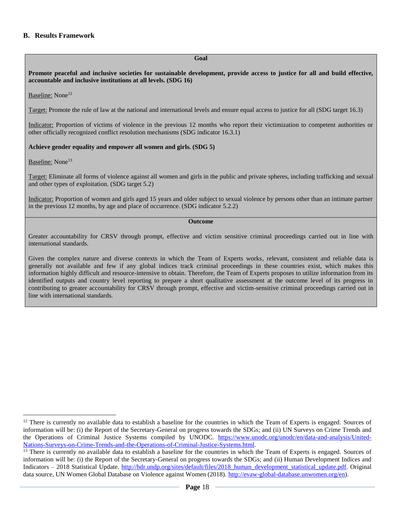### <span id="page-17-0"></span>**B. Results Framework**

#### **Goal**

**Promote peaceful and inclusive societies for sustainable development, provide access to justice for all and build effective, accountable and inclusive institutions at all levels. (SDG 16)**

#### Baseline: None<sup>12</sup>

Target: Promote the rule of law at the national and international levels and ensure equal access to justice for all (SDG target 16.3)

Indicator: Proportion of victims of violence in the previous 12 months who report their victimization to competent authorities or other officially recognized conflict resolution mechanisms (SDG indicator 16.3.1)

#### **Achieve gender equality and empower all women and girls. (SDG 5)**

#### Baseline: None<sup>13</sup>

 $\overline{a}$ 

Target: Eliminate all forms of violence against all women and girls in the public and private spheres, including trafficking and sexual and other types of exploitation. (SDG target 5.2)

Indicator: Proportion of women and girls aged 15 years and older subject to sexual violence by persons other than an intimate partner in the previous 12 months, by age and place of occurrence. (SDG indicator 5.2.2)

#### **Outcome**

Greater accountability for CRSV through prompt, effective and victim sensitive criminal proceedings carried out in line with international standards.

Given the complex nature and diverse contexts in which the Team of Experts works, relevant, consistent and reliable data is generally not available and few if any global indices track criminal proceedings in these countries exist, which makes this information highly difficult and resource-intensive to obtain. Therefore, the Team of Experts proposes to utilize information from its identified outputs and country level reporting to prepare a short qualitative assessment at the outcome level of its progress in contributing to greater accountability for CRSV through prompt, effective and victim-sensitive criminal proceedings carried out in line with international standards.

 $12$  There is currently no available data to establish a baseline for the countries in which the Team of Experts is engaged. Sources of information will be: (i) the Report of the Secretary-General on progress towards the SDGs; and (ii) UN Surveys on Crime Trends and the Operations of Criminal Justice Systems compiled by UNODC. [https://www.unodc.org/unodc/en/data-and-analysis/United-](https://www.unodc.org/unodc/en/data-and-analysis/United-Nations-Surveys-on-Crime-Trends-and-the-Operations-of-Criminal-Justice-Systems.html)[Nations-Surveys-on-Crime-Trends-and-the-Operations-of-Criminal-Justice-Systems.html.](https://www.unodc.org/unodc/en/data-and-analysis/United-Nations-Surveys-on-Crime-Trends-and-the-Operations-of-Criminal-Justice-Systems.html)

<sup>&</sup>lt;sup>13</sup> There is currently no available data to establish a baseline for the countries in which the Team of Experts is engaged. Sources of information will be: (i) the Report of the Secretary-General on progress towards the SDGs; and (ii) Human Development Indices and Indicators – 2018 Statistical Update. [http://hdr.undp.org/sites/default/files/2018\\_human\\_development\\_statistical\\_update.pdf.](http://hdr.undp.org/sites/default/files/2018_human_development_statistical_update.pdf) Original data source, UN Women Global Database on Violence against Women (2018). [http://evaw-global-database.unwomen.org/en\)](http://evaw-global-database.unwomen.org/en).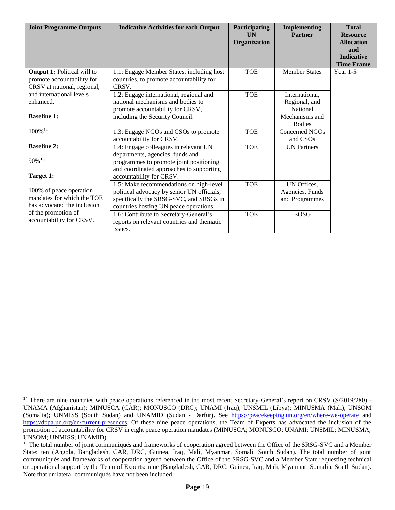| <b>Joint Programme Outputs</b>                                                                  | <b>Indicative Activities for each Output</b>                                                                                                                                                 | Participating<br><b>UN</b><br>Organization | <b>Implementing</b><br><b>Partner</b>            | <b>Total</b><br><b>Resource</b><br><b>Allocation</b><br>and |
|-------------------------------------------------------------------------------------------------|----------------------------------------------------------------------------------------------------------------------------------------------------------------------------------------------|--------------------------------------------|--------------------------------------------------|-------------------------------------------------------------|
|                                                                                                 |                                                                                                                                                                                              |                                            |                                                  | <b>Indicative</b><br><b>Time Frame</b>                      |
| <b>Output 1:</b> Political will to<br>promote accountability for<br>CRSV at national, regional, | 1.1: Engage Member States, including host<br>countries, to promote accountability for<br>CRSV.                                                                                               | <b>TOE</b>                                 | <b>Member States</b>                             | Year $1-5$                                                  |
| and international levels<br>enhanced.                                                           | 1.2: Engage international, regional and<br>national mechanisms and bodies to<br>promote accountability for CRSV,                                                                             | <b>TOE</b>                                 | International,<br>Regional, and<br>National      |                                                             |
| <b>Baseline 1:</b>                                                                              | including the Security Council.                                                                                                                                                              |                                            | Mechanisms and<br><b>Bodies</b>                  |                                                             |
| 100%14                                                                                          | 1.3: Engage NGOs and CSOs to promote<br>accountability for CRSV.                                                                                                                             | <b>TOE</b>                                 | Concerned NGOs<br>and CSO <sub>s</sub>           |                                                             |
| <b>Baseline 2:</b><br>90% 15<br>Target 1:                                                       | 1.4: Engage colleagues in relevant UN<br>departments, agencies, funds and<br>programmes to promote joint positioning<br>and coordinated approaches to supporting<br>accountability for CRSV. | <b>TOE</b>                                 | <b>UN Partners</b>                               |                                                             |
| 100% of peace operation<br>mandates for which the TOE<br>has advocated the inclusion            | 1.5: Make recommendations on high-level<br>political advocacy by senior UN officials,<br>specifically the SRSG-SVC, and SRSGs in<br>countries hosting UN peace operations                    | <b>TOE</b>                                 | UN Offices,<br>Agencies, Funds<br>and Programmes |                                                             |
| of the promotion of<br>accountability for CRSV.                                                 | 1.6: Contribute to Secretary-General's<br>reports on relevant countries and thematic<br>issues.                                                                                              | <b>TOE</b>                                 | <b>EOSG</b>                                      |                                                             |

<sup>&</sup>lt;sup>14</sup> There are nine countries with peace operations referenced in the most recent Secretary-General's report on CRSV (S/2019/280) -UNAMA (Afghanistan); MINUSCA (CAR); MONUSCO (DRC); UNAMI (Iraq); UNSMIL (Libya); MINUSMA (Mali); UNSOM (Somalia); UNMISS (South Sudan) and UNAMID (Sudan - Darfur). See <https://peacekeeping.un.org/en/where-we-operate> and [https://dppa.un.org/en/current-presences.](https://dppa.un.org/en/current-presences) Of these nine peace operations, the Team of Experts has advocated the inclusion of the promotion of accountability for CRSV in eight peace operation mandates (MINUSCA; MONUSCO; UNAMI; UNSMIL; MINUSMA; UNSOM; UNMISS; UNAMID).

<sup>&</sup>lt;sup>15</sup> The total number of joint communiqués and frameworks of cooperation agreed between the Office of the SRSG-SVC and a Member State: ten (Angola, Bangladesh, CAR, DRC, Guinea, Iraq, Mali, Myanmar, Somali, South Sudan). The total number of joint communiqués and frameworks of cooperation agreed between the Office of the SRSG-SVC and a Member State requesting technical or operational support by the Team of Experts: nine (Bangladesh, CAR, DRC, Guinea, Iraq, Mali, Myanmar, Somalia, South Sudan). Note that unilateral communiqués have not been included.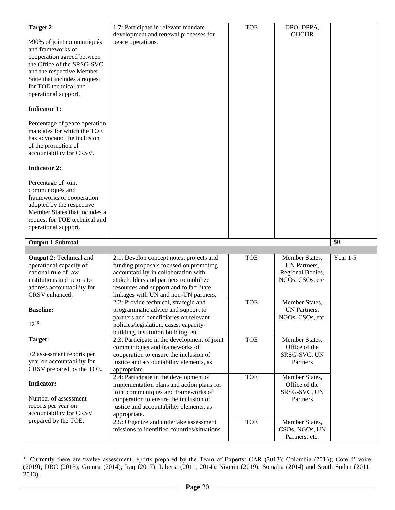| Target 2:                                                  | 1.7: Participate in relevant mandate                                                   | <b>TOE</b> | DPO, DPPA,                       |            |
|------------------------------------------------------------|----------------------------------------------------------------------------------------|------------|----------------------------------|------------|
|                                                            | development and renewal processes for                                                  |            | <b>OHCHR</b>                     |            |
| >90% of joint communiqués<br>and frameworks of             | peace operations.                                                                      |            |                                  |            |
| cooperation agreed between                                 |                                                                                        |            |                                  |            |
| the Office of the SRSG-SVC                                 |                                                                                        |            |                                  |            |
| and the respective Member                                  |                                                                                        |            |                                  |            |
| State that includes a request                              |                                                                                        |            |                                  |            |
| for TOE technical and                                      |                                                                                        |            |                                  |            |
| operational support.                                       |                                                                                        |            |                                  |            |
| <b>Indicator 1:</b>                                        |                                                                                        |            |                                  |            |
| Percentage of peace operation                              |                                                                                        |            |                                  |            |
| mandates for which the TOE                                 |                                                                                        |            |                                  |            |
| has advocated the inclusion                                |                                                                                        |            |                                  |            |
| of the promotion of<br>accountability for CRSV.            |                                                                                        |            |                                  |            |
|                                                            |                                                                                        |            |                                  |            |
| <b>Indicator 2:</b>                                        |                                                                                        |            |                                  |            |
| Percentage of joint                                        |                                                                                        |            |                                  |            |
| communiqués and                                            |                                                                                        |            |                                  |            |
| frameworks of cooperation                                  |                                                                                        |            |                                  |            |
| adopted by the respective<br>Member States that includes a |                                                                                        |            |                                  |            |
| request for TOE technical and                              |                                                                                        |            |                                  |            |
| operational support.                                       |                                                                                        |            |                                  |            |
|                                                            |                                                                                        |            |                                  |            |
|                                                            |                                                                                        |            |                                  |            |
| <b>Output 1 Subtotal</b>                                   |                                                                                        |            |                                  | \$0        |
| <b>Output 2: Technical and</b>                             | 2.1: Develop concept notes, projects and                                               | <b>TOE</b> | Member States,                   | Year $1-5$ |
| operational capacity of                                    | funding proposals focused on promoting                                                 |            | UN Partners,                     |            |
| national rule of law                                       | accountability in collaboration with                                                   |            | Regional Bodies,                 |            |
| institutions and actors to                                 | stakeholders and partners to mobilize                                                  |            | NGOs, CSOs, etc.                 |            |
| address accountability for<br>CRSV enhanced.               | resources and support and to facilitate<br>linkages with UN and non-UN partners.       |            |                                  |            |
|                                                            | 2.2: Provide technical, strategic and                                                  | <b>TOE</b> | Member States,                   |            |
| <b>Baseline:</b>                                           | programmatic advice and support to                                                     |            | UN Partners,                     |            |
|                                                            | partners and beneficiaries on relevant                                                 |            | NGOs, CSOs, etc.                 |            |
| $12^{16}$                                                  | policies/legislation, cases, capacity-                                                 |            |                                  |            |
| Target:                                                    | building, institution building, etc.<br>2.3: Participate in the development of joint   | <b>TOE</b> | Member States,                   |            |
|                                                            | communiqués and frameworks of                                                          |            | Office of the                    |            |
| $>2$ assessment reports per                                | cooperation to ensure the inclusion of                                                 |            | SRSG-SVC, UN                     |            |
| year on accountability for                                 | justice and accountability elements, as                                                |            | Partners                         |            |
| CRSV prepared by the TOE.                                  | appropriate.                                                                           |            |                                  |            |
| Indicator:                                                 | 2.4: Participate in the development of<br>implementation plans and action plans for    | <b>TOE</b> | Member States,<br>Office of the  |            |
|                                                            | joint communiqués and frameworks of                                                    |            | SRSG-SVC, UN                     |            |
| Number of assessment                                       | cooperation to ensure the inclusion of                                                 |            | Partners                         |            |
| reports per year on                                        | justice and accountability elements, as                                                |            |                                  |            |
| accountability for CRSV                                    | appropriate.                                                                           |            |                                  |            |
| prepared by the TOE.                                       | 2.5: Organize and undertake assessment<br>missions to identified countries/situations. | <b>TOE</b> | Member States,<br>CSOs, NGOs, UN |            |

<sup>&</sup>lt;sup>16</sup> Currently there are twelve assessment reports prepared by the Team of Experts: CAR (2013); Colombia (2013); Cote d'Ivoire (2019); DRC (2013); Guinea (2014); Iraq (2017); Liberia (2011, 2014); Nigeria (2019); Somalia (2014) and South Sudan (2011; 2013).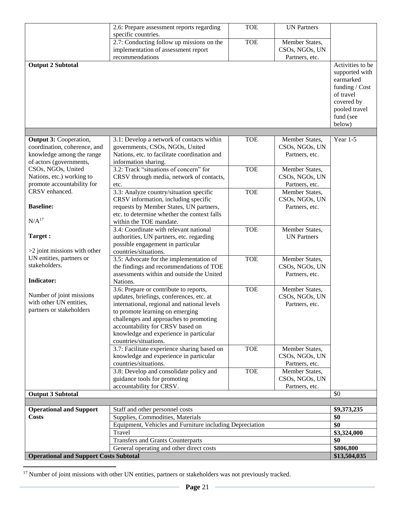|                                               | 2.6: Prepare assessment reports regarding                | <b>TOE</b> | <b>UN Partners</b> |                           |  |
|-----------------------------------------------|----------------------------------------------------------|------------|--------------------|---------------------------|--|
|                                               | specific countries.                                      |            |                    |                           |  |
|                                               | 2.7: Conducting follow up missions on the                | <b>TOE</b> | Member States,     |                           |  |
|                                               | implementation of assessment report                      |            | CSOs, NGOs, UN     |                           |  |
|                                               | recommendations                                          |            | Partners, etc.     |                           |  |
| <b>Output 2 Subtotal</b>                      |                                                          |            |                    | Activities to be          |  |
|                                               |                                                          |            |                    | supported with            |  |
|                                               |                                                          |            |                    | earmarked                 |  |
|                                               |                                                          |            |                    | funding / Cost            |  |
|                                               |                                                          |            |                    | of travel                 |  |
|                                               |                                                          |            |                    | covered by                |  |
|                                               |                                                          |            |                    | pooled travel             |  |
|                                               |                                                          |            |                    | fund (see                 |  |
|                                               |                                                          |            |                    | below)                    |  |
|                                               |                                                          |            |                    |                           |  |
| <b>Output 3: Cooperation,</b>                 | 3.1: Develop a network of contacts within                | <b>TOE</b> | Member States,     | Year 1-5                  |  |
| coordination, coherence, and                  | governments, CSOs, NGOs, United                          |            | CSOs, NGOs, UN     |                           |  |
| knowledge among the range                     | Nations, etc. to facilitate coordination and             |            | Partners, etc.     |                           |  |
| of actors (governments,                       | information sharing.                                     |            |                    |                           |  |
| CSOs, NGOs, United                            | 3.2: Track "situations of concern" for                   | <b>TOE</b> | Member States,     |                           |  |
| Nations, etc.) working to                     | CRSV through media, network of contacts,                 |            | CSOs, NGOs, UN     |                           |  |
| promote accountability for                    | etc.                                                     |            | Partners, etc.     |                           |  |
| CRSV enhanced.                                | 3.3: Analyze country/situation specific                  | <b>TOE</b> | Member States,     |                           |  |
|                                               | CRSV information, including specific                     |            | CSOs, NGOs, UN     |                           |  |
| <b>Baseline:</b>                              | requests by Member States, UN partners,                  |            | Partners, etc.     |                           |  |
|                                               | etc. to determine whether the context falls              |            |                    |                           |  |
| N/A <sup>17</sup>                             | within the TOE mandate.                                  |            |                    |                           |  |
|                                               | 3.4: Coordinate with relevant national                   | <b>TOE</b> | Member States,     |                           |  |
| Target:                                       | authorities, UN partners, etc. regarding                 |            | <b>UN Partners</b> |                           |  |
|                                               | possible engagement in particular                        |            |                    |                           |  |
| $>2$ joint missions with other                | countries/situations.                                    |            |                    |                           |  |
| UN entities, partners or                      | 3.5: Advocate for the implementation of                  | <b>TOE</b> | Member States,     |                           |  |
| stakeholders.                                 | the findings and recommendations of TOE                  |            | CSOs, NGOs, UN     |                           |  |
|                                               | assessments within and outside the United                |            | Partners, etc.     |                           |  |
| Indicator:                                    | Nations.                                                 |            |                    |                           |  |
|                                               | 3.6: Prepare or contribute to reports,                   | <b>TOE</b> | Member States,     |                           |  |
| Number of joint missions                      | updates, briefings, conferences, etc. at                 |            | CSOs, NGOs, UN     |                           |  |
| with other UN entities,                       | international, regional and national levels              |            | Partners, etc.     |                           |  |
| partners or stakeholders                      | to promote learning on emerging                          |            |                    |                           |  |
|                                               | challenges and approaches to promoting                   |            |                    |                           |  |
|                                               | accountability for CRSV based on                         |            |                    |                           |  |
|                                               | knowledge and experience in particular                   |            |                    |                           |  |
|                                               | countries/situations.                                    |            |                    |                           |  |
|                                               | 3.7: Facilitate experience sharing based on              | <b>TOE</b> | Member States,     |                           |  |
|                                               | knowledge and experience in particular                   |            | CSOs, NGOs, UN     |                           |  |
|                                               | countries/situations.                                    |            | Partners, etc.     |                           |  |
|                                               | 3.8: Develop and consolidate policy and                  | <b>TOE</b> | Member States,     |                           |  |
|                                               | guidance tools for promoting                             |            | CSOs, NGOs, UN     |                           |  |
|                                               | accountability for CRSV.                                 |            | Partners, etc.     |                           |  |
| <b>Output 3 Subtotal</b>                      |                                                          |            |                    | \$0                       |  |
|                                               |                                                          |            |                    |                           |  |
| <b>Operational and Support</b>                | Staff and other personnel costs                          |            |                    | \$9,373,235               |  |
| <b>Costs</b>                                  | Supplies, Commodities, Materials                         |            |                    | \$0                       |  |
|                                               | Equipment, Vehicles and Furniture including Depreciation |            |                    | \$0                       |  |
|                                               | Travel                                                   |            |                    | \$3,324,000<br>\$0        |  |
|                                               | <b>Transfers and Grants Counterparts</b>                 |            |                    |                           |  |
|                                               | General operating and other direct costs                 |            |                    | \$806,800<br>\$13,504,035 |  |
| <b>Operational and Support Costs Subtotal</b> |                                                          |            |                    |                           |  |

 $17$  Number of joint missions with other UN entities, partners or stakeholders was not previously tracked.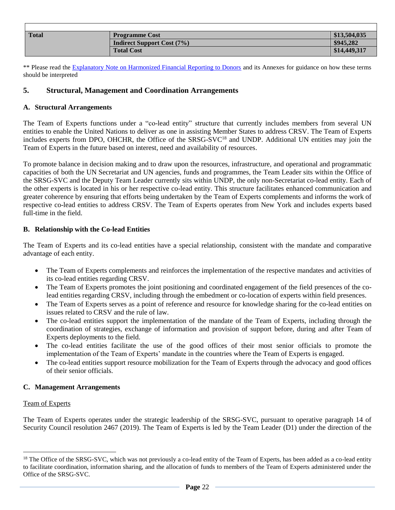| <b>Total</b> | <b>Programme Cost</b>             | \$13,504,035 |
|--------------|-----------------------------------|--------------|
|              | <b>Indirect Support Cost (7%)</b> | \$945,282    |
|              | <b>Total Cost</b>                 | \$14,449,317 |

\*\* Please read the **Explanatory Note on Harmonized Financial Reporting to Donors** and its Annexes for guidance on how these terms should be interpreted

## <span id="page-21-0"></span>**5. Structural, Management and Coordination Arrangements**

### <span id="page-21-1"></span>**A. Structural Arrangements**

The Team of Experts functions under a "co-lead entity" structure that currently includes members from several UN entities to enable the United Nations to deliver as one in assisting Member States to address CRSV. The Team of Experts includes experts from DPO, OHCHR, the Office of the SRSG-SVC<sup>18</sup> and UNDP. Additional UN entities may join the Team of Experts in the future based on interest, need and availability of resources.

To promote balance in decision making and to draw upon the resources, infrastructure, and operational and programmatic capacities of both the UN Secretariat and UN agencies, funds and programmes, the Team Leader sits within the Office of the SRSG-SVC and the Deputy Team Leader currently sits within UNDP, the only non-Secretariat co-lead entity. Each of the other experts is located in his or her respective co-lead entity. This structure facilitates enhanced communication and greater coherence by ensuring that efforts being undertaken by the Team of Experts complements and informs the work of respective co-lead entities to address CRSV. The Team of Experts operates from New York and includes experts based full-time in the field.

### <span id="page-21-2"></span>**B. Relationship with the Co-lead Entities**

The Team of Experts and its co-lead entities have a special relationship, consistent with the mandate and comparative advantage of each entity.

- The Team of Experts complements and reinforces the implementation of the respective mandates and activities of its co-lead entities regarding CRSV.
- The Team of Experts promotes the joint positioning and coordinated engagement of the field presences of the colead entities regarding CRSV, including through the embedment or co-location of experts within field presences.
- The Team of Experts serves as a point of reference and resource for knowledge sharing for the co-lead entities on issues related to CRSV and the rule of law.
- The co-lead entities support the implementation of the mandate of the Team of Experts, including through the coordination of strategies, exchange of information and provision of support before, during and after Team of Experts deployments to the field.
- The co-lead entities facilitate the use of the good offices of their most senior officials to promote the implementation of the Team of Experts' mandate in the countries where the Team of Experts is engaged.
- The co-lead entities support resource mobilization for the Team of Experts through the advocacy and good offices of their senior officials.

### <span id="page-21-3"></span>**C. Management Arrangements**

### Team of Experts

 $\overline{a}$ 

The Team of Experts operates under the strategic leadership of the SRSG-SVC, pursuant to operative paragraph 14 of Security Council resolution 2467 (2019). The Team of Experts is led by the Team Leader (D1) under the direction of the

<sup>&</sup>lt;sup>18</sup> The Office of the SRSG-SVC, which was not previously a co-lead entity of the Team of Experts, has been added as a co-lead entity to facilitate coordination, information sharing, and the allocation of funds to members of the Team of Experts administered under the Office of the SRSG-SVC.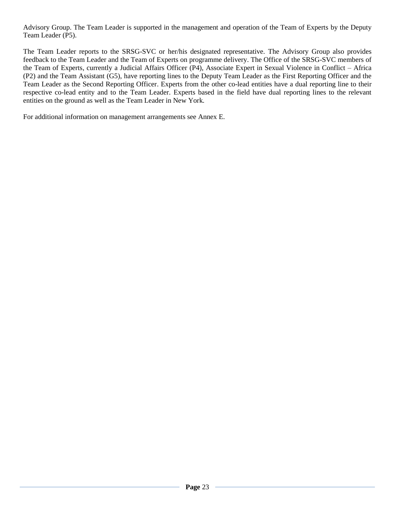Advisory Group. The Team Leader is supported in the management and operation of the Team of Experts by the Deputy Team Leader (P5).

The Team Leader reports to the SRSG-SVC or her/his designated representative. The Advisory Group also provides feedback to the Team Leader and the Team of Experts on programme delivery. The Office of the SRSG-SVC members of the Team of Experts, currently a Judicial Affairs Officer (P4), Associate Expert in Sexual Violence in Conflict – Africa (P2) and the Team Assistant (G5), have reporting lines to the Deputy Team Leader as the First Reporting Officer and the Team Leader as the Second Reporting Officer. Experts from the other co-lead entities have a dual reporting line to their respective co-lead entity and to the Team Leader. Experts based in the field have dual reporting lines to the relevant entities on the ground as well as the Team Leader in New York.

For additional information on management arrangements see Annex E.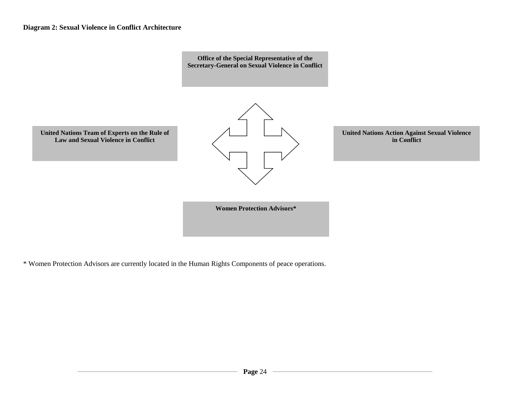

\* Women Protection Advisors are currently located in the Human Rights Components of peace operations.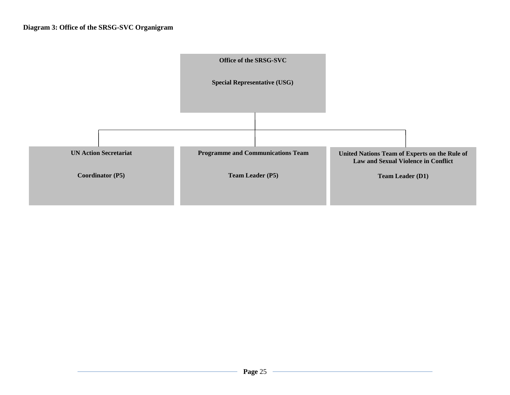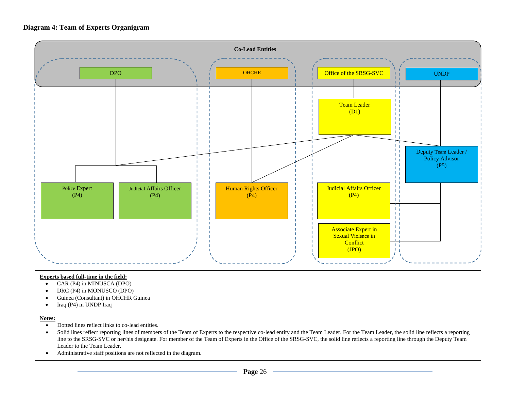## **Diagram 4: Team of Experts Organigram**



#### **Experts based full-time in the field:**

- CAR (P4) in MINUSCA (DPO)
- DRC (P4) in MONUSCO (DPO)
- Guinea (Consultant) in OHCHR Guinea
- $\bullet$  Iraq (P4) in UNDP Iraq

#### **Notes:**

- Dotted lines reflect links to co-lead entities.
- Solid lines reflect reporting lines of members of the Team of Experts to the respective co-lead entity and the Team Leader. For the Team Leader, the solid line reflects a reporting line to the SRSG-SVC or her/his designate. For member of the Team of Experts in the Office of the SRSG-SVC, the solid line reflects a reporting line through the Deputy Team Leader to the Team Leader.
- Administrative staff positions are not reflected in the diagram.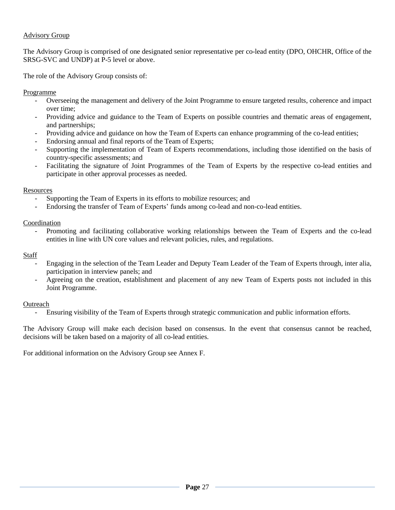## Advisory Group

The Advisory Group is comprised of one designated senior representative per co-lead entity (DPO, OHCHR, Office of the SRSG-SVC and UNDP) at P-5 level or above.

The role of the Advisory Group consists of:

Programme

- Overseeing the management and delivery of the Joint Programme to ensure targeted results, coherence and impact over time;
- Providing advice and guidance to the Team of Experts on possible countries and thematic areas of engagement, and partnerships;
- Providing advice and guidance on how the Team of Experts can enhance programming of the co-lead entities;
- Endorsing annual and final reports of the Team of Experts;
- Supporting the implementation of Team of Experts recommendations, including those identified on the basis of country-specific assessments; and
- Facilitating the signature of Joint Programmes of the Team of Experts by the respective co-lead entities and participate in other approval processes as needed.

### **Resources**

- Supporting the Team of Experts in its efforts to mobilize resources; and
- Endorsing the transfer of Team of Experts' funds among co-lead and non-co-lead entities.

Coordination

- Promoting and facilitating collaborative working relationships between the Team of Experts and the co-lead entities in line with UN core values and relevant policies, rules, and regulations.

Staff

- Engaging in the selection of the Team Leader and Deputy Team Leader of the Team of Experts through, inter alia, participation in interview panels; and
- Agreeing on the creation, establishment and placement of any new Team of Experts posts not included in this Joint Programme.

### **Outreach**

- Ensuring visibility of the Team of Experts through strategic communication and public information efforts.

The Advisory Group will make each decision based on consensus. In the event that consensus cannot be reached, decisions will be taken based on a majority of all co-lead entities.

For additional information on the Advisory Group see Annex F.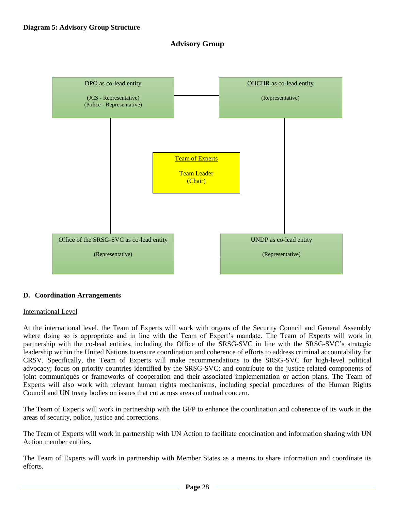## **Advisory Group**



### <span id="page-27-0"></span>**D. Coordination Arrangements**

### International Level

At the international level, the Team of Experts will work with organs of the Security Council and General Assembly where doing so is appropriate and in line with the Team of Expert's mandate. The Team of Experts will work in partnership with the co-lead entities, including the Office of the SRSG-SVC in line with the SRSG-SVC's strategic leadership within the United Nations to ensure coordination and coherence of efforts to address criminal accountability for CRSV. Specifically, the Team of Experts will make recommendations to the SRSG-SVC for high-level political advocacy; focus on priority countries identified by the SRSG-SVC; and contribute to the justice related components of joint communiqués or frameworks of cooperation and their associated implementation or action plans. The Team of Experts will also work with relevant human rights mechanisms, including special procedures of the Human Rights Council and UN treaty bodies on issues that cut across areas of mutual concern.

The Team of Experts will work in partnership with the GFP to enhance the coordination and coherence of its work in the areas of security, police, justice and corrections.

The Team of Experts will work in partnership with UN Action to facilitate coordination and information sharing with UN Action member entities.

The Team of Experts will work in partnership with Member States as a means to share information and coordinate its efforts.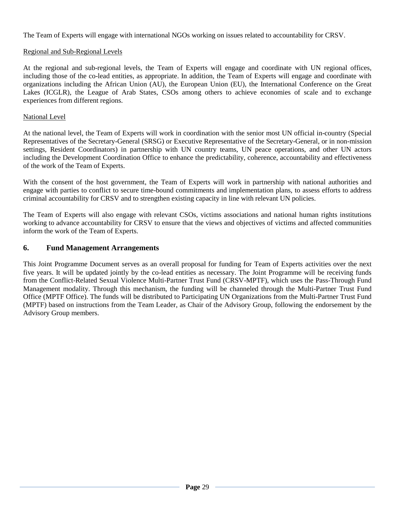The Team of Experts will engage with international NGOs working on issues related to accountability for CRSV.

## Regional and Sub-Regional Levels

At the regional and sub-regional levels, the Team of Experts will engage and coordinate with UN regional offices, including those of the co-lead entities, as appropriate. In addition, the Team of Experts will engage and coordinate with organizations including the African Union (AU), the European Union (EU), the International Conference on the Great Lakes (ICGLR), the League of Arab States, CSOs among others to achieve economies of scale and to exchange experiences from different regions.

## National Level

At the national level, the Team of Experts will work in coordination with the senior most UN official in-country (Special Representatives of the Secretary-General (SRSG) or Executive Representative of the Secretary-General, or in non-mission settings, Resident Coordinators) in partnership with UN country teams, UN peace operations, and other UN actors including the Development Coordination Office to enhance the predictability, coherence, accountability and effectiveness of the work of the Team of Experts.

With the consent of the host government, the Team of Experts will work in partnership with national authorities and engage with parties to conflict to secure time-bound commitments and implementation plans, to assess efforts to address criminal accountability for CRSV and to strengthen existing capacity in line with relevant UN policies.

The Team of Experts will also engage with relevant CSOs, victims associations and national human rights institutions working to advance accountability for CRSV to ensure that the views and objectives of victims and affected communities inform the work of the Team of Experts.

## <span id="page-28-0"></span>**6. Fund Management Arrangements**

This Joint Programme Document serves as an overall proposal for funding for Team of Experts activities over the next five years. It will be updated jointly by the co-lead entities as necessary. The Joint Programme will be receiving funds from the Conflict-Related Sexual Violence Multi-Partner Trust Fund (CRSV-MPTF), which uses the Pass-Through Fund Management modality. Through this mechanism, the funding will be channeled through the Multi-Partner Trust Fund Office (MPTF Office). The funds will be distributed to Participating UN Organizations from the Multi-Partner Trust Fund (MPTF) based on instructions from the Team Leader, as Chair of the Advisory Group, following the endorsement by the Advisory Group members.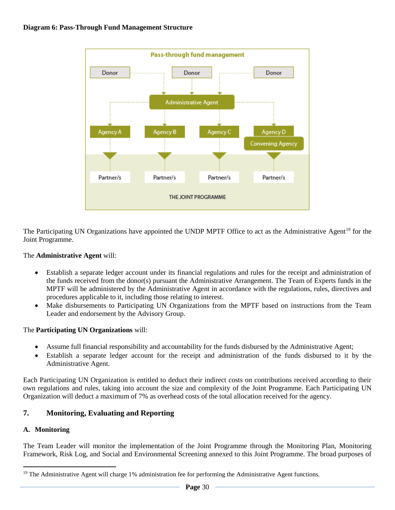

The Participating UN Organizations have appointed the UNDP MPTF Office to act as the Administrative Agent<sup>19</sup> for the Joint Programme.

## The **Administrative Agent** will:

- Establish a separate ledger account under its financial regulations and rules for the receipt and administration of the funds received from the donor(s) pursuant the Administrative Arrangement. The Team of Experts funds in the MPTF will be administered by the Administrative Agent in accordance with the regulations, rules, directives and procedures applicable to it, including those relating to interest.
- Make disbursements to Participating UN Organizations from the MPTF based on instructions from the Team Leader and endorsement by the Advisory Group.

## The **Participating UN Organizations** will:

- Assume full financial responsibility and accountability for the funds disbursed by the Administrative Agent;
- Establish a separate ledger account for the receipt and administration of the funds disbursed to it by the Administrative Agent.

Each Participating UN Organization is entitled to deduct their indirect costs on contributions received according to their own regulations and rules, taking into account the size and complexity of the Joint Programme. Each Participating UN Organization will deduct a maximum of 7% as overhead costs of the total allocation received for the agency.

# <span id="page-29-0"></span>**7. Monitoring, Evaluating and Reporting**

## <span id="page-29-1"></span>**A. Monitoring**

 $\overline{a}$ 

The Team Leader will monitor the implementation of the Joint Programme through the Monitoring Plan, Monitoring Framework, Risk Log, and Social and Environmental Screening annexed to this Joint Programme. The broad purposes of

<sup>&</sup>lt;sup>19</sup> The Administrative Agent will charge 1% administration fee for performing the Administrative Agent functions.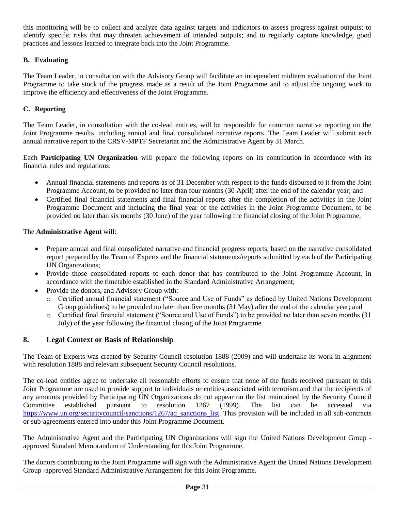this monitoring will be to collect and analyze data against targets and indicators to assess progress against outputs; to identify specific risks that may threaten achievement of intended outputs; and to regularly capture knowledge, good practices and lessons learned to integrate back into the Joint Programme.

## <span id="page-30-0"></span>**B. Evaluating**

The Team Leader, in consultation with the Advisory Group will facilitate an independent midterm evaluation of the Joint Programme to take stock of the progress made as a result of the Joint Programme and to adjust the ongoing work to improve the efficiency and effectiveness of the Joint Programme.

## <span id="page-30-1"></span>**C. Reporting**

The Team Leader, in consultation with the co-lead entities, will be responsible for common narrative reporting on the Joint Programme results, including annual and final consolidated narrative reports. The Team Leader will submit each annual narrative report to the CRSV-MPTF Secretariat and the Administrative Agent by 31 March.

Each **Participating UN Organization** will prepare the following reports on its contribution in accordance with its financial rules and regulations:

- Annual financial statements and reports as of 31 December with respect to the funds disbursed to it from the Joint Programme Account, to be provided no later than four months (30 April) after the end of the calendar year; and
- Certified final financial statements and final financial reports after the completion of the activities in the Joint Programme Document and including the final year of the activities in the Joint Programme Document, to be provided no later than six months (30 June) of the year following the financial closing of the Joint Programme.

The **Administrative Agent** will:

- Prepare annual and final consolidated narrative and financial progress reports, based on the narrative consolidated report prepared by the Team of Experts and the financial statements/reports submitted by each of the Participating UN Organizations;
- Provide those consolidated reports to each donor that has contributed to the Joint Programme Account, in accordance with the timetable established in the Standard Administrative Arrangement;
- Provide the donors, and Advisory Group with:
	- o Certified annual financial statement ("Source and Use of Funds" as defined by United Nations Development Group guidelines) to be provided no later than five months (31 May) after the end of the calendar year; and
	- o Certified final financial statement ("Source and Use of Funds") to be provided no later than seven months (31 July) of the year following the financial closing of the Joint Programme.

# <span id="page-30-2"></span>**8. Legal Context or Basis of Relationship**

The Team of Experts was created by Security Council resolution 1888 (2009) and will undertake its work in alignment with resolution 1888 and relevant subsequent Security Council resolutions.

The co-lead entities agree to undertake all reasonable efforts to ensure that none of the funds received pursuant to this Joint Programme are used to provide support to individuals or entities associated with terrorism and that the recipients of any amounts provided by Participating UN Organizations do not appear on the list maintained by the Security Council Committee established pursuant to resolution 1267 (1999). The list can be accessed via [https://www.un.org/securitycouncil/sanctions/1267/aq\\_sanctions\\_list.](https://www.un.org/securitycouncil/sanctions/1267/aq_sanctions_list) This provision will be included in all sub-contracts or sub-agreements entered into under this Joint Programme Document.

The Administrative Agent and the Participating UN Organizations will sign the United Nations Development Group approved Standard Memorandum of Understanding for this Joint Programme.

The donors contributing to the Joint Programme will sign with the Administrative Agent the United Nations Development Group -approved Standard Administrative Arrangement for this Joint Programme.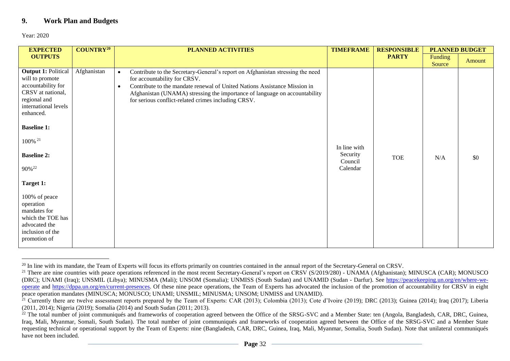# **9. Work Plan and Budgets**

Year: 2020

<span id="page-31-0"></span>

| <b>EXPECTED</b>                                                                                                                               | $COUNTRY^{20}$ | <b>PLANNED ACTIVITIES</b>                                                                                                                                                                                                                                                                                                                                  | <b>TIMEFRAME</b>    | <b>RESPONSIBLE</b> | <b>PLANNED BUDGET</b> |        |
|-----------------------------------------------------------------------------------------------------------------------------------------------|----------------|------------------------------------------------------------------------------------------------------------------------------------------------------------------------------------------------------------------------------------------------------------------------------------------------------------------------------------------------------------|---------------------|--------------------|-----------------------|--------|
| <b>OUTPUTS</b>                                                                                                                                |                |                                                                                                                                                                                                                                                                                                                                                            |                     | <b>PARTY</b>       | Funding<br>Source     | Amount |
| <b>Output 1: Political</b><br>will to promote<br>accountability for<br>CRSV at national,<br>regional and<br>international levels<br>enhanced. | Afghanistan    | Contribute to the Secretary-General's report on Afghanistan stressing the need<br>$\bullet$<br>for accountability for CRSV.<br>Contribute to the mandate renewal of United Nations Assistance Mission in<br>$\bullet$<br>Afghanistan (UNAMA) stressing the importance of language on accountability<br>for serious conflict-related crimes including CRSV. |                     |                    |                       |        |
| <b>Baseline 1:</b>                                                                                                                            |                |                                                                                                                                                                                                                                                                                                                                                            |                     |                    |                       |        |
| 100% <sup>21</sup>                                                                                                                            |                |                                                                                                                                                                                                                                                                                                                                                            | In line with        |                    |                       |        |
| <b>Baseline 2:</b>                                                                                                                            |                |                                                                                                                                                                                                                                                                                                                                                            | Security<br>Council | <b>TOE</b>         | N/A                   | \$0    |
| 90% <sup>22</sup>                                                                                                                             |                |                                                                                                                                                                                                                                                                                                                                                            | Calendar            |                    |                       |        |
| Target 1:                                                                                                                                     |                |                                                                                                                                                                                                                                                                                                                                                            |                     |                    |                       |        |
| 100% of peace<br>operation<br>mandates for<br>which the TOE has<br>advocated the<br>inclusion of the<br>promotion of                          |                |                                                                                                                                                                                                                                                                                                                                                            |                     |                    |                       |        |

 $^{20}$  In line with its mandate, the Team of Experts will focus its efforts primarily on countries contained in the annual report of the Secretary-General on CRSV.

<sup>&</sup>lt;sup>21</sup> There are nine countries with peace operations referenced in the most recent Secretary-General's report on CRSV (S/2019/280) - UNAMA (Afghanistan); MINUSCA (CAR); MONUSCO (DRC); UNAMI (Iraq); UNSMIL (Libya); MINUSMA (Mali); UNSOM (Somalia); UNMISS (South Sudan) and UNAMID (Sudan - Darfur). See [https://peacekeeping.un.org/en/where-we](https://peacekeeping.un.org/en/where-we-operate)[operate](https://peacekeeping.un.org/en/where-we-operate) and [https://dppa.un.org/en/current-presences.](https://dppa.un.org/en/current-presences) Of these nine peace operations, the Team of Experts has advocated the inclusion of the promotion of accountability for CRSV in eight peace operation mandates (MINUSCA; MONUSCO; UNAMI; UNSMIL; MINUSMA; UNSOM; UNMISS and UNAMID).

 $^{\overline{2}1}$  Currently there are twelve assessment reports prepared by the Team of Experts: CAR (2013); Colombia (2013); Cote d'Ivoire (2019); DRC (2013); Guinea (2014); Iraq (2017); Liberia (2011, 2014); Nigeria (2019); Somalia (2014) and South Sudan (2011; 2013).

<sup>&</sup>lt;sup>22</sup> The total number of joint communiqués and frameworks of cooperation agreed between the Office of the SRSG-SVC and a Member State: ten (Angola, Bangladesh, CAR, DRC, Guinea, Iraq, Mali, Myanmar, Somali, South Sudan). The total number of joint communiqués and frameworks of cooperation agreed between the Office of the SRSG-SVC and a Member State requesting technical or operational support by the Team of Experts: nine (Bangladesh, CAR, DRC, Guinea, Iraq, Mali, Myanmar, Somalia, South Sudan). Note that unilateral communiqués have not been included.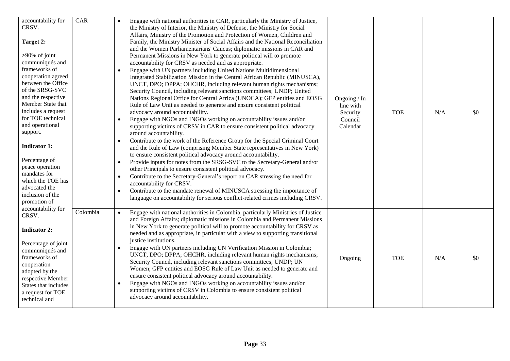| accountability for<br>CRSV.<br>Target 2:<br>$>90\%$ of joint<br>communiqués and<br>frameworks of<br>cooperation agreed<br>between the Office<br>of the SRSG-SVC<br>and the respective<br>Member State that<br>includes a request<br>for TOE technical<br>and operational<br>support.<br><b>Indicator 1:</b><br>Percentage of<br>peace operation<br>mandates for<br>which the TOE has<br>advocated the<br>inclusion of the<br>promotion of<br>accountability for | CAR      | Engage with national authorities in CAR, particularly the Ministry of Justice,<br>the Ministry of Interior, the Ministry of Defense, the Ministry for Social<br>Affairs, Ministry of the Promotion and Protection of Women, Children and<br>Family, the Ministry Minister of Social Affairs and the National Reconciliation<br>and the Women Parliamentarians' Caucus; diplomatic missions in CAR and<br>Permanent Missions in New York to generate political will to promote<br>accountability for CRSV as needed and as appropriate.<br>Engage with UN partners including United Nations Multidimensional<br>Integrated Stabilization Mission in the Central African Republic (MINUSCA),<br>UNCT, DPO; DPPA; OHCHR, including relevant human rights mechanisms;<br>Security Council, including relevant sanctions committees; UNDP; United<br>Nations Regional Office for Central Africa (UNOCA); GFP entities and EOSG<br>Rule of Law Unit as needed to generate and ensure consistent political<br>advocacy around accountability.<br>Engage with NGOs and INGOs working on accountability issues and/or<br>$\bullet$<br>supporting victims of CRSV in CAR to ensure consistent political advocacy<br>around accountability.<br>Contribute to the work of the Reference Group for the Special Criminal Court<br>$\bullet$<br>and the Rule of Law (comprising Member State representatives in New York)<br>to ensure consistent political advocacy around accountability.<br>Provide inputs for notes from the SRSG-SVC to the Secretary-General and/or<br>$\bullet$<br>other Principals to ensure consistent political advocacy.<br>Contribute to the Secretary-General's report on CAR stressing the need for<br>$\bullet$<br>accountability for CRSV.<br>Contribute to the mandate renewal of MINUSCA stressing the importance of<br>$\bullet$<br>language on accountability for serious conflict-related crimes including CRSV. | Ongoing / In<br>line with<br>Security<br>Council<br>Calendar | <b>TOE</b> | N/A | \$0 |
|-----------------------------------------------------------------------------------------------------------------------------------------------------------------------------------------------------------------------------------------------------------------------------------------------------------------------------------------------------------------------------------------------------------------------------------------------------------------|----------|----------------------------------------------------------------------------------------------------------------------------------------------------------------------------------------------------------------------------------------------------------------------------------------------------------------------------------------------------------------------------------------------------------------------------------------------------------------------------------------------------------------------------------------------------------------------------------------------------------------------------------------------------------------------------------------------------------------------------------------------------------------------------------------------------------------------------------------------------------------------------------------------------------------------------------------------------------------------------------------------------------------------------------------------------------------------------------------------------------------------------------------------------------------------------------------------------------------------------------------------------------------------------------------------------------------------------------------------------------------------------------------------------------------------------------------------------------------------------------------------------------------------------------------------------------------------------------------------------------------------------------------------------------------------------------------------------------------------------------------------------------------------------------------------------------------------------------------------------------------------------------------------------------------------------------------|--------------------------------------------------------------|------------|-----|-----|
| CRSV.<br><b>Indicator 2:</b><br>Percentage of joint<br>communiqués and<br>frameworks of<br>cooperation<br>adopted by the<br>respective Member<br>States that includes<br>a request for TOE<br>technical and                                                                                                                                                                                                                                                     | Colombia | Engage with national authorities in Colombia, particularly Ministries of Justice<br>$\bullet$<br>and Foreign Affairs; diplomatic missions in Colombia and Permanent Missions<br>in New York to generate political will to promote accountability for CRSV as<br>needed and as appropriate, in particular with a view to supporting transitional<br>justice institutions.<br>Engage with UN partners including UN Verification Mission in Colombia;<br>$\bullet$<br>UNCT, DPO; DPPA; OHCHR, including relevant human rights mechanisms;<br>Security Council, including relevant sanctions committees; UNDP; UN<br>Women; GFP entities and EOSG Rule of Law Unit as needed to generate and<br>ensure consistent political advocacy around accountability.<br>Engage with NGOs and INGOs working on accountability issues and/or<br>$\bullet$<br>supporting victims of CRSV in Colombia to ensure consistent political<br>advocacy around accountability.                                                                                                                                                                                                                                                                                                                                                                                                                                                                                                                                                                                                                                                                                                                                                                                                                                                                                                                                                                                 | Ongoing                                                      | <b>TOE</b> | N/A | \$0 |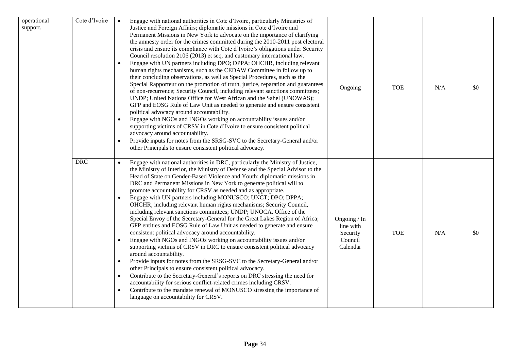| operational<br>support. | Cote d'Ivoire | Engage with national authorities in Cote d'Ivoire, particularly Ministries of<br>Justice and Foreign Affairs; diplomatic missions in Cote d'Ivoire and<br>Permanent Missions in New York to advocate on the importance of clarifying<br>the amnesty order for the crimes committed during the 2010-2011 post electoral<br>crisis and ensure its compliance with Cote d'Ivoire's obligations under Security<br>Council resolution 2106 (2013) et seq. and customary international law.<br>Engage with UN partners including DPO; DPPA; OHCHR, including relevant<br>human rights mechanisms, such as the CEDAW Committee in follow up to<br>their concluding observations, as well as Special Procedures, such as the<br>Special Rapporteur on the promotion of truth, justice, reparation and guarantees<br>of non-recurrence; Security Council, including relevant sanctions committees;<br>UNDP; United Nations Office for West African and the Sahel (UNOWAS);<br>GFP and EOSG Rule of Law Unit as needed to generate and ensure consistent<br>political advocacy around accountability.<br>Engage with NGOs and INGOs working on accountability issues and/or<br>$\bullet$<br>supporting victims of CRSV in Cote d'Ivoire to ensure consistent political<br>advocacy around accountability.<br>Provide inputs for notes from the SRSG-SVC to the Secretary-General and/or<br>$\bullet$<br>other Principals to ensure consistent political advocacy.                                                 | Ongoing                                                      | <b>TOE</b> | N/A | \$0 |
|-------------------------|---------------|---------------------------------------------------------------------------------------------------------------------------------------------------------------------------------------------------------------------------------------------------------------------------------------------------------------------------------------------------------------------------------------------------------------------------------------------------------------------------------------------------------------------------------------------------------------------------------------------------------------------------------------------------------------------------------------------------------------------------------------------------------------------------------------------------------------------------------------------------------------------------------------------------------------------------------------------------------------------------------------------------------------------------------------------------------------------------------------------------------------------------------------------------------------------------------------------------------------------------------------------------------------------------------------------------------------------------------------------------------------------------------------------------------------------------------------------------------------------------------------------------------|--------------------------------------------------------------|------------|-----|-----|
|                         | <b>DRC</b>    | Engage with national authorities in DRC, particularly the Ministry of Justice,<br>$\bullet$<br>the Ministry of Interior, the Ministry of Defense and the Special Advisor to the<br>Head of State on Gender-Based Violence and Youth; diplomatic missions in<br>DRC and Permanent Missions in New York to generate political will to<br>promote accountability for CRSV as needed and as appropriate.<br>Engage with UN partners including MONUSCO; UNCT; DPO; DPPA;<br>$\bullet$<br>OHCHR, including relevant human rights mechanisms; Security Council,<br>including relevant sanctions committees; UNDP; UNOCA, Office of the<br>Special Envoy of the Secretary-General for the Great Lakes Region of Africa;<br>GFP entities and EOSG Rule of Law Unit as needed to generate and ensure<br>consistent political advocacy around accountability.<br>Engage with NGOs and INGOs working on accountability issues and/or<br>$\bullet$<br>supporting victims of CRSV in DRC to ensure consistent political advocacy<br>around accountability.<br>Provide inputs for notes from the SRSG-SVC to the Secretary-General and/or<br>$\bullet$<br>other Principals to ensure consistent political advocacy.<br>Contribute to the Secretary-General's reports on DRC stressing the need for<br>$\bullet$<br>accountability for serious conflict-related crimes including CRSV.<br>Contribute to the mandate renewal of MONUSCO stressing the importance of<br>$\bullet$<br>language on accountability for CRSV. | Ongoing / In<br>line with<br>Security<br>Council<br>Calendar | <b>TOE</b> | N/A | \$0 |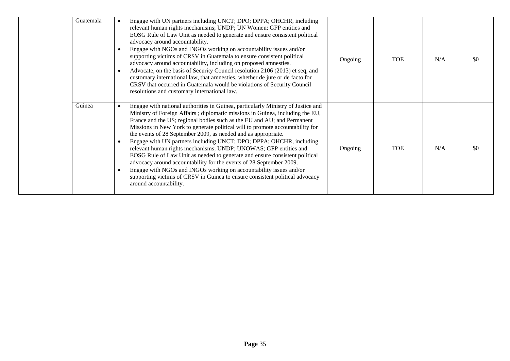| Guatemala | Engage with UN partners including UNCT; DPO; DPPA; OHCHR, including<br>relevant human rights mechanisms; UNDP; UN Women; GFP entities and<br>EOSG Rule of Law Unit as needed to generate and ensure consistent political<br>advocacy around accountability.<br>Engage with NGOs and INGOs working on accountability issues and/or<br>supporting victims of CRSV in Guatemala to ensure consistent political<br>advocacy around accountability, including on proposed amnesties.<br>Advocate, on the basis of Security Council resolution 2106 (2013) et seq, and<br>customary international law, that amnesties, whether de jure or de facto for<br>CRSV that occurred in Guatemala would be violations of Security Council<br>resolutions and customary international law.                                                                                                                    | Ongoing | <b>TOE</b> | N/A | \$0  |
|-----------|------------------------------------------------------------------------------------------------------------------------------------------------------------------------------------------------------------------------------------------------------------------------------------------------------------------------------------------------------------------------------------------------------------------------------------------------------------------------------------------------------------------------------------------------------------------------------------------------------------------------------------------------------------------------------------------------------------------------------------------------------------------------------------------------------------------------------------------------------------------------------------------------|---------|------------|-----|------|
| Guinea    | Engage with national authorities in Guinea, particularly Ministry of Justice and<br>$\bullet$<br>Ministry of Foreign Affairs ; diplomatic missions in Guinea, including the EU,<br>France and the US; regional bodies such as the EU and AU; and Permanent<br>Missions in New York to generate political will to promote accountability for<br>the events of 28 September 2009, as needed and as appropriate.<br>Engage with UN partners including UNCT; DPO; DPPA; OHCHR, including<br>relevant human rights mechanisms; UNDP; UNOWAS; GFP entities and<br>EOSG Rule of Law Unit as needed to generate and ensure consistent political<br>advocacy around accountability for the events of 28 September 2009.<br>Engage with NGOs and INGOs working on accountability issues and/or<br>supporting victims of CRSV in Guinea to ensure consistent political advocacy<br>around accountability. | Ongoing | <b>TOE</b> | N/A | -\$0 |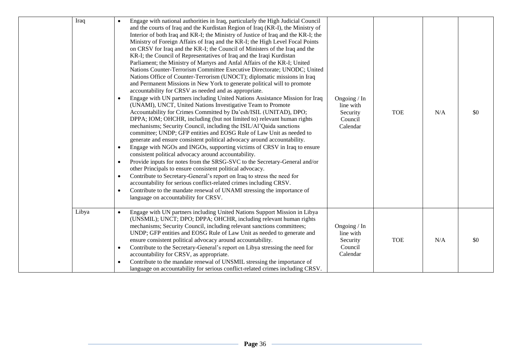| Iraq  | Engage with national authorities in Iraq, particularly the High Judicial Council<br>$\bullet$<br>and the courts of Iraq and the Kurdistan Region of Iraq (KR-I), the Ministry of<br>Interior of both Iraq and KR-I; the Ministry of Justice of Iraq and the KR-I; the<br>Ministry of Foreign Affairs of Iraq and the KR-I; the High Level Focal Points<br>on CRSV for Iraq and the KR-I; the Council of Ministers of the Iraq and the<br>KR-I; the Council of Representatives of Iraq and the Iraqi Kurdistan<br>Parliament; the Ministry of Martyrs and Anfal Affairs of the KR-I; United<br>Nations Counter-Terrorism Committee Executive Directorate; UNODC; United<br>Nations Office of Counter-Terrorism (UNOCT); diplomatic missions in Iraq<br>and Permanent Missions in New York to generate political will to promote<br>accountability for CRSV as needed and as appropriate.<br>Engage with UN partners including United Nations Assistance Mission for Iraq<br>(UNAMI), UNCT, United Nations Investigative Team to Promote<br>Accountability for Crimes Committed by Da'esh/ISIL (UNITAD), DPO;<br>DPPA; IOM; OHCHR, including (but not limited to) relevant human rights<br>mechanisms; Security Council, including the ISIL/Al'Qaida sanctions<br>committee; UNDP; GFP entities and EOSG Rule of Law Unit as needed to<br>generate and ensure consistent political advocacy around accountability.<br>Engage with NGOs and INGOs, supporting victims of CRSV in Iraq to ensure<br>$\bullet$<br>consistent political advocacy around accountability.<br>Provide inputs for notes from the SRSG-SVC to the Secretary-General and/or<br>$\bullet$<br>other Principals to ensure consistent political advocacy.<br>Contribute to Secretary-General's report on Iraq to stress the need for<br>accountability for serious conflict-related crimes including CRSV.<br>Contribute to the mandate renewal of UNAMI stressing the importance of<br>٠<br>language on accountability for CRSV. | Ongoing / In<br>line with<br>Security<br>Council<br>Calendar | <b>TOE</b> | N/A | \$0 |
|-------|---------------------------------------------------------------------------------------------------------------------------------------------------------------------------------------------------------------------------------------------------------------------------------------------------------------------------------------------------------------------------------------------------------------------------------------------------------------------------------------------------------------------------------------------------------------------------------------------------------------------------------------------------------------------------------------------------------------------------------------------------------------------------------------------------------------------------------------------------------------------------------------------------------------------------------------------------------------------------------------------------------------------------------------------------------------------------------------------------------------------------------------------------------------------------------------------------------------------------------------------------------------------------------------------------------------------------------------------------------------------------------------------------------------------------------------------------------------------------------------------------------------------------------------------------------------------------------------------------------------------------------------------------------------------------------------------------------------------------------------------------------------------------------------------------------------------------------------------------------------------------------------------------------------------------------------------------------------------------------------------------|--------------------------------------------------------------|------------|-----|-----|
| Libya | Engage with UN partners including United Nations Support Mission in Libya<br>(UNSMIL); UNCT; DPO; DPPA; OHCHR, including relevant human rights<br>mechanisms; Security Council, including relevant sanctions committees;<br>UNDP; GFP entities and EOSG Rule of Law Unit as needed to generate and<br>ensure consistent political advocacy around accountability.<br>Contribute to the Secretary-General's report on Libya stressing the need for<br>$\bullet$<br>accountability for CRSV, as appropriate.<br>Contribute to the mandate renewal of UNSMIL stressing the importance of<br>language on accountability for serious conflict-related crimes including CRSV.                                                                                                                                                                                                                                                                                                                                                                                                                                                                                                                                                                                                                                                                                                                                                                                                                                                                                                                                                                                                                                                                                                                                                                                                                                                                                                                           | Ongoing / In<br>line with<br>Security<br>Council<br>Calendar | <b>TOE</b> | N/A | \$0 |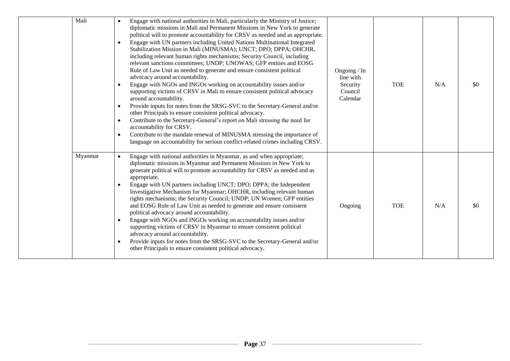| Mali    | Engage with national authorities in Mali, particularly the Ministry of Justice;<br>diplomatic missions in Mali and Permanent Missions in New York to generate<br>political will to promote accountability for CRSV as needed and as appropriate.<br>Engage with UN partners including United Nations Multinational Integrated<br>Stabilization Mission in Mali (MINUSMA); UNCT; DPO; DPPA; OHCHR,<br>including relevant human rights mechanisms; Security Council, including<br>relevant sanctions committees; UNDP; UNOWAS; GFP entities and EOSG<br>Rule of Law Unit as needed to generate and ensure consistent political<br>advocacy around accountability.<br>Engage with NGOs and INGOs working on accountability issues and/or<br>supporting victims of CRSV in Mali to ensure consistent political advocacy<br>around accountability.<br>Provide inputs for notes from the SRSG-SVC to the Secretary-General and/or<br>other Principals to ensure consistent political advocacy.<br>Contribute to the Secretary-General's report on Mali stressing the need for<br>accountability for CRSV.<br>Contribute to the mandate renewal of MINUSMA stressing the importance of<br>language on accountability for serious conflict-related crimes including CRSV. | Ongoing / In<br>line with<br>Security<br>Council<br>Calendar | <b>TOE</b> | N/A | \$0 |
|---------|-------------------------------------------------------------------------------------------------------------------------------------------------------------------------------------------------------------------------------------------------------------------------------------------------------------------------------------------------------------------------------------------------------------------------------------------------------------------------------------------------------------------------------------------------------------------------------------------------------------------------------------------------------------------------------------------------------------------------------------------------------------------------------------------------------------------------------------------------------------------------------------------------------------------------------------------------------------------------------------------------------------------------------------------------------------------------------------------------------------------------------------------------------------------------------------------------------------------------------------------------------------------|--------------------------------------------------------------|------------|-----|-----|
| Myanmar | Engage with national authorities in Myanmar, as and when appropriate;<br>diplomatic missions in Myanmar and Permanent Missions in New York to<br>generate political will to promote accountability for CRSV as needed and as<br>appropriate.<br>Engage with UN partners including UNCT; DPO; DPPA; the Independent<br>Investigative Mechanism for Myanmar; OHCHR, including relevant human<br>rights mechanisms; the Security Council; UNDP; UN Women; GFP entities<br>and EOSG Rule of Law Unit as needed to generate and ensure consistent<br>political advocacy around accountability.<br>Engage with NGOs and INGOs working on accountability issues and/or<br>supporting victims of CRSV in Myanmar to ensure consistent political<br>advocacy around accountability.<br>Provide inputs for notes from the SRSG-SVC to the Secretary-General and/or<br>other Principals to ensure consistent political advocacy.                                                                                                                                                                                                                                                                                                                                             | Ongoing                                                      | <b>TOE</b> | N/A | \$0 |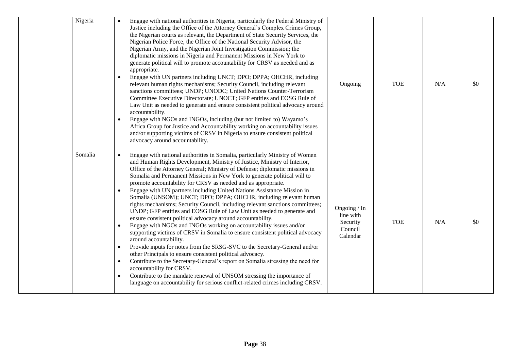| Nigeria | Engage with national authorities in Nigeria, particularly the Federal Ministry of<br>$\bullet$<br>Justice including the Office of the Attorney General's Complex Crimes Group,<br>the Nigerian courts as relevant, the Department of State Security Services, the<br>Nigerian Police Force, the Office of the National Security Advisor, the<br>Nigerian Army, and the Nigerian Joint Investigation Commission; the<br>diplomatic missions in Nigeria and Permanent Missions in New York to<br>generate political will to promote accountability for CRSV as needed and as<br>appropriate.<br>Engage with UN partners including UNCT; DPO; DPPA; OHCHR, including<br>$\bullet$<br>relevant human rights mechanisms; Security Council, including relevant<br>sanctions committees; UNDP; UNODC; United Nations Counter-Terrorism<br>Committee Executive Directorate; UNOCT; GFP entities and EOSG Rule of<br>Law Unit as needed to generate and ensure consistent political advocacy around<br>accountability.<br>Engage with NGOs and INGOs, including (but not limited to) Wayamo's<br>$\bullet$<br>Africa Group for Justice and Accountability working on accountability issues<br>and/or supporting victims of CRSV in Nigeria to ensure consistent political<br>advocacy around accountability.                                                                                                                                 | Ongoing                                                      | <b>TOE</b> | N/A | \$0 |
|---------|-------------------------------------------------------------------------------------------------------------------------------------------------------------------------------------------------------------------------------------------------------------------------------------------------------------------------------------------------------------------------------------------------------------------------------------------------------------------------------------------------------------------------------------------------------------------------------------------------------------------------------------------------------------------------------------------------------------------------------------------------------------------------------------------------------------------------------------------------------------------------------------------------------------------------------------------------------------------------------------------------------------------------------------------------------------------------------------------------------------------------------------------------------------------------------------------------------------------------------------------------------------------------------------------------------------------------------------------------------------------------------------------------------------------------------------|--------------------------------------------------------------|------------|-----|-----|
| Somalia | Engage with national authorities in Somalia, particularly Ministry of Women<br>and Human Rights Development, Ministry of Justice, Ministry of Interior,<br>Office of the Attorney General; Ministry of Defense; diplomatic missions in<br>Somalia and Permanent Missions in New York to generate political will to<br>promote accountability for CRSV as needed and as appropriate.<br>Engage with UN partners including United Nations Assistance Mission in<br>$\bullet$<br>Somalia (UNSOM); UNCT; DPO; DPPA; OHCHR, including relevant human<br>rights mechanisms; Security Council, including relevant sanctions committees;<br>UNDP; GFP entities and EOSG Rule of Law Unit as needed to generate and<br>ensure consistent political advocacy around accountability.<br>Engage with NGOs and INGOs working on accountability issues and/or<br>$\bullet$<br>supporting victims of CRSV in Somalia to ensure consistent political advocacy<br>around accountability.<br>Provide inputs for notes from the SRSG-SVC to the Secretary-General and/or<br>$\bullet$<br>other Principals to ensure consistent political advocacy.<br>Contribute to the Secretary-General's report on Somalia stressing the need for<br>$\bullet$<br>accountability for CRSV.<br>Contribute to the mandate renewal of UNSOM stressing the importance of<br>$\bullet$<br>language on accountability for serious conflict-related crimes including CRSV. | Ongoing / In<br>line with<br>Security<br>Council<br>Calendar | <b>TOE</b> | N/A | \$0 |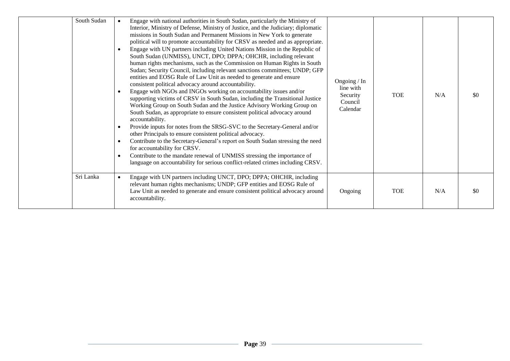| South Sudan | $\bullet$<br>$\bullet$ | Engage with national authorities in South Sudan, particularly the Ministry of<br>Interior, Ministry of Defense, Ministry of Justice, and the Judiciary; diplomatic<br>missions in South Sudan and Permanent Missions in New York to generate<br>political will to promote accountability for CRSV as needed and as appropriate.<br>Engage with UN partners including United Nations Mission in the Republic of<br>South Sudan (UNMISS), UNCT, DPO; DPPA; OHCHR, including relevant<br>human rights mechanisms, such as the Commission on Human Rights in South<br>Sudan; Security Council, including relevant sanctions committees; UNDP; GFP<br>entities and EOSG Rule of Law Unit as needed to generate and ensure<br>consistent political advocacy around accountability.<br>Engage with NGOs and INGOs working on accountability issues and/or<br>supporting victims of CRSV in South Sudan, including the Transitional Justice<br>Working Group on South Sudan and the Justice Advisory Working Group on<br>South Sudan, as appropriate to ensure consistent political advocacy around<br>accountability.<br>Provide inputs for notes from the SRSG-SVC to the Secretary-General and/or<br>other Principals to ensure consistent political advocacy.<br>Contribute to the Secretary-General's report on South Sudan stressing the need<br>for accountability for CRSV.<br>Contribute to the mandate renewal of UNMISS stressing the importance of<br>language on accountability for serious conflict-related crimes including CRSV. | Ongoing / In<br>line with<br>Security<br>Council<br>Calendar | <b>TOE</b> | N/A | -80  |
|-------------|------------------------|------------------------------------------------------------------------------------------------------------------------------------------------------------------------------------------------------------------------------------------------------------------------------------------------------------------------------------------------------------------------------------------------------------------------------------------------------------------------------------------------------------------------------------------------------------------------------------------------------------------------------------------------------------------------------------------------------------------------------------------------------------------------------------------------------------------------------------------------------------------------------------------------------------------------------------------------------------------------------------------------------------------------------------------------------------------------------------------------------------------------------------------------------------------------------------------------------------------------------------------------------------------------------------------------------------------------------------------------------------------------------------------------------------------------------------------------------------------------------------------------------------------------------------------|--------------------------------------------------------------|------------|-----|------|
| Sri Lanka   |                        | Engage with UN partners including UNCT, DPO; DPPA; OHCHR, including<br>relevant human rights mechanisms; UNDP; GFP entities and EOSG Rule of<br>Law Unit as needed to generate and ensure consistent political advocacy around<br>accountability.                                                                                                                                                                                                                                                                                                                                                                                                                                                                                                                                                                                                                                                                                                                                                                                                                                                                                                                                                                                                                                                                                                                                                                                                                                                                                        | Ongoing                                                      | <b>TOE</b> | N/A | -\$0 |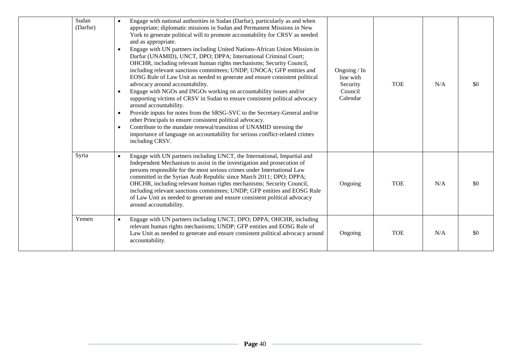| Sudan<br>(Darfur) | Engage with national authorities in Sudan (Darfur), particularly as and when<br>$\bullet$<br>appropriate; diplomatic missions in Sudan and Permanent Missions in New<br>York to generate political will to promote accountability for CRSV as needed<br>and as appropriate.<br>Engage with UN partners including United Nations-African Union Mission in<br>Darfur (UNAMID), UNCT, DPO; DPPA; International Criminal Court;<br>OHCHR, including relevant human rights mechanisms; Security Council,<br>including relevant sanctions committees; UNDP; UNOCA; GFP entities and<br>EOSG Rule of Law Unit as needed to generate and ensure consistent political<br>advocacy around accountability.<br>Engage with NGOs and INGOs working on accountability issues and/or<br>supporting victims of CRSV in Sudan to ensure consistent political advocacy<br>around accountability.<br>Provide inputs for notes from the SRSG-SVC to the Secretary-General and/or<br>$\bullet$<br>other Principals to ensure consistent political advocacy.<br>Contribute to the mandate renewal/transition of UNAMID stressing the<br>$\bullet$<br>importance of language on accountability for serious conflict-related crimes<br>including CRSV. | Ongoing / In<br>line with<br>Security<br>Council<br>Calendar | <b>TOE</b> | N/A | \$0 |
|-------------------|--------------------------------------------------------------------------------------------------------------------------------------------------------------------------------------------------------------------------------------------------------------------------------------------------------------------------------------------------------------------------------------------------------------------------------------------------------------------------------------------------------------------------------------------------------------------------------------------------------------------------------------------------------------------------------------------------------------------------------------------------------------------------------------------------------------------------------------------------------------------------------------------------------------------------------------------------------------------------------------------------------------------------------------------------------------------------------------------------------------------------------------------------------------------------------------------------------------------------------|--------------------------------------------------------------|------------|-----|-----|
| Syria             | Engage with UN partners including UNCT, the International, Impartial and<br>$\bullet$<br>Independent Mechanism to assist in the investigation and prosecution of<br>persons responsible for the most serious crimes under International Law<br>committed in the Syrian Arab Republic since March 2011; DPO; DPPA;<br>OHCHR, including relevant human rights mechanisms; Security Council,<br>including relevant sanctions committees; UNDP; GFP entities and EOSG Rule<br>of Law Unit as needed to generate and ensure consistent political advocacy<br>around accountability.                                                                                                                                                                                                                                                                                                                                                                                                                                                                                                                                                                                                                                                 | Ongoing                                                      | <b>TOE</b> | N/A | \$0 |
| Yemen             | Engage with UN partners including UNCT; DPO; DPPA; OHCHR, including<br>$\bullet$<br>relevant human rights mechanisms; UNDP; GFP entities and EOSG Rule of<br>Law Unit as needed to generate and ensure consistent political advocacy around<br>accountability.                                                                                                                                                                                                                                                                                                                                                                                                                                                                                                                                                                                                                                                                                                                                                                                                                                                                                                                                                                 | Ongoing                                                      | <b>TOE</b> | N/A | \$0 |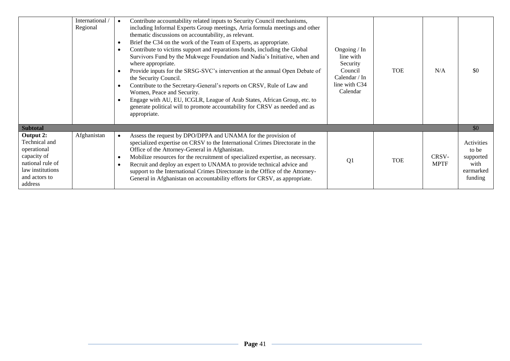|                                                                                                                              | International<br>Regional | Contribute accountability related inputs to Security Council mechanisms,<br>$\bullet$<br>including Informal Experts Group meetings, Arria formula meetings and other<br>thematic discussions on accountability, as relevant.<br>Brief the C34 on the work of the Team of Experts, as appropriate.<br>$\bullet$<br>Contribute to victims support and reparations funds, including the Global<br>$\bullet$<br>Survivors Fund by the Mukwege Foundation and Nadia's Initiative, when and<br>where appropriate.<br>Provide inputs for the SRSG-SVC's intervention at the annual Open Debate of<br>$\bullet$<br>the Security Council.<br>Contribute to the Secretary-General's reports on CRSV, Rule of Law and<br>$\bullet$<br>Women, Peace and Security.<br>Engage with AU, EU, ICGLR, League of Arab States, African Group, etc. to<br>$\bullet$<br>generate political will to promote accountability for CRSV as needed and as<br>appropriate. | Ongoing / In<br>line with<br>Security<br>Council<br>Calendar / In<br>line with C34<br>Calendar | <b>TOE</b> | N/A                  | \$0                                                              |
|------------------------------------------------------------------------------------------------------------------------------|---------------------------|-----------------------------------------------------------------------------------------------------------------------------------------------------------------------------------------------------------------------------------------------------------------------------------------------------------------------------------------------------------------------------------------------------------------------------------------------------------------------------------------------------------------------------------------------------------------------------------------------------------------------------------------------------------------------------------------------------------------------------------------------------------------------------------------------------------------------------------------------------------------------------------------------------------------------------------------------|------------------------------------------------------------------------------------------------|------------|----------------------|------------------------------------------------------------------|
| <b>Subtotal</b>                                                                                                              |                           |                                                                                                                                                                                                                                                                                                                                                                                                                                                                                                                                                                                                                                                                                                                                                                                                                                                                                                                                               |                                                                                                |            |                      | \$0                                                              |
| Output 2:<br>Technical and<br>operational<br>capacity of<br>national rule of<br>law institutions<br>and actors to<br>address | Afghanistan               | Assess the request by DPO/DPPA and UNAMA for the provision of<br>$\bullet$<br>specialized expertise on CRSV to the International Crimes Directorate in the<br>Office of the Attorney-General in Afghanistan.<br>Mobilize resources for the recruitment of specialized expertise, as necessary.<br>Recruit and deploy an expert to UNAMA to provide technical advice and<br>$\bullet$<br>support to the International Crimes Directorate in the Office of the Attorney-<br>General in Afghanistan on accountability efforts for CRSV, as appropriate.                                                                                                                                                                                                                                                                                                                                                                                          | Q <sub>1</sub>                                                                                 | <b>TOE</b> | CRSV-<br><b>MPTF</b> | Activities<br>to be<br>supported<br>with<br>earmarked<br>funding |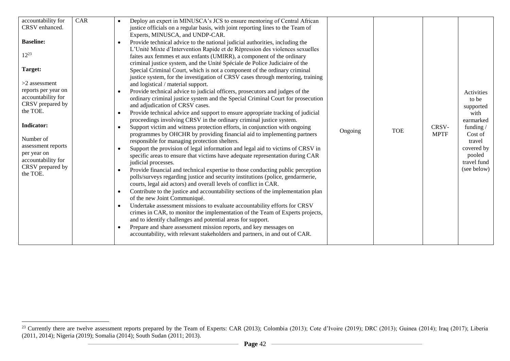| accountability for<br>CRSV enhanced.<br><b>Baseline:</b><br>$12^{23}$<br>Target:<br>$>2$ assessment<br>reports per year on<br>accountability for<br>CRSV prepared by<br>the TOE.<br><b>Indicator:</b><br>Number of<br>assessment reports<br>per year on<br>accountability for<br>CRSV prepared by<br>the TOE. | CAR | Deploy an expert in MINUSCA's JCS to ensure mentoring of Central African<br>justice officials on a regular basis, with joint reporting lines to the Team of<br>Experts, MINUSCA, and UNDP-CAR.<br>Provide technical advice to the national judicial authorities, including the<br>L'Unité Mixte d'Intervention Rapide et de Répression des violences sexuelles<br>faites aux femmes et aux enfants (UMIRR), a component of the ordinary<br>criminal justice system, and the Unité Spéciale de Police Judiciaire of the<br>Special Criminal Court, which is not a component of the ordinary criminal<br>justice system, for the investigation of CRSV cases through mentoring, training<br>and logistical / material support.<br>Provide technical advice to judicial officers, prosecutors and judges of the<br>ordinary criminal justice system and the Special Criminal Court for prosecution<br>and adjudication of CRSV cases.<br>Provide technical advice and support to ensure appropriate tracking of judicial<br>proceedings involving CRSV in the ordinary criminal justice system.<br>Support victim and witness protection efforts, in conjunction with ongoing<br>programmes by OHCHR by providing financial aid to implementing partners<br>responsible for managing protection shelters.<br>Support the provision of legal information and legal aid to victims of CRSV in<br>specific areas to ensure that victims have adequate representation during CAR<br>judicial processes.<br>Provide financial and technical expertise to those conducting public perception<br>polls/surveys regarding justice and security institutions (police, gendarmerie,<br>courts, legal aid actors) and overall levels of conflict in CAR.<br>Contribute to the justice and accountability sections of the implementation plan<br>of the new Joint Communiqué.<br>Undertake assessment missions to evaluate accountability efforts for CRSV<br>crimes in CAR, to monitor the implementation of the Team of Experts projects,<br>and to identify challenges and potential areas for support.<br>Prepare and share assessment mission reports, and key messages on<br>accountability, with relevant stakeholders and partners, in and out of CAR. | Ongoing | <b>TOE</b> | CRSV-<br><b>MPTF</b> | Activities<br>to be<br>supported<br>with<br>earmarked<br>funding/<br>Cost of<br>travel<br>covered by<br>pooled<br>travel fund<br>(see below) |
|---------------------------------------------------------------------------------------------------------------------------------------------------------------------------------------------------------------------------------------------------------------------------------------------------------------|-----|-------------------------------------------------------------------------------------------------------------------------------------------------------------------------------------------------------------------------------------------------------------------------------------------------------------------------------------------------------------------------------------------------------------------------------------------------------------------------------------------------------------------------------------------------------------------------------------------------------------------------------------------------------------------------------------------------------------------------------------------------------------------------------------------------------------------------------------------------------------------------------------------------------------------------------------------------------------------------------------------------------------------------------------------------------------------------------------------------------------------------------------------------------------------------------------------------------------------------------------------------------------------------------------------------------------------------------------------------------------------------------------------------------------------------------------------------------------------------------------------------------------------------------------------------------------------------------------------------------------------------------------------------------------------------------------------------------------------------------------------------------------------------------------------------------------------------------------------------------------------------------------------------------------------------------------------------------------------------------------------------------------------------------------------------------------------------------------------------------------------------------------------------------------------------------------------------------------------------------------------------|---------|------------|----------------------|----------------------------------------------------------------------------------------------------------------------------------------------|
|---------------------------------------------------------------------------------------------------------------------------------------------------------------------------------------------------------------------------------------------------------------------------------------------------------------|-----|-------------------------------------------------------------------------------------------------------------------------------------------------------------------------------------------------------------------------------------------------------------------------------------------------------------------------------------------------------------------------------------------------------------------------------------------------------------------------------------------------------------------------------------------------------------------------------------------------------------------------------------------------------------------------------------------------------------------------------------------------------------------------------------------------------------------------------------------------------------------------------------------------------------------------------------------------------------------------------------------------------------------------------------------------------------------------------------------------------------------------------------------------------------------------------------------------------------------------------------------------------------------------------------------------------------------------------------------------------------------------------------------------------------------------------------------------------------------------------------------------------------------------------------------------------------------------------------------------------------------------------------------------------------------------------------------------------------------------------------------------------------------------------------------------------------------------------------------------------------------------------------------------------------------------------------------------------------------------------------------------------------------------------------------------------------------------------------------------------------------------------------------------------------------------------------------------------------------------------------------------|---------|------------|----------------------|----------------------------------------------------------------------------------------------------------------------------------------------|

<sup>&</sup>lt;sup>23</sup> Currently there are twelve assessment reports prepared by the Team of Experts: CAR (2013); Colombia (2013); Cote d'Ivoire (2019); DRC (2013); Guinea (2014); Iraq (2017); Liberia (2011, 2014); Nigeria (2019); Somalia (2014); South Sudan (2011; 2013).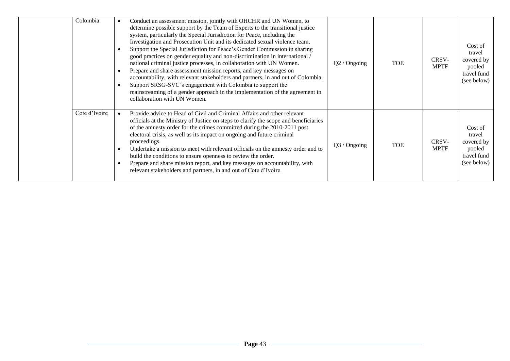| Colombia      | Conduct an assessment mission, jointly with OHCHR and UN Women, to<br>determine possible support by the Team of Experts to the transitional justice<br>system, particularly the Special Jurisdiction for Peace, including the<br>Investigation and Prosecution Unit and its dedicated sexual violence team.<br>Support the Special Jurisdiction for Peace's Gender Commission in sharing<br>good practices on gender equality and non-discrimination in international /<br>national criminal justice processes, in collaboration with UN Women.<br>Prepare and share assessment mission reports, and key messages on<br>accountability, with relevant stakeholders and partners, in and out of Colombia.<br>Support SRSG-SVC's engagement with Colombia to support the<br>mainstreaming of a gender approach in the implementation of the agreement in<br>collaboration with UN Women. | $Q2 /$ Ongoing | <b>TOE</b> | CRSV-<br><b>MPTF</b> | Cost of<br>travel<br>covered by<br>pooled<br>travel fund<br>(see below) |
|---------------|----------------------------------------------------------------------------------------------------------------------------------------------------------------------------------------------------------------------------------------------------------------------------------------------------------------------------------------------------------------------------------------------------------------------------------------------------------------------------------------------------------------------------------------------------------------------------------------------------------------------------------------------------------------------------------------------------------------------------------------------------------------------------------------------------------------------------------------------------------------------------------------|----------------|------------|----------------------|-------------------------------------------------------------------------|
| Cote d'Ivoire | Provide advice to Head of Civil and Criminal Affairs and other relevant<br>officials at the Ministry of Justice on steps to clarify the scope and beneficiaries<br>of the amnesty order for the crimes committed during the 2010-2011 post<br>electoral crisis, as well as its impact on ongoing and future criminal<br>proceedings.<br>Undertake a mission to meet with relevant officials on the amnesty order and to<br>$\bullet$<br>build the conditions to ensure openness to review the order.<br>Prepare and share mission report, and key messages on accountability, with<br>relevant stakeholders and partners, in and out of Cote d'Ivoire.                                                                                                                                                                                                                                 | Q3 / Ongoing   | <b>TOE</b> | CRSV-<br><b>MPTF</b> | Cost of<br>travel<br>covered by<br>pooled<br>travel fund<br>(see below) |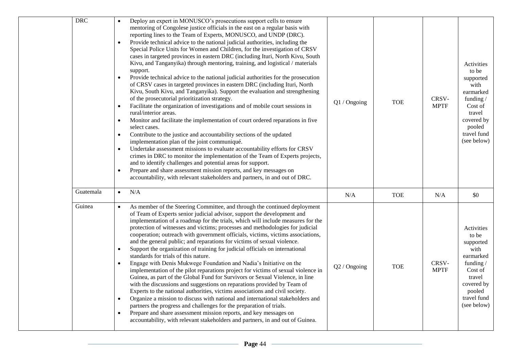| <b>DRC</b> | Deploy an expert in MONUSCO's prosecutions support cells to ensure<br>$\bullet$<br>mentoring of Congolese justice officials in the east on a regular basis with<br>reporting lines to the Team of Experts, MONUSCO, and UNDP (DRC).<br>Provide technical advice to the national judicial authorities, including the<br>$\bullet$<br>Special Police Units for Women and Children, for the investigation of CRSV<br>cases in targeted provinces in eastern DRC (including Ituri, North Kivu, South<br>Kivu, and Tanganyika) through mentoring, training, and logistical / materials<br>support.<br>Provide technical advice to the national judicial authorities for the prosecution<br>$\bullet$<br>of CRSV cases in targeted provinces in eastern DRC (including Ituri, North<br>Kivu, South Kivu, and Tanganyika). Support the evaluation and strengthening<br>of the prosecutorial prioritization strategy.<br>Facilitate the organization of investigations and of mobile court sessions in<br>$\bullet$<br>rural/interior areas.<br>Monitor and facilitate the implementation of court ordered reparations in five<br>$\bullet$<br>select cases.<br>Contribute to the justice and accountability sections of the updated<br>$\bullet$<br>implementation plan of the joint communiqué.<br>Undertake assessment missions to evaluate accountability efforts for CRSV<br>$\bullet$<br>crimes in DRC to monitor the implementation of the Team of Experts projects,<br>and to identify challenges and potential areas for support.<br>Prepare and share assessment mission reports, and key messages on<br>$\bullet$<br>accountability, with relevant stakeholders and partners, in and out of DRC. | Q1 / Ongoing | <b>TOE</b> | CRSV-<br><b>MPTF</b> | Activities<br>to be<br>supported<br>with<br>earmarked<br>funding /<br>Cost of<br>travel<br>covered by<br>pooled<br>travel fund<br>(see below) |
|------------|-----------------------------------------------------------------------------------------------------------------------------------------------------------------------------------------------------------------------------------------------------------------------------------------------------------------------------------------------------------------------------------------------------------------------------------------------------------------------------------------------------------------------------------------------------------------------------------------------------------------------------------------------------------------------------------------------------------------------------------------------------------------------------------------------------------------------------------------------------------------------------------------------------------------------------------------------------------------------------------------------------------------------------------------------------------------------------------------------------------------------------------------------------------------------------------------------------------------------------------------------------------------------------------------------------------------------------------------------------------------------------------------------------------------------------------------------------------------------------------------------------------------------------------------------------------------------------------------------------------------------------------------------------------------------------------------------------|--------------|------------|----------------------|-----------------------------------------------------------------------------------------------------------------------------------------------|
| Guatemala  | N/A<br>$\bullet$                                                                                                                                                                                                                                                                                                                                                                                                                                                                                                                                                                                                                                                                                                                                                                                                                                                                                                                                                                                                                                                                                                                                                                                                                                                                                                                                                                                                                                                                                                                                                                                                                                                                                    | N/A          | <b>TOE</b> | N/A                  | \$0                                                                                                                                           |
| Guinea     | As member of the Steering Committee, and through the continued deployment<br>of Team of Experts senior judicial advisor, support the development and<br>implementation of a roadmap for the trials, which will include measures for the<br>protection of witnesses and victims; processes and methodologies for judicial<br>cooperation; outreach with government officials, victims, victims associations,<br>and the general public; and reparations for victims of sexual violence.<br>Support the organization of training for judicial officials on international<br>$\bullet$<br>standards for trials of this nature.<br>Engage with Denis Mukwege Foundation and Nadia's Initiative on the<br>$\bullet$<br>implementation of the pilot reparations project for victims of sexual violence in<br>Guinea, as part of the Global Fund for Survivors or Sexual Violence, in line<br>with the discussions and suggestions on reparations provided by Team of<br>Experts to the national authorities, victims associations and civil society.<br>Organize a mission to discuss with national and international stakeholders and<br>$\bullet$<br>partners the progress and challenges for the preparation of trials.<br>Prepare and share assessment mission reports, and key messages on<br>$\bullet$<br>accountability, with relevant stakeholders and partners, in and out of Guinea.                                                                                                                                                                                                                                                                                                            | Q2 / Ongoing | <b>TOE</b> | CRSV-<br><b>MPTF</b> | Activities<br>to be<br>supported<br>with<br>earmarked<br>funding /<br>Cost of<br>travel<br>covered by<br>pooled<br>travel fund<br>(see below) |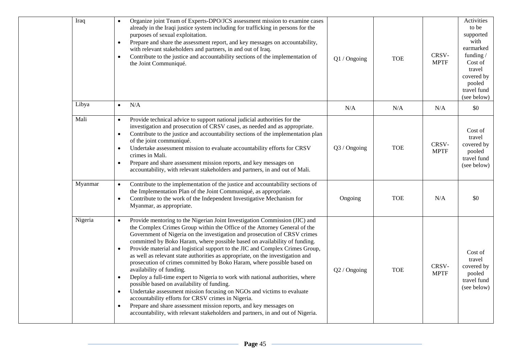| Iraq  | $\bullet$<br>$\bullet$<br>$\bullet$                                      | Organize joint Team of Experts-DPO/JCS assessment mission to examine cases<br>already in the Iraqi justice system including for trafficking in persons for the<br>purposes of sexual exploitation.<br>Prepare and share the assessment report, and key messages on accountability,<br>with relevant stakeholders and partners, in and out of Iraq.<br>Contribute to the justice and accountability sections of the implementation of<br>the Joint Communiqué.                                                                                                                                                                                                                                                                                                                                                                                                                                                                                                                                                   | Q1 / Ongoing   | <b>TOE</b> | CRSV-<br><b>MPTF</b> | Activities<br>to be<br>supported<br>with<br>earmarked<br>funding $/$<br>Cost of<br>travel<br>covered by<br>pooled<br>travel fund<br>(see below) |
|-------|--------------------------------------------------------------------------|-----------------------------------------------------------------------------------------------------------------------------------------------------------------------------------------------------------------------------------------------------------------------------------------------------------------------------------------------------------------------------------------------------------------------------------------------------------------------------------------------------------------------------------------------------------------------------------------------------------------------------------------------------------------------------------------------------------------------------------------------------------------------------------------------------------------------------------------------------------------------------------------------------------------------------------------------------------------------------------------------------------------|----------------|------------|----------------------|-------------------------------------------------------------------------------------------------------------------------------------------------|
| Libya | $\bullet$                                                                | N/A                                                                                                                                                                                                                                                                                                                                                                                                                                                                                                                                                                                                                                                                                                                                                                                                                                                                                                                                                                                                             | N/A            | N/A        | N/A                  | \$0                                                                                                                                             |
| Mali  | $\bullet$<br>$\bullet$<br>$\bullet$<br>$\bullet$                         | Provide technical advice to support national judicial authorities for the<br>investigation and prosecution of CRSV cases, as needed and as appropriate.<br>Contribute to the justice and accountability sections of the implementation plan<br>of the joint communiqué.<br>Undertake assessment mission to evaluate accountability efforts for CRSV<br>crimes in Mali.<br>Prepare and share assessment mission reports, and key messages on<br>accountability, with relevant stakeholders and partners, in and out of Mali.                                                                                                                                                                                                                                                                                                                                                                                                                                                                                     | Q3 / Ongoing   | <b>TOE</b> | CRSV-<br><b>MPTF</b> | Cost of<br>travel<br>covered by<br>pooled<br>travel fund<br>(see below)                                                                         |
|       | Myanmar<br>$\bullet$<br>$\bullet$                                        | Contribute to the implementation of the justice and accountability sections of<br>the Implementation Plan of the Joint Communiqué, as appropriate.<br>Contribute to the work of the Independent Investigative Mechanism for<br>Myanmar, as appropriate.                                                                                                                                                                                                                                                                                                                                                                                                                                                                                                                                                                                                                                                                                                                                                         | Ongoing        | <b>TOE</b> | N/A                  | \$0                                                                                                                                             |
|       | Nigeria<br>$\bullet$<br>$\bullet$<br>$\bullet$<br>$\bullet$<br>$\bullet$ | Provide mentoring to the Nigerian Joint Investigation Commission (JIC) and<br>the Complex Crimes Group within the Office of the Attorney General of the<br>Government of Nigeria on the investigation and prosecution of CRSV crimes<br>committed by Boko Haram, where possible based on availability of funding.<br>Provide material and logistical support to the JIC and Complex Crimes Group,<br>as well as relevant state authorities as appropriate, on the investigation and<br>prosecution of crimes committed by Boko Haram, where possible based on<br>availability of funding.<br>Deploy a full-time expert to Nigeria to work with national authorities, where<br>possible based on availability of funding.<br>Undertake assessment mission focusing on NGOs and victims to evaluate<br>accountability efforts for CRSV crimes in Nigeria.<br>Prepare and share assessment mission reports, and key messages on<br>accountability, with relevant stakeholders and partners, in and out of Nigeria. | $Q2 /$ Ongoing | <b>TOE</b> | CRSV-<br><b>MPTF</b> | Cost of<br>travel<br>covered by<br>pooled<br>travel fund<br>(see below)                                                                         |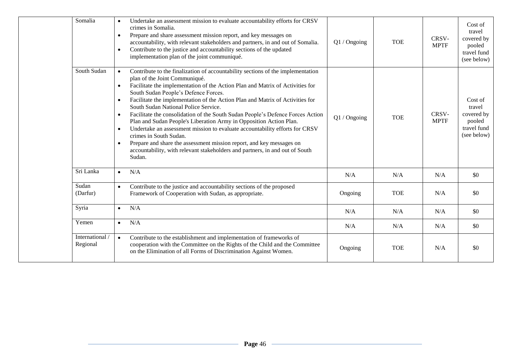| Somalia                     | Undertake an assessment mission to evaluate accountability efforts for CRSV<br>$\bullet$<br>crimes in Somalia.<br>Prepare and share assessment mission report, and key messages on<br>$\bullet$<br>accountability, with relevant stakeholders and partners, in and out of Somalia.<br>Contribute to the justice and accountability sections of the updated<br>$\bullet$<br>implementation plan of the joint communiqué.                                                                                                                                                                                                                                                                                                                                                                                                                                                             | Q1 / Ongoing | <b>TOE</b> | CRSV-<br><b>MPTF</b> | Cost of<br>travel<br>covered by<br>pooled<br>travel fund<br>(see below) |
|-----------------------------|-------------------------------------------------------------------------------------------------------------------------------------------------------------------------------------------------------------------------------------------------------------------------------------------------------------------------------------------------------------------------------------------------------------------------------------------------------------------------------------------------------------------------------------------------------------------------------------------------------------------------------------------------------------------------------------------------------------------------------------------------------------------------------------------------------------------------------------------------------------------------------------|--------------|------------|----------------------|-------------------------------------------------------------------------|
| South Sudan                 | Contribute to the finalization of accountability sections of the implementation<br>$\bullet$<br>plan of the Joint Communiqué.<br>Facilitate the implementation of the Action Plan and Matrix of Activities for<br>$\bullet$<br>South Sudan People's Defence Forces.<br>Facilitate the implementation of the Action Plan and Matrix of Activities for<br>$\bullet$<br>South Sudan National Police Service.<br>Facilitate the consolidation of the South Sudan People's Defence Forces Action<br>$\bullet$<br>Plan and Sudan People's Liberation Army in Opposition Action Plan.<br>Undertake an assessment mission to evaluate accountability efforts for CRSV<br>$\bullet$<br>crimes in South Sudan.<br>Prepare and share the assessment mission report, and key messages on<br>$\bullet$<br>accountability, with relevant stakeholders and partners, in and out of South<br>Sudan. | Q1 / Ongoing | <b>TOE</b> | CRSV-<br><b>MPTF</b> | Cost of<br>travel<br>covered by<br>pooled<br>travel fund<br>(see below) |
| Sri Lanka                   | N/A<br>$\bullet$                                                                                                                                                                                                                                                                                                                                                                                                                                                                                                                                                                                                                                                                                                                                                                                                                                                                    | N/A          | N/A        | N/A                  | \$0                                                                     |
| Sudan<br>(Darfur)           | Contribute to the justice and accountability sections of the proposed<br>$\bullet$<br>Framework of Cooperation with Sudan, as appropriate.                                                                                                                                                                                                                                                                                                                                                                                                                                                                                                                                                                                                                                                                                                                                          | Ongoing      | <b>TOE</b> | N/A                  | \$0                                                                     |
| Syria                       | N/A<br>$\bullet$                                                                                                                                                                                                                                                                                                                                                                                                                                                                                                                                                                                                                                                                                                                                                                                                                                                                    | N/A          | N/A        | N/A                  | \$0                                                                     |
| Yemen                       | N/A<br>$\bullet$                                                                                                                                                                                                                                                                                                                                                                                                                                                                                                                                                                                                                                                                                                                                                                                                                                                                    | N/A          | N/A        | N/A                  | \$0                                                                     |
| International /<br>Regional | Contribute to the establishment and implementation of frameworks of<br>$\bullet$<br>cooperation with the Committee on the Rights of the Child and the Committee<br>on the Elimination of all Forms of Discrimination Against Women.                                                                                                                                                                                                                                                                                                                                                                                                                                                                                                                                                                                                                                                 | Ongoing      | <b>TOE</b> | N/A                  | \$0                                                                     |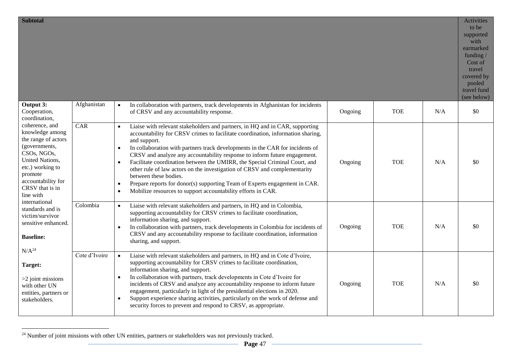| <b>Subtotal</b>                                                                                                                                                                                                                                                                                     |               |                                                                                                                                                                                                                                                                                                                                                                                                                                                                                                                                                                                                                                                                                                                                                  |         |            |     | Activities<br>to be<br>supported<br>with<br>earmarked<br>funding /<br>Cost of<br>travel<br>covered by<br>pooled<br>travel fund<br>(see below) |
|-----------------------------------------------------------------------------------------------------------------------------------------------------------------------------------------------------------------------------------------------------------------------------------------------------|---------------|--------------------------------------------------------------------------------------------------------------------------------------------------------------------------------------------------------------------------------------------------------------------------------------------------------------------------------------------------------------------------------------------------------------------------------------------------------------------------------------------------------------------------------------------------------------------------------------------------------------------------------------------------------------------------------------------------------------------------------------------------|---------|------------|-----|-----------------------------------------------------------------------------------------------------------------------------------------------|
| Output 3:<br>Cooperation,<br>coordination,                                                                                                                                                                                                                                                          | Afghanistan   | In collaboration with partners, track developments in Afghanistan for incidents<br>$\bullet$<br>of CRSV and any accountability response.                                                                                                                                                                                                                                                                                                                                                                                                                                                                                                                                                                                                         | Ongoing | <b>TOE</b> | N/A | \$0                                                                                                                                           |
| coherence, and<br>knowledge among<br>the range of actors<br>(governments,<br>CSOs, NGOs,<br>United Nations,<br>etc.) working to<br>promote<br>accountability for<br>CRSV that is in<br>line with<br>international<br>standards and is<br>victim/survivor<br>sensitive enhanced.<br><b>Baseline:</b> | CAR           | Liaise with relevant stakeholders and partners, in HQ and in CAR, supporting<br>$\bullet$<br>accountability for CRSV crimes to facilitate coordination, information sharing,<br>and support.<br>In collaboration with partners track developments in the CAR for incidents of<br>$\bullet$<br>CRSV and analyze any accountability response to inform future engagement.<br>Facilitate coordination between the UMIRR, the Special Criminal Court, and<br>$\bullet$<br>other rule of law actors on the investigation of CRSV and complementarity<br>between these bodies.<br>Prepare reports for donor(s) supporting Team of Experts engagement in CAR.<br>$\bullet$<br>Mobilize resources to support accountability efforts in CAR.<br>$\bullet$ | Ongoing | <b>TOE</b> | N/A | \$0                                                                                                                                           |
|                                                                                                                                                                                                                                                                                                     | Colombia      | Liaise with relevant stakeholders and partners, in HQ and in Colombia,<br>$\bullet$<br>supporting accountability for CRSV crimes to facilitate coordination,<br>information sharing, and support.<br>In collaboration with partners, track developments in Colombia for incidents of<br>$\bullet$<br>CRSV and any accountability response to facilitate coordination, information<br>sharing, and support.                                                                                                                                                                                                                                                                                                                                       | Ongoing | <b>TOE</b> | N/A | \$0                                                                                                                                           |
| $N/A^{24}$<br>Target:<br>$>2$ joint missions<br>with other UN<br>entities, partners or<br>stakeholders.                                                                                                                                                                                             | Cote d'Ivoire | Liaise with relevant stakeholders and partners, in HQ and in Cote d'Ivoire,<br>$\bullet$<br>supporting accountability for CRSV crimes to facilitate coordination,<br>information sharing, and support.<br>In collaboration with partners, track developments in Cote d'Ivoire for<br>$\bullet$<br>incidents of CRSV and analyze any accountability response to inform future<br>engagement, particularly in light of the presidential elections in 2020.<br>Support experience sharing activities, particularly on the work of defense and<br>$\bullet$<br>security forces to prevent and respond to CRSV, as appropriate.                                                                                                                       | Ongoing | <b>TOE</b> | N/A | \$0                                                                                                                                           |

 $^{24}$  Number of joint missions with other UN entities, partners or stakeholders was not previously tracked.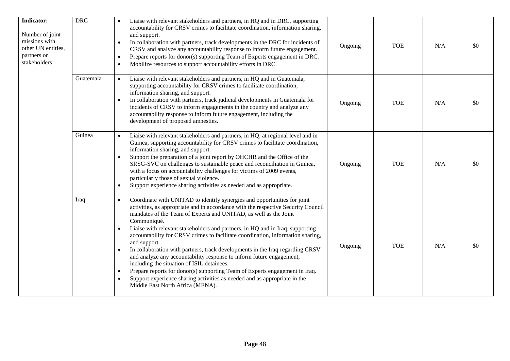| Indicator:<br>Number of joint<br>missions with<br>other UN entities,<br>partners or<br>stakeholders | <b>DRC</b> | Liaise with relevant stakeholders and partners, in HQ and in DRC, supporting<br>accountability for CRSV crimes to facilitate coordination, information sharing,<br>and support.<br>In collaboration with partners, track developments in the DRC for incidents of<br>$\bullet$<br>CRSV and analyze any accountability response to inform future engagement.<br>Prepare reports for donor(s) supporting Team of Experts engagement in DRC.<br>$\bullet$<br>Mobilize resources to support accountability efforts in DRC.<br>$\bullet$                                                                                                                                                                                                                                                                                                                                                             | Ongoing | <b>TOE</b> | N/A | \$0 |
|-----------------------------------------------------------------------------------------------------|------------|-------------------------------------------------------------------------------------------------------------------------------------------------------------------------------------------------------------------------------------------------------------------------------------------------------------------------------------------------------------------------------------------------------------------------------------------------------------------------------------------------------------------------------------------------------------------------------------------------------------------------------------------------------------------------------------------------------------------------------------------------------------------------------------------------------------------------------------------------------------------------------------------------|---------|------------|-----|-----|
|                                                                                                     | Guatemala  | Liaise with relevant stakeholders and partners, in HQ and in Guatemala,<br>$\bullet$<br>supporting accountability for CRSV crimes to facilitate coordination,<br>information sharing, and support.<br>In collaboration with partners, track judicial developments in Guatemala for<br>$\bullet$<br>incidents of CRSV to inform engagements in the country and analyze any<br>accountability response to inform future engagement, including the<br>development of proposed amnesties.                                                                                                                                                                                                                                                                                                                                                                                                           | Ongoing | <b>TOE</b> | N/A | \$0 |
|                                                                                                     | Guinea     | Liaise with relevant stakeholders and partners, in HQ, at regional level and in<br>$\bullet$<br>Guinea, supporting accountability for CRSV crimes to facilitate coordination,<br>information sharing, and support.<br>Support the preparation of a joint report by OHCHR and the Office of the<br>SRSG-SVC on challenges to sustainable peace and reconciliation in Guinea,<br>with a focus on accountability challenges for victims of 2009 events,<br>particularly those of sexual violence.<br>Support experience sharing activities as needed and as appropriate.<br>$\bullet$                                                                                                                                                                                                                                                                                                              | Ongoing | <b>TOE</b> | N/A | \$0 |
|                                                                                                     | Iraq       | Coordinate with UNITAD to identify synergies and opportunities for joint<br>$\bullet$<br>activities, as appropriate and in accordance with the respective Security Council<br>mandates of the Team of Experts and UNITAD, as well as the Joint<br>Communiqué.<br>Liaise with relevant stakeholders and partners, in HQ and in Iraq, supporting<br>accountability for CRSV crimes to facilitate coordination, information sharing,<br>and support.<br>In collaboration with partners, track developments in the Iraq regarding CRSV<br>$\bullet$<br>and analyze any accountability response to inform future engagement,<br>including the situation of ISIL detainees.<br>Prepare reports for donor(s) supporting Team of Experts engagement in Iraq.<br>$\bullet$<br>Support experience sharing activities as needed and as appropriate in the<br>$\bullet$<br>Middle East North Africa (MENA). | Ongoing | <b>TOE</b> | N/A | \$0 |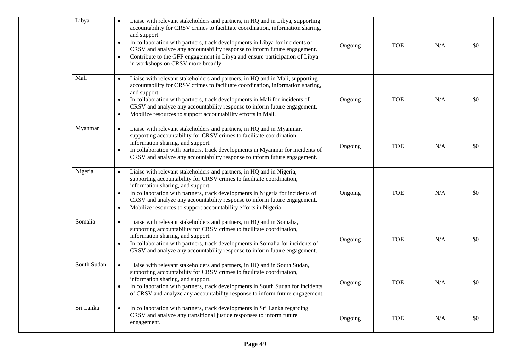| Libya       | Liaise with relevant stakeholders and partners, in HQ and in Libya, supporting<br>accountability for CRSV crimes to facilitate coordination, information sharing,<br>and support.<br>In collaboration with partners, track developments in Libya for incidents of<br>$\bullet$<br>CRSV and analyze any accountability response to inform future engagement.<br>Contribute to the GFP engagement in Libya and ensure participation of Libya<br>$\bullet$<br>in workshops on CRSV more broadly. | Ongoing | <b>TOE</b> | N/A | \$0 |
|-------------|-----------------------------------------------------------------------------------------------------------------------------------------------------------------------------------------------------------------------------------------------------------------------------------------------------------------------------------------------------------------------------------------------------------------------------------------------------------------------------------------------|---------|------------|-----|-----|
| Mali        | Liaise with relevant stakeholders and partners, in HQ and in Mali, supporting<br>$\bullet$<br>accountability for CRSV crimes to facilitate coordination, information sharing,<br>and support.<br>In collaboration with partners, track developments in Mali for incidents of<br>$\bullet$<br>CRSV and analyze any accountability response to inform future engagement.<br>Mobilize resources to support accountability efforts in Mali.<br>$\bullet$                                          | Ongoing | <b>TOE</b> | N/A | \$0 |
| Myanmar     | Liaise with relevant stakeholders and partners, in HQ and in Myanmar,<br>$\bullet$<br>supporting accountability for CRSV crimes to facilitate coordination,<br>information sharing, and support.<br>In collaboration with partners, track developments in Myanmar for incidents of<br>$\bullet$<br>CRSV and analyze any accountability response to inform future engagement.                                                                                                                  | Ongoing | <b>TOE</b> | N/A | \$0 |
| Nigeria     | Liaise with relevant stakeholders and partners, in HQ and in Nigeria,<br>$\bullet$<br>supporting accountability for CRSV crimes to facilitate coordination,<br>information sharing, and support.<br>In collaboration with partners, track developments in Nigeria for incidents of<br>$\bullet$<br>CRSV and analyze any accountability response to inform future engagement.<br>Mobilize resources to support accountability efforts in Nigeria.<br>$\bullet$                                 | Ongoing | <b>TOE</b> | N/A | \$0 |
| Somalia     | Liaise with relevant stakeholders and partners, in HQ and in Somalia,<br>$\bullet$<br>supporting accountability for CRSV crimes to facilitate coordination,<br>information sharing, and support.<br>In collaboration with partners, track developments in Somalia for incidents of<br>$\bullet$<br>CRSV and analyze any accountability response to inform future engagement.                                                                                                                  | Ongoing | <b>TOE</b> | N/A | \$0 |
| South Sudan | Liaise with relevant stakeholders and partners, in HQ and in South Sudan,<br>$\bullet$<br>supporting accountability for CRSV crimes to facilitate coordination,<br>information sharing, and support.<br>In collaboration with partners, track developments in South Sudan for incidents<br>$\bullet$<br>of CRSV and analyze any accountability response to inform future engagement.                                                                                                          | Ongoing | <b>TOE</b> | N/A | \$0 |
| Sri Lanka   | In collaboration with partners, track developments in Sri Lanka regarding<br>$\bullet$<br>CRSV and analyze any transitional justice responses to inform future<br>engagement.                                                                                                                                                                                                                                                                                                                 | Ongoing | <b>TOE</b> | N/A | \$0 |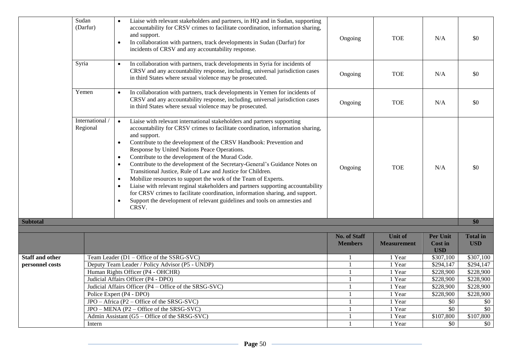|                        | Sudan<br>(Darfur)         | Liaise with relevant stakeholders and partners, in HQ and in Sudan, supporting<br>accountability for CRSV crimes to facilitate coordination, information sharing,<br>and support.<br>In collaboration with partners, track developments in Sudan (Darfur) for<br>$\bullet$<br>incidents of CRSV and any accountability response.                                                                                                                                                                                                                                                                                                                                                                                                                                                                                                                                                                                          | Ongoing             | <b>TOE</b>         | N/A                          | \$0             |
|------------------------|---------------------------|---------------------------------------------------------------------------------------------------------------------------------------------------------------------------------------------------------------------------------------------------------------------------------------------------------------------------------------------------------------------------------------------------------------------------------------------------------------------------------------------------------------------------------------------------------------------------------------------------------------------------------------------------------------------------------------------------------------------------------------------------------------------------------------------------------------------------------------------------------------------------------------------------------------------------|---------------------|--------------------|------------------------------|-----------------|
|                        | Syria                     | In collaboration with partners, track developments in Syria for incidents of<br>$\bullet$<br>CRSV and any accountability response, including, universal jurisdiction cases<br>in third States where sexual violence may be prosecuted.                                                                                                                                                                                                                                                                                                                                                                                                                                                                                                                                                                                                                                                                                    | Ongoing             | <b>TOE</b>         | N/A                          | \$0             |
|                        | Yemen                     | In collaboration with partners, track developments in Yemen for incidents of<br>$\bullet$<br>CRSV and any accountability response, including, universal jurisdiction cases<br>in third States where sexual violence may be prosecuted.                                                                                                                                                                                                                                                                                                                                                                                                                                                                                                                                                                                                                                                                                    | Ongoing             | <b>TOE</b>         | N/A                          | \$0             |
|                        | International<br>Regional | Liaise with relevant international stakeholders and partners supporting<br>$\bullet$<br>accountability for CRSV crimes to facilitate coordination, information sharing,<br>and support.<br>Contribute to the development of the CRSV Handbook: Prevention and<br>$\bullet$<br>Response by United Nations Peace Operations.<br>Contribute to the development of the Murad Code.<br>$\bullet$<br>Contribute to the development of the Secretary-General's Guidance Notes on<br>$\bullet$<br>Transitional Justice, Rule of Law and Justice for Children.<br>Mobilize resources to support the work of the Team of Experts.<br>$\bullet$<br>Liaise with relevant reginal stakeholders and partners supporting accountability<br>$\bullet$<br>for CRSV crimes to facilitate coordination, information sharing, and support.<br>Support the development of relevant guidelines and tools on amnesties and<br>$\bullet$<br>CRSV. | Ongoing             | <b>TOE</b>         | N/A                          | \$0             |
| <b>Subtotal</b>        |                           |                                                                                                                                                                                                                                                                                                                                                                                                                                                                                                                                                                                                                                                                                                                                                                                                                                                                                                                           |                     |                    |                              | \$0             |
|                        |                           |                                                                                                                                                                                                                                                                                                                                                                                                                                                                                                                                                                                                                                                                                                                                                                                                                                                                                                                           |                     |                    |                              |                 |
|                        |                           |                                                                                                                                                                                                                                                                                                                                                                                                                                                                                                                                                                                                                                                                                                                                                                                                                                                                                                                           | <b>No. of Staff</b> | <b>Unit of</b>     | <b>Per Unit</b>              | <b>Total</b> in |
|                        |                           |                                                                                                                                                                                                                                                                                                                                                                                                                                                                                                                                                                                                                                                                                                                                                                                                                                                                                                                           | <b>Members</b>      | <b>Measurement</b> | <b>Cost in</b><br><b>USD</b> | <b>USD</b>      |
| <b>Staff and other</b> |                           | Team Leader (D1 - Office of the SSRG-SVC)                                                                                                                                                                                                                                                                                                                                                                                                                                                                                                                                                                                                                                                                                                                                                                                                                                                                                 |                     | 1 Year             | \$307,100                    | \$307,100       |
| personnel costs        |                           | Deputy Team Leader / Policy Advisor (P5 - UNDP)                                                                                                                                                                                                                                                                                                                                                                                                                                                                                                                                                                                                                                                                                                                                                                                                                                                                           |                     | 1 Year             | \$294,147                    | \$294,147       |
|                        |                           | Human Rights Officer (P4 - OHCHR)                                                                                                                                                                                                                                                                                                                                                                                                                                                                                                                                                                                                                                                                                                                                                                                                                                                                                         | $\mathbf{1}$        | 1 Year             | \$228,900                    | \$228,900       |
|                        |                           | Judicial Affairs Officer (P4 - DPO)                                                                                                                                                                                                                                                                                                                                                                                                                                                                                                                                                                                                                                                                                                                                                                                                                                                                                       | 1                   | 1 Year             | \$228,900                    | \$228,900       |
|                        |                           | Judicial Affairs Officer (P4 - Office of the SRSG-SVC)                                                                                                                                                                                                                                                                                                                                                                                                                                                                                                                                                                                                                                                                                                                                                                                                                                                                    | $\mathbf{1}$        | 1 Year             | \$228,900                    | \$228,900       |
|                        |                           | Police Expert (P4 - DPO)                                                                                                                                                                                                                                                                                                                                                                                                                                                                                                                                                                                                                                                                                                                                                                                                                                                                                                  |                     | 1 Year             | \$228,900                    | \$228,900       |
|                        |                           | JPO - Africa (P2 - Office of the SRSG-SVC)                                                                                                                                                                                                                                                                                                                                                                                                                                                                                                                                                                                                                                                                                                                                                                                                                                                                                |                     | 1 Year             | \$0                          | \$0             |
|                        |                           | JPO – MENA (P2 – Office of the SRSG-SVC)                                                                                                                                                                                                                                                                                                                                                                                                                                                                                                                                                                                                                                                                                                                                                                                                                                                                                  | 1                   | 1 Year             | \$0                          | \$0             |
|                        |                           | Admin Assistant (G5 – Office of the SRSG-SVC)                                                                                                                                                                                                                                                                                                                                                                                                                                                                                                                                                                                                                                                                                                                                                                                                                                                                             |                     | 1 Year             | \$107,800                    | \$107,800       |
|                        | Intern                    |                                                                                                                                                                                                                                                                                                                                                                                                                                                                                                                                                                                                                                                                                                                                                                                                                                                                                                                           | 1                   | 1 Year             | \$0                          | \$0             |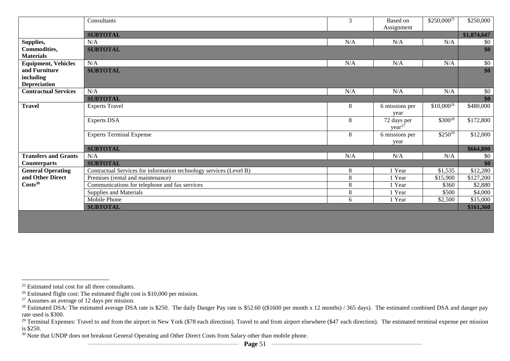|                             | Consultants                                                        | 3       | Based on<br>Assignment | $$250,000^{25}$ | \$250,000                |
|-----------------------------|--------------------------------------------------------------------|---------|------------------------|-----------------|--------------------------|
|                             | <b>SUBTOTAL</b>                                                    |         |                        |                 | \$1,874,647              |
| Supplies,                   | N/A                                                                | N/A     | N/A                    | N/A             | \$0                      |
| <b>Commodities,</b>         | <b>SUBTOTAL</b>                                                    |         |                        |                 | $\overline{\textbf{S0}}$ |
| <b>Materials</b>            |                                                                    |         |                        |                 |                          |
| <b>Equipment, Vehicles</b>  | N/A                                                                | N/A     | N/A                    | N/A             | \$0                      |
| and Furniture               | <b>SUBTOTAL</b>                                                    |         |                        |                 | \$0                      |
| including                   |                                                                    |         |                        |                 |                          |
| <b>Depreciation</b>         |                                                                    |         |                        |                 |                          |
| <b>Contractual Services</b> | N/A                                                                | N/A     | N/A                    | N/A             | \$0                      |
|                             | <b>SUBTOTAL</b>                                                    |         |                        |                 | \$0                      |
| <b>Travel</b>               | <b>Experts Travel</b>                                              | $\,8\,$ | 6 missions per         | $$10,000^{26}$  | \$480,000                |
|                             |                                                                    |         | year                   |                 |                          |
|                             | <b>Experts DSA</b>                                                 | 8       | 72 days per            | $$300^{28}$     | \$172,800                |
|                             |                                                                    |         | year <sup>27</sup>     |                 |                          |
|                             | <b>Experts Terminal Expense</b>                                    | $\,8\,$ | 6 missions per         | $$250^{29}$     | \$12,000                 |
|                             |                                                                    |         | year                   |                 |                          |
|                             | <b>SUBTOTAL</b>                                                    |         |                        |                 | \$664,800                |
| <b>Transfers and Grants</b> | N/A                                                                | N/A     | N/A                    | N/A             | \$0                      |
| <b>Counterparts</b>         | <b>SUBTOTAL</b>                                                    |         |                        |                 | \$0                      |
| <b>General Operating</b>    | Contractual Services for information technology services (Level B) | $\,8\,$ | 1 Year                 | \$1,535         | \$12,280                 |
| and Other Direct            | Premises (rental and maintenance)                                  | $\,8\,$ | 1 Year                 | \$15,900        | \$127,200                |
| Costs <sup>30</sup>         | Communications for telephone and fax services                      | 8       | 1 Year                 | \$360           | \$2,880                  |
|                             | Supplies and Materials                                             | 8       | 1 Year                 | \$500           | \$4,000                  |
|                             | Mobile Phone                                                       | 6       | 1 Year                 | \$2,500         | \$15,000                 |
|                             | <b>SUBTOTAL</b>                                                    |         |                        |                 | \$161,360                |
|                             |                                                                    |         |                        |                 |                          |

<sup>&</sup>lt;sup>25</sup> Estimated total cost for all three consultants.

 $26$  Estimated flight cost: The estimated flight cost is \$10,000 per mission.

<sup>&</sup>lt;sup>27</sup> Assumes an average of 12 days per mission.

<sup>&</sup>lt;sup>28</sup> Estimated DSA: The estimated average DSA rate is \$250. The daily Danger Pay rate is \$52.60 ((\$1600 per month x 12 months) / 365 days). The estimated combined DSA and danger pay rate used is \$300.

<sup>&</sup>lt;sup>29</sup> Terminal Expenses: Travel to and from the airport in New York (\$78 each direction). Travel to and from airport elsewhere (\$47 each direction). The estimated terminal expense per mission is \$250.

<sup>&</sup>lt;sup>30</sup> Note that UNDP does not breakout General Operating and Other Direct Costs from Salary other than mobile phone.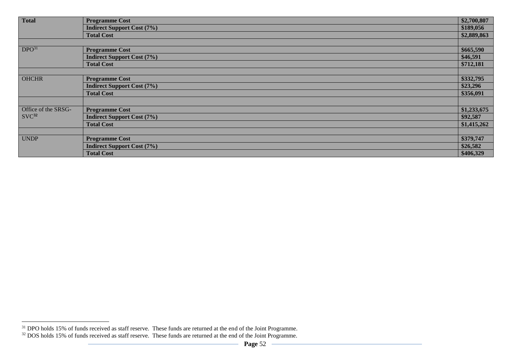| <b>Total</b>        | <b>Programme Cost</b>             | \$2,700,807 |
|---------------------|-----------------------------------|-------------|
|                     | <b>Indirect Support Cost (7%)</b> | \$189,056   |
|                     | <b>Total Cost</b>                 | \$2,889,863 |
|                     |                                   |             |
| DPO <sup>31</sup>   | <b>Programme Cost</b>             | \$665,590   |
|                     | <b>Indirect Support Cost (7%)</b> | \$46,591    |
|                     | <b>Total Cost</b>                 | \$712,181   |
|                     |                                   |             |
| <b>OHCHR</b>        | <b>Programme Cost</b>             | \$332,795   |
|                     | <b>Indirect Support Cost (7%)</b> | \$23,296    |
|                     | <b>Total Cost</b>                 | \$356,091   |
|                     |                                   |             |
| Office of the SRSG- | <b>Programme Cost</b>             | \$1,233,675 |
| $\text{SVC}^{32}$   | <b>Indirect Support Cost (7%)</b> | \$92,587    |
|                     | <b>Total Cost</b>                 | \$1,415,262 |
|                     |                                   |             |
| <b>UNDP</b>         | <b>Programme Cost</b>             | \$379,747   |
|                     | <b>Indirect Support Cost (7%)</b> | \$26,582    |
|                     | <b>Total Cost</b>                 | \$406,329   |

<sup>&</sup>lt;sup>31</sup> DPO holds 15% of funds received as staff reserve. These funds are returned at the end of the Joint Programme.

 $32$  DOS holds 15% of funds received as staff reserve. These funds are returned at the end of the Joint Programme.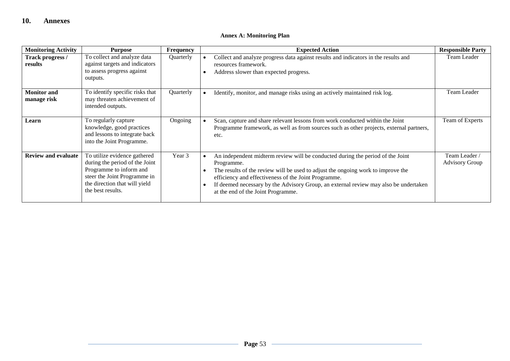# **Annex A: Monitoring Plan**

| <b>Monitoring Activity</b>        | <b>Purpose</b>                                                                                                                                                                  | <b>Frequency</b> | <b>Expected Action</b>                                                                                                                                                                                                                                                                                                                                                 | <b>Responsible Party</b>               |
|-----------------------------------|---------------------------------------------------------------------------------------------------------------------------------------------------------------------------------|------------------|------------------------------------------------------------------------------------------------------------------------------------------------------------------------------------------------------------------------------------------------------------------------------------------------------------------------------------------------------------------------|----------------------------------------|
| Track progress /<br>results       | To collect and analyze data<br>against targets and indicators<br>to assess progress against<br>outputs.                                                                         | Quarterly        | Collect and analyze progress data against results and indicators in the results and<br>resources framework.<br>Address slower than expected progress.                                                                                                                                                                                                                  | Team Leader                            |
| <b>Monitor and</b><br>manage risk | To identify specific risks that<br>may threaten achievement of<br>intended outputs.                                                                                             | Quarterly        | Identify, monitor, and manage risks using an actively maintained risk log.                                                                                                                                                                                                                                                                                             | Team Leader                            |
| Learn                             | To regularly capture<br>knowledge, good practices<br>and lessons to integrate back<br>into the Joint Programme.                                                                 | Ongoing          | Scan, capture and share relevant lessons from work conducted within the Joint<br>Programme framework, as well as from sources such as other projects, external partners,<br>etc.                                                                                                                                                                                       | Team of Experts                        |
| <b>Review and evaluate</b>        | To utilize evidence gathered<br>during the period of the Joint<br>Programme to inform and<br>steer the Joint Programme in<br>the direction that will yield<br>the best results. | Year 3           | An independent midterm review will be conducted during the period of the Joint<br>Programme.<br>The results of the review will be used to adjust the ongoing work to improve the<br>efficiency and effectiveness of the Joint Programme.<br>If deemed necessary by the Advisory Group, an external review may also be undertaken<br>at the end of the Joint Programme. | Team Leader /<br><b>Advisory Group</b> |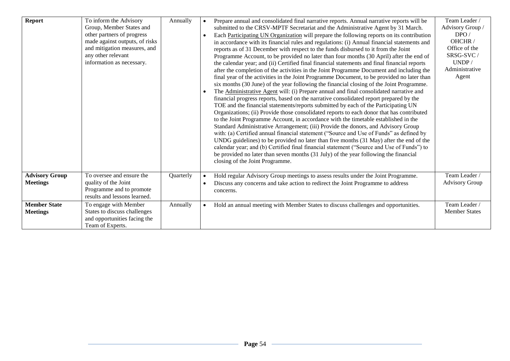| Report                                   | To inform the Advisory<br>Group, Member States and<br>other partners of progress<br>made against outputs, of risks<br>and mitigation measures, and<br>any other relevant<br>information as necessary. | Annually  | Prepare annual and consolidated final narrative reports. Annual narrative reports will be<br>submitted to the CRSV-MPTF Secretariat and the Administrative Agent by 31 March.<br>Each Participating UN Organization will prepare the following reports on its contribution<br>in accordance with its financial rules and regulations: (i) Annual financial statements and<br>reports as of 31 December with respect to the funds disbursed to it from the Joint<br>Programme Account, to be provided no later than four months (30 April) after the end of<br>the calendar year; and (ii) Certified final financial statements and final financial reports<br>after the completion of the activities in the Joint Programme Document and including the<br>final year of the activities in the Joint Programme Document, to be provided no later than<br>six months (30 June) of the year following the financial closing of the Joint Programme.<br>The Administrative Agent will: (i) Prepare annual and final consolidated narrative and<br>financial progress reports, based on the narrative consolidated report prepared by the<br>TOE and the financial statements/reports submitted by each of the Participating UN<br>Organizations; (ii) Provide those consolidated reports to each donor that has contributed<br>to the Joint Programme Account, in accordance with the timetable established in the<br>Standard Administrative Arrangement; (iii) Provide the donors, and Advisory Group<br>with: (a) Certified annual financial statement ("Source and Use of Funds" as defined by<br>UNDG guidelines) to be provided no later than five months (31 May) after the end of the<br>calendar year; and (b) Certified final financial statement ("Source and Use of Funds") to<br>be provided no later than seven months (31 July) of the year following the financial<br>closing of the Joint Programme. | Team Leader /<br>Advisory Group /<br>DPO/<br>OHCHR /<br>Office of the<br>SRSG-SVC/<br>UNDP/<br>Administrative<br>Agent |
|------------------------------------------|-------------------------------------------------------------------------------------------------------------------------------------------------------------------------------------------------------|-----------|-------------------------------------------------------------------------------------------------------------------------------------------------------------------------------------------------------------------------------------------------------------------------------------------------------------------------------------------------------------------------------------------------------------------------------------------------------------------------------------------------------------------------------------------------------------------------------------------------------------------------------------------------------------------------------------------------------------------------------------------------------------------------------------------------------------------------------------------------------------------------------------------------------------------------------------------------------------------------------------------------------------------------------------------------------------------------------------------------------------------------------------------------------------------------------------------------------------------------------------------------------------------------------------------------------------------------------------------------------------------------------------------------------------------------------------------------------------------------------------------------------------------------------------------------------------------------------------------------------------------------------------------------------------------------------------------------------------------------------------------------------------------------------------------------------------------------------------------------------------------------------------------------------------------|------------------------------------------------------------------------------------------------------------------------|
| <b>Advisory Group</b><br><b>Meetings</b> | To oversee and ensure the<br>quality of the Joint<br>Programme and to promote<br>results and lessons learned.                                                                                         | Quarterly | Hold regular Advisory Group meetings to assess results under the Joint Programme.<br>Discuss any concerns and take action to redirect the Joint Programme to address<br>concerns.                                                                                                                                                                                                                                                                                                                                                                                                                                                                                                                                                                                                                                                                                                                                                                                                                                                                                                                                                                                                                                                                                                                                                                                                                                                                                                                                                                                                                                                                                                                                                                                                                                                                                                                                 | Team Leader /<br><b>Advisory Group</b>                                                                                 |
| <b>Member State</b><br><b>Meetings</b>   | To engage with Member<br>States to discuss challenges<br>and opportunities facing the<br>Team of Experts.                                                                                             | Annually  | Hold an annual meeting with Member States to discuss challenges and opportunities.                                                                                                                                                                                                                                                                                                                                                                                                                                                                                                                                                                                                                                                                                                                                                                                                                                                                                                                                                                                                                                                                                                                                                                                                                                                                                                                                                                                                                                                                                                                                                                                                                                                                                                                                                                                                                                | Team Leader<br><b>Member States</b>                                                                                    |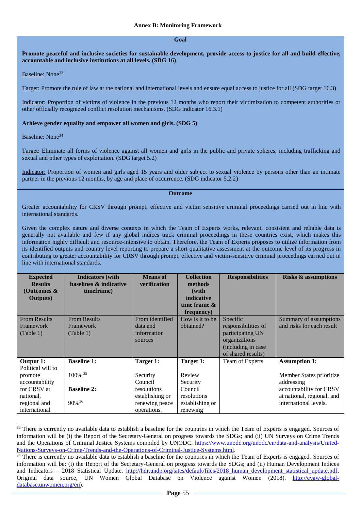#### **Goal**

## **Promote peaceful and inclusive societies for sustainable development, provide access to justice for all and build effective, accountable and inclusive institutions at all levels. (SDG 16)**

Baseline: None<sup>33</sup>

Target: Promote the rule of law at the national and international levels and ensure equal access to justice for all (SDG target 16.3)

Indicator: Proportion of victims of violence in the previous 12 months who report their victimization to competent authorities or other officially recognized conflict resolution mechanisms. (SDG indicator 16.3.1)

#### **Achieve gender equality and empower all women and girls. (SDG 5)**

Baseline: None<sup>34</sup>

 $\overline{a}$ 

Target: Eliminate all forms of violence against all women and girls in the public and private spheres, including trafficking and sexual and other types of exploitation. (SDG target 5.2)

Indicator: Proportion of women and girls aged 15 years and older subject to sexual violence by persons other than an intimate partner in the previous 12 months, by age and place of occurrence. (SDG indicator 5.2.2)

#### **Outcome**

Greater accountability for CRSV through prompt, effective and victim sensitive criminal proceedings carried out in line with international standards.

Given the complex nature and diverse contexts in which the Team of Experts works, relevant, consistent and reliable data is generally not available and few if any global indices track criminal proceedings in these countries exist, which makes this information highly difficult and resource-intensive to obtain. Therefore, the Team of Experts proposes to utilize information from its identified outputs and country level reporting to prepare a short qualitative assessment at the outcome level of its progress in contributing to greater accountability for CRSV through prompt, effective and victim-sensitive criminal proceedings carried out in line with international standards.

| <b>Expected</b>     | <b>Indicators</b> (with | <b>Means</b> of | <b>Collection</b> | <b>Responsibilities</b> | <b>Risks &amp; assumptions</b> |
|---------------------|-------------------------|-----------------|-------------------|-------------------------|--------------------------------|
| <b>Results</b>      | baselines & indicative  | verification    | methods           |                         |                                |
| (Outcomes $\&$      | timeframe)              |                 | (with             |                         |                                |
| <b>Outputs</b> )    |                         |                 | indicative        |                         |                                |
|                     |                         |                 | time frame $\&$   |                         |                                |
|                     |                         |                 | frequency)        |                         |                                |
| <b>From Results</b> | <b>From Results</b>     | From identified | How is it to be   | Specific                | Summary of assumptions         |
| <b>Framework</b>    | Framework               | data and        | obtained?         | responsibilities of     | and risks for each result      |
| (Table 1)           | (Table 1)               | information     |                   | participating UN        |                                |
|                     |                         | sources         |                   | organizations           |                                |
|                     |                         |                 |                   | (including in case      |                                |
|                     |                         |                 |                   | of shared results)      |                                |
| Output 1:           | <b>Baseline 1:</b>      | Target 1:       | Target 1:         | Team of Experts         | <b>Assumption 1:</b>           |
| Political will to   |                         |                 |                   |                         |                                |
| promote             | 100% 35                 | Security        | Review            |                         | Member States prioritize       |
| accountability      |                         | Council         | Security          |                         | addressing                     |
| for CRSV at         | <b>Baseline 2:</b>      | resolutions     | Council           |                         | accountability for CRSV        |
| national.           |                         | establishing or | resolutions       |                         | at national, regional, and     |
| regional and        | 90% <sup>36</sup>       | renewing peace  | establishing or   |                         | international levels.          |
| international       |                         | operations.     | renewing          |                         |                                |

<sup>&</sup>lt;sup>33</sup> There is currently no available data to establish a baseline for the countries in which the Team of Experts is engaged. Sources of information will be (i) the Report of the Secretary-General on progress towards the SDGs; and (ii) UN Surveys on Crime Trends and the Operations of Criminal Justice Systems compiled by UNODC. [https://www.unodc.org/unodc/en/data-and-analysis/United-](https://www.unodc.org/unodc/en/data-and-analysis/United-Nations-Surveys-on-Crime-Trends-and-the-Operations-of-Criminal-Justice-Systems.html)[Nations-Surveys-on-Crime-Trends-and-the-Operations-of-Criminal-Justice-Systems.html.](https://www.unodc.org/unodc/en/data-and-analysis/United-Nations-Surveys-on-Crime-Trends-and-the-Operations-of-Criminal-Justice-Systems.html)

<sup>&</sup>lt;sup>34</sup> There is currently no available data to establish a baseline for the countries in which the Team of Experts is engaged. Sources of information will be: (i) the Report of the Secretary-General on progress towards the SDGs; and (ii) Human Development Indices and Indicators – 2018 Statistical Update. [http://hdr.undp.org/sites/default/files/2018\\_human\\_development\\_statistical\\_update.pdf.](http://hdr.undp.org/sites/default/files/2018_human_development_statistical_update.pdf) Original data source, UN Women Global Database on Violence against Women (2018). [http://evaw-global](http://evaw-global-database.unwomen.org/en)[database.unwomen.org/en\)](http://evaw-global-database.unwomen.org/en).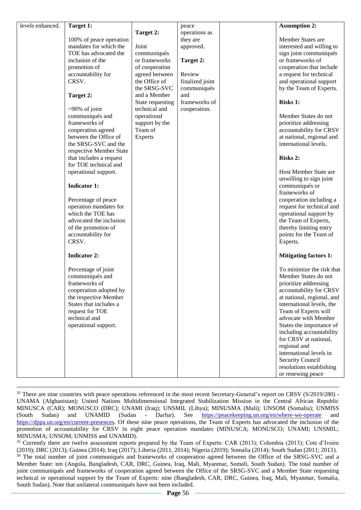| levels enhanced. |                         |                           |                 |                              |
|------------------|-------------------------|---------------------------|-----------------|------------------------------|
|                  | Target 1:               |                           | peace           | <b>Assumption 2:</b>         |
|                  |                         | Target 2:                 | operations as   |                              |
|                  | 100% of peace operation |                           | they are        | Member States are            |
|                  | mandates for which the  | Joint                     | approved.       | interested and willing to    |
|                  | TOE has advocated the   | communiqués               |                 | sign joint communiqués       |
|                  | inclusion of the        | or frameworks             | Target 2:       | or frameworks of             |
|                  | promotion of            | of cooperation            |                 | cooperation that include     |
|                  | accountability for      | agreed between            | Review          | a request for technical      |
|                  | CRSV.                   | the Office of             | finalized joint | and operational support      |
|                  |                         | the SRSG-SVC              | communiqués     | by the Team of Experts.      |
|                  | Target 2:               | and a Member              | and             |                              |
|                  |                         | State requesting          | frameworks of   | <b>Risks 1:</b>              |
|                  | $>90\%$ of joint        | technical and             | cooperation.    |                              |
|                  | communiqués and         | operational               |                 | Member States do not         |
|                  | frameworks of           |                           |                 | prioritize addressing        |
|                  |                         | support by the<br>Team of |                 |                              |
|                  | cooperation agreed      |                           |                 | accountability for CRSV      |
|                  | between the Office of   | Experts                   |                 | at national, regional and    |
|                  | the SRSG-SVC and the    |                           |                 | international levels.        |
|                  | respective Member State |                           |                 |                              |
|                  | that includes a request |                           |                 | <b>Risks 2:</b>              |
|                  | for TOE technical and   |                           |                 |                              |
|                  | operational support.    |                           |                 | Host Member State are        |
|                  |                         |                           |                 | unwilling to sign joint      |
|                  | <b>Indicator 1:</b>     |                           |                 | communiqués or               |
|                  |                         |                           |                 | frameworks of                |
|                  | Percentage of peace     |                           |                 | cooperation including a      |
|                  | operation mandates for  |                           |                 | request for technical and    |
|                  | which the TOE has       |                           |                 | operational support by       |
|                  | advocated the inclusion |                           |                 | the Team of Experts,         |
|                  | of the promotion of     |                           |                 | thereby limiting entry       |
|                  | accountability for      |                           |                 | points for the Team of       |
|                  | CRSV.                   |                           |                 | Experts.                     |
|                  |                         |                           |                 |                              |
|                  | <b>Indicator 2:</b>     |                           |                 | <b>Mitigating factors 1:</b> |
|                  |                         |                           |                 |                              |
|                  | Percentage of joint     |                           |                 | To minimize the risk that    |
|                  | communiqués and         |                           |                 | Member States do not         |
|                  | frameworks of           |                           |                 | prioritize addressing        |
|                  | cooperation adopted by  |                           |                 | accountability for CRSV      |
|                  | the respective Member   |                           |                 | at national, regional, and   |
|                  | States that includes a  |                           |                 | international levels, the    |
|                  | request for TOE         |                           |                 | Team of Experts will         |
|                  | technical and           |                           |                 | advocate with Member         |
|                  | operational support.    |                           |                 | States the importance of     |
|                  |                         |                           |                 | including accountability     |
|                  |                         |                           |                 | for CRSV at national,        |
|                  |                         |                           |                 | regional and                 |
|                  |                         |                           |                 | international levels in      |
|                  |                         |                           |                 | Security Council             |
|                  |                         |                           |                 | resolutions establishing     |
|                  |                         |                           |                 | or renewing peace            |
|                  |                         |                           |                 |                              |

 $\overline{a}$ <sup>35</sup> There are nine countries with peace operations referenced in the most recent Secretary-General's report on CRSV (S/2019/280) -UNAMA (Afghanistan); United Nations Multidimensional Integrated Stabilization Mission in the Central African Republic MINUSCA (CAR); MONUSCO (DRC); UNAMI (Iraq); UNSMIL (Libya); MINUSMA (Mali); UNSOM (Somalia); UNMISS (South Sudan) and UNAMID (Sudan - Darfur). See <https://peacekeeping.un.org/en/where-we-operate> and [https://dppa.un.org/en/current-presences.](https://dppa.un.org/en/current-presences) Of these nine peace operations, the Team of Experts has advocated the inclusion of the promotion of accountability for CRSV in eight peace operation mandates (MINUSCA; MONUSCO; UNAMI; UNSMIL; MINUSMA; UNSOM; UNMISS and UNAMID).

<sup>35</sup> Currently there are twelve assessment reports prepared by the Team of Experts: CAR (2013); Colombia (2013); Cote d'Ivoire (2019); DRC (2013); Guinea (2014); Iraq (2017); Liberia (2011, 2014); Nigeria (2019); Somalia (2014); South Sudan (2011; 2013).

<sup>36</sup> The total number of joint communiqués and frameworks of cooperation agreed between the Office of the SRSG-SVC and a Member State: ten (Angola, Bangladesh, CAR, DRC, Guinea, Iraq, Mali, Myanmar, Somali, South Sudan). The total number of joint communiqués and frameworks of cooperation agreed between the Office of the SRSG-SVC and a Member State requesting technical or operational support by the Team of Experts: nine (Bangladesh, CAR, DRC, Guinea, Iraq, Mali, Myanmar, Somalia, South Sudan). Note that unilateral communiqués have not been included.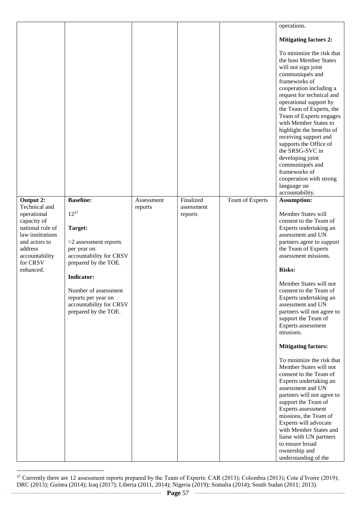|                                                                                                                                                            |                                                                                                                                                                                                                                        |            |                       |                 | operations.                                                                                                                                                                                                                                                                                                                                                                                                                                                                                                                                                                                                                                                                                                                                                                                     |
|------------------------------------------------------------------------------------------------------------------------------------------------------------|----------------------------------------------------------------------------------------------------------------------------------------------------------------------------------------------------------------------------------------|------------|-----------------------|-----------------|-------------------------------------------------------------------------------------------------------------------------------------------------------------------------------------------------------------------------------------------------------------------------------------------------------------------------------------------------------------------------------------------------------------------------------------------------------------------------------------------------------------------------------------------------------------------------------------------------------------------------------------------------------------------------------------------------------------------------------------------------------------------------------------------------|
|                                                                                                                                                            |                                                                                                                                                                                                                                        |            |                       |                 | <b>Mitigating factors 2:</b>                                                                                                                                                                                                                                                                                                                                                                                                                                                                                                                                                                                                                                                                                                                                                                    |
|                                                                                                                                                            |                                                                                                                                                                                                                                        |            |                       |                 | To minimize the risk that<br>the host Member States<br>will not sign joint<br>communiqués and<br>frameworks of<br>cooperation including a<br>request for technical and<br>operational support by<br>the Team of Experts, the<br>Team of Experts engages<br>with Member States to<br>highlight the benefits of<br>receiving support and<br>supports the Office of<br>the SRSG-SVC in<br>developing joint<br>communiqués and<br>frameworks of<br>cooperation with strong<br>language on<br>accountability.                                                                                                                                                                                                                                                                                        |
| Output $2$ :                                                                                                                                               | <b>Baseline:</b>                                                                                                                                                                                                                       | Assessment | Finalized             | Team of Experts | <b>Assumption:</b>                                                                                                                                                                                                                                                                                                                                                                                                                                                                                                                                                                                                                                                                                                                                                                              |
| Technical and<br>operational<br>capacity of<br>national rule of<br>law institutions<br>and actors to<br>address<br>accountability<br>for CRSV<br>enhanced. | $12^{37}$<br>Target:<br>>2 assessment reports<br>per year on<br>accountability for CRSV<br>prepared by the TOE.<br><b>Indicator:</b><br>Number of assessment<br>reports per year on<br>accountability for CRSV<br>prepared by the TOE. | reports    | assessment<br>reports |                 | Member States will<br>consent to the Team of<br>Experts undertaking an<br>assessment and UN<br>partners agree to support<br>the Team of Experts<br>assessment missions.<br><b>Risks:</b><br>Member States will not<br>consent to the Team of<br>Experts undertaking an<br>assessment and UN<br>partners will not agree to<br>support the Team of<br>Experts assessment<br>missions.<br><b>Mitigating factors:</b><br>To minimize the risk that<br>Member States will not<br>consent to the Team of<br>Experts undertaking an<br>assessment and UN<br>partners will not agree to<br>support the Team of<br>Experts assessment<br>missions, the Team of<br>Experts will advocate<br>with Member States and<br>liaise with UN partners<br>to ensure broad<br>ownership and<br>understanding of the |

<sup>&</sup>lt;sup>37</sup> Currently there are 12 assessment reports prepared by the Team of Experts: CAR (2013); Colombia (2013); Cote d'Ivoire (2019); DRC (2013); Guinea (2014); Iraq (2017); Liberia (2011, 2014); Nigeria (2019); Somalia (2014); South Sudan (2011; 2013).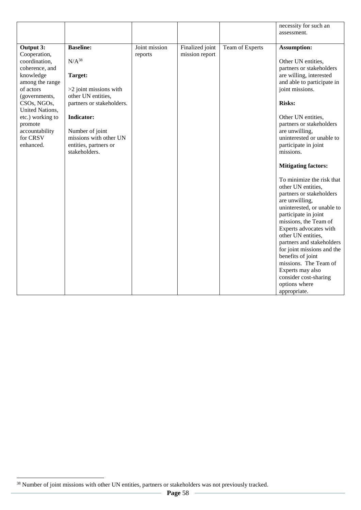|                                                                                                                                                                                                                                        |                                                                                                                                                                                                                                    |                          |                                   |                 | necessity for such an<br>assessment.                                                                                                                                                                                                                                                                                                                                                                                                                                                                                                                                                                                                                                                                                                                  |
|----------------------------------------------------------------------------------------------------------------------------------------------------------------------------------------------------------------------------------------|------------------------------------------------------------------------------------------------------------------------------------------------------------------------------------------------------------------------------------|--------------------------|-----------------------------------|-----------------|-------------------------------------------------------------------------------------------------------------------------------------------------------------------------------------------------------------------------------------------------------------------------------------------------------------------------------------------------------------------------------------------------------------------------------------------------------------------------------------------------------------------------------------------------------------------------------------------------------------------------------------------------------------------------------------------------------------------------------------------------------|
| Output 3:<br>Cooperation,<br>coordination,<br>coherence, and<br>knowledge<br>among the range<br>of actors<br>(governments,<br>CSOs, NGOs,<br>United Nations,<br>etc.) working to<br>promote<br>accountability<br>for CRSV<br>enhanced. | <b>Baseline:</b><br>$N/A^{38}$<br>Target:<br>>2 joint missions with<br>other UN entities,<br>partners or stakeholders.<br><b>Indicator:</b><br>Number of joint<br>missions with other UN<br>entities, partners or<br>stakeholders. | Joint mission<br>reports | Finalized joint<br>mission report | Team of Experts | Assumption:<br>Other UN entities,<br>partners or stakeholders<br>are willing, interested<br>and able to participate in<br>joint missions.<br><b>Risks:</b><br>Other UN entities,<br>partners or stakeholders<br>are unwilling,<br>uninterested or unable to<br>participate in joint<br>missions.<br><b>Mitigating factors:</b><br>To minimize the risk that<br>other UN entities,<br>partners or stakeholders<br>are unwilling,<br>uninterested, or unable to<br>participate in joint<br>missions, the Team of<br>Experts advocates with<br>other UN entities,<br>partners and stakeholders<br>for joint missions and the<br>benefits of joint<br>missions. The Team of<br>Experts may also<br>consider cost-sharing<br>options where<br>appropriate. |

<sup>&</sup>lt;sup>38</sup> Number of joint missions with other UN entities, partners or stakeholders was not previously tracked.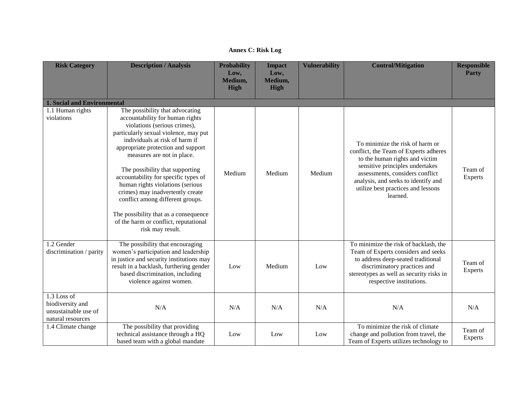| <b>Risk Category</b>                                                         | <b>Description / Analysis</b>                                                                                                                                                                                                                                                                                                                                                                                                                                                                                                                  | <b>Probability</b><br>Low,<br>Medium,<br><b>High</b> | <b>Impact</b><br>Low,<br>Medium,<br><b>High</b> | <b>Vulnerability</b> | <b>Control/Mitigation</b>                                                                                                                                                                                                                                                 | <b>Responsible</b><br><b>Party</b> |
|------------------------------------------------------------------------------|------------------------------------------------------------------------------------------------------------------------------------------------------------------------------------------------------------------------------------------------------------------------------------------------------------------------------------------------------------------------------------------------------------------------------------------------------------------------------------------------------------------------------------------------|------------------------------------------------------|-------------------------------------------------|----------------------|---------------------------------------------------------------------------------------------------------------------------------------------------------------------------------------------------------------------------------------------------------------------------|------------------------------------|
|                                                                              |                                                                                                                                                                                                                                                                                                                                                                                                                                                                                                                                                |                                                      |                                                 |                      |                                                                                                                                                                                                                                                                           |                                    |
| <b>1. Social and Environmental</b>                                           |                                                                                                                                                                                                                                                                                                                                                                                                                                                                                                                                                |                                                      |                                                 |                      |                                                                                                                                                                                                                                                                           |                                    |
| 1.1 Human rights<br>violations                                               | The possibility that advocating<br>accountability for human rights<br>violations (serious crimes),<br>particularly sexual violence, may put<br>individuals at risk of harm if<br>appropriate protection and support<br>measures are not in place.<br>The possibility that supporting<br>accountability for specific types of<br>human rights violations (serious<br>crimes) may inadvertently create<br>conflict among different groups.<br>The possibility that as a consequence<br>of the harm or conflict, reputational<br>risk may result. | Medium                                               | Medium                                          | Medium               | To minimize the risk of harm or<br>conflict, the Team of Experts adheres<br>to the human rights and victim<br>sensitive principles undertakes<br>assessments, considers conflict<br>analysis, and seeks to identify and<br>utilize best practices and lessons<br>learned. | Team of<br><b>Experts</b>          |
| 1.2 Gender<br>discrimination / parity                                        | The possibility that encouraging<br>women's participation and leadership<br>in justice and security institutions may<br>result in a backlash, furthering gender<br>based discrimination, including<br>violence against women.                                                                                                                                                                                                                                                                                                                  | Low                                                  | Medium                                          | Low                  | To minimize the risk of backlash, the<br>Team of Experts considers and seeks<br>to address deep-seated traditional<br>discriminatory practices and<br>stereotypes as well as security risks in<br>respective institutions.                                                | Team of<br><b>Experts</b>          |
| 1.3 Loss of<br>biodiversity and<br>unsustainable use of<br>natural resources | N/A                                                                                                                                                                                                                                                                                                                                                                                                                                                                                                                                            | N/A                                                  | N/A                                             | N/A                  | N/A                                                                                                                                                                                                                                                                       | N/A                                |
| 1.4 Climate change                                                           | The possibility that providing<br>technical assistance through a HQ<br>based team with a global mandate                                                                                                                                                                                                                                                                                                                                                                                                                                        | Low                                                  | Low                                             | Low                  | To minimize the risk of climate<br>change and pollution from travel, the<br>Team of Experts utilizes technology to                                                                                                                                                        | Team of<br>Experts                 |

**Annex C: Risk Log**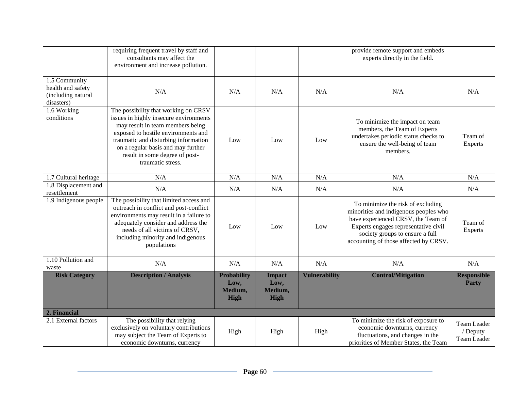|                                                                        | requiring frequent travel by staff and<br>consultants may affect the<br>environment and increase pollution.                                                                                                                                                                                    |                                                      |                                                 |                      | provide remote support and embeds<br>experts directly in the field.                                                                                                                                                                  |                                        |
|------------------------------------------------------------------------|------------------------------------------------------------------------------------------------------------------------------------------------------------------------------------------------------------------------------------------------------------------------------------------------|------------------------------------------------------|-------------------------------------------------|----------------------|--------------------------------------------------------------------------------------------------------------------------------------------------------------------------------------------------------------------------------------|----------------------------------------|
| 1.5 Community<br>health and safety<br>(including natural<br>disasters) | N/A                                                                                                                                                                                                                                                                                            | N/A                                                  | N/A                                             | N/A                  | N/A                                                                                                                                                                                                                                  | N/A                                    |
| 1.6 Working<br>conditions                                              | The possibility that working on CRSV<br>issues in highly insecure environments<br>may result in team members being<br>exposed to hostile environments and<br>traumatic and disturbing information<br>on a regular basis and may further<br>result in some degree of post-<br>traumatic stress. | Low                                                  | Low                                             | Low                  | To minimize the impact on team<br>members, the Team of Experts<br>undertakes periodic status checks to<br>ensure the well-being of team<br>members.                                                                                  | Team of<br><b>Experts</b>              |
| 1.7 Cultural heritage                                                  | N/A                                                                                                                                                                                                                                                                                            | N/A                                                  | N/A                                             | N/A                  | N/A                                                                                                                                                                                                                                  | N/A                                    |
| 1.8 Displacement and<br>resettlement                                   | N/A                                                                                                                                                                                                                                                                                            | N/A                                                  | N/A                                             | N/A                  | N/A                                                                                                                                                                                                                                  | N/A                                    |
| 1.9 Indigenous people                                                  | The possibility that limited access and<br>outreach in conflict and post-conflict<br>environments may result in a failure to<br>adequately consider and address the<br>needs of all victims of CRSV,<br>including minority and indigenous<br>populations                                       | Low                                                  | Low                                             | Low                  | To minimize the risk of excluding<br>minorities and indigenous peoples who<br>have experienced CRSV, the Team of<br>Experts engages representative civil<br>society groups to ensure a full<br>accounting of those affected by CRSV. | Team of<br>Experts                     |
| 1.10 Pollution and<br>waste                                            | N/A                                                                                                                                                                                                                                                                                            | N/A                                                  | N/A                                             | N/A                  | N/A                                                                                                                                                                                                                                  | N/A                                    |
| <b>Risk Category</b>                                                   | <b>Description / Analysis</b>                                                                                                                                                                                                                                                                  | <b>Probability</b><br>Low,<br>Medium,<br><b>High</b> | <b>Impact</b><br>Low,<br>Medium,<br><b>High</b> | <b>Vulnerability</b> | <b>Control/Mitigation</b>                                                                                                                                                                                                            | <b>Responsible</b><br><b>Party</b>     |
| 2. Financial                                                           |                                                                                                                                                                                                                                                                                                |                                                      |                                                 |                      |                                                                                                                                                                                                                                      |                                        |
| 2.1 External factors                                                   | The possibility that relying<br>exclusively on voluntary contributions<br>may subject the Team of Experts to<br>economic downturns, currency                                                                                                                                                   | High                                                 | High                                            | High                 | To minimize the risk of exposure to<br>economic downturns, currency<br>fluctuations, and changes in the<br>priorities of Member States, the Team                                                                                     | Team Leader<br>/ Deputy<br>Team Leader |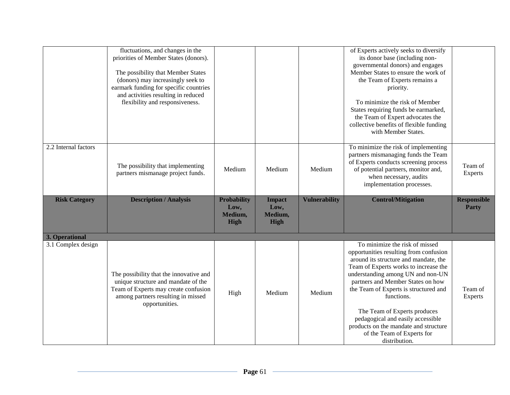|                                      | fluctuations, and changes in the<br>priorities of Member States (donors).<br>The possibility that Member States<br>(donors) may increasingly seek to<br>earmark funding for specific countries<br>and activities resulting in reduced<br>flexibility and responsiveness. |                            |                        |                      | of Experts actively seeks to diversify<br>its donor base (including non-<br>governmental donors) and engages<br>Member States to ensure the work of<br>the Team of Experts remains a<br>priority.<br>To minimize the risk of Member<br>States requiring funds be earmarked,<br>the Team of Expert advocates the<br>collective benefits of flexible funding<br>with Member States. |                                    |
|--------------------------------------|--------------------------------------------------------------------------------------------------------------------------------------------------------------------------------------------------------------------------------------------------------------------------|----------------------------|------------------------|----------------------|-----------------------------------------------------------------------------------------------------------------------------------------------------------------------------------------------------------------------------------------------------------------------------------------------------------------------------------------------------------------------------------|------------------------------------|
| 2.2 Internal factors                 | The possibility that implementing<br>partners mismanage project funds.                                                                                                                                                                                                   | Medium                     | Medium                 | Medium               | To minimize the risk of implementing<br>partners mismanaging funds the Team<br>of Experts conducts screening process<br>of potential partners, monitor and,<br>when necessary, audits<br>implementation processes.                                                                                                                                                                | Team of<br><b>Experts</b>          |
| <b>Risk Category</b>                 | <b>Description / Analysis</b>                                                                                                                                                                                                                                            | <b>Probability</b><br>Low, | <b>Impact</b><br>Low,  | <b>Vulnerability</b> | <b>Control/Mitigation</b>                                                                                                                                                                                                                                                                                                                                                         | <b>Responsible</b><br><b>Party</b> |
|                                      |                                                                                                                                                                                                                                                                          | Medium,<br><b>High</b>     | Medium,<br><b>High</b> |                      |                                                                                                                                                                                                                                                                                                                                                                                   |                                    |
| 3. Operational<br>3.1 Complex design |                                                                                                                                                                                                                                                                          |                            |                        |                      | To minimize the risk of missed                                                                                                                                                                                                                                                                                                                                                    |                                    |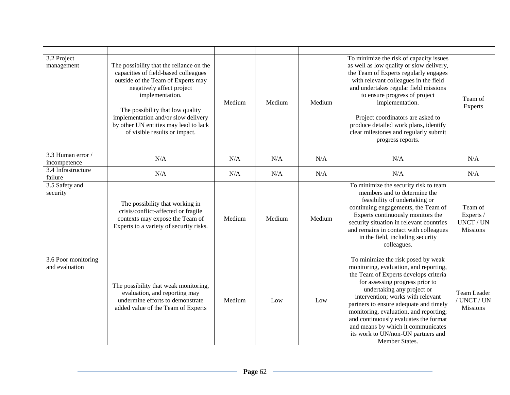| 3.2 Project<br>management             | The possibility that the reliance on the<br>capacities of field-based colleagues<br>outside of the Team of Experts may<br>negatively affect project<br>implementation.<br>The possibility that low quality<br>implementation and/or slow delivery<br>by other UN entities may lead to lack<br>of visible results or impact. | Medium | Medium | Medium | To minimize the risk of capacity issues<br>as well as low quality or slow delivery,<br>the Team of Experts regularly engages<br>with relevant colleagues in the field<br>and undertakes regular field missions<br>to ensure progress of project<br>implementation.<br>Project coordinators are asked to<br>produce detailed work plans, identify<br>clear milestones and regularly submit<br>progress reports.                                         | Team of<br>Experts                                          |
|---------------------------------------|-----------------------------------------------------------------------------------------------------------------------------------------------------------------------------------------------------------------------------------------------------------------------------------------------------------------------------|--------|--------|--------|--------------------------------------------------------------------------------------------------------------------------------------------------------------------------------------------------------------------------------------------------------------------------------------------------------------------------------------------------------------------------------------------------------------------------------------------------------|-------------------------------------------------------------|
| 3.3 Human error /<br>incompetence     | N/A                                                                                                                                                                                                                                                                                                                         | N/A    | N/A    | N/A    | N/A                                                                                                                                                                                                                                                                                                                                                                                                                                                    | N/A                                                         |
| 3.4 Infrastructure<br>failure         | N/A                                                                                                                                                                                                                                                                                                                         | N/A    | N/A    | N/A    | N/A                                                                                                                                                                                                                                                                                                                                                                                                                                                    | N/A                                                         |
| 3.5 Safety and<br>security            | The possibility that working in<br>crisis/conflict-affected or fragile<br>contexts may expose the Team of<br>Experts to a variety of security risks.                                                                                                                                                                        | Medium | Medium | Medium | To minimize the security risk to team<br>members and to determine the<br>feasibility of undertaking or<br>continuing engagements, the Team of<br>Experts continuously monitors the<br>security situation in relevant countries<br>and remains in contact with colleagues<br>in the field, including security<br>colleagues.                                                                                                                            | Team of<br>Experts /<br><b>UNCT / UN</b><br><b>Missions</b> |
| 3.6 Poor monitoring<br>and evaluation | The possibility that weak monitoring,<br>evaluation, and reporting may<br>undermine efforts to demonstrate<br>added value of the Team of Experts                                                                                                                                                                            | Medium | Low    | Low    | To minimize the risk posed by weak<br>monitoring, evaluation, and reporting,<br>the Team of Experts develops criteria<br>for assessing progress prior to<br>undertaking any project or<br>intervention; works with relevant<br>partners to ensure adequate and timely<br>monitoring, evaluation, and reporting;<br>and continuously evaluates the format<br>and means by which it communicates<br>its work to UN/non-UN partners and<br>Member States. | <b>Team Leader</b><br>/ UNCT / UN<br><b>Missions</b>        |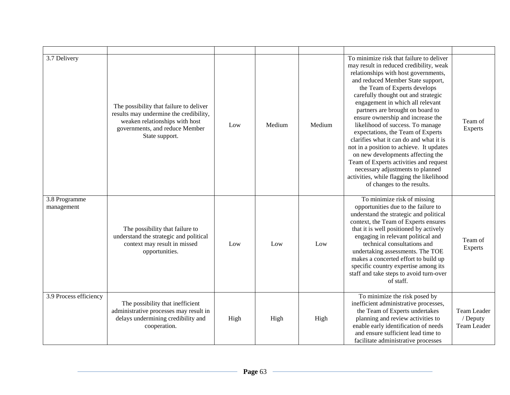| 3.7 Delivery                | The possibility that failure to deliver<br>results may undermine the credibility,<br>weaken relationships with host<br>governments, and reduce Member<br>State support. | Low  | Medium | Medium | To minimize risk that failure to deliver<br>may result in reduced credibility, weak<br>relationships with host governments,<br>and reduced Member State support,<br>the Team of Experts develops<br>carefully thought out and strategic<br>engagement in which all relevant<br>partners are brought on board to<br>ensure ownership and increase the<br>likelihood of success. To manage<br>expectations, the Team of Experts<br>clarifies what it can do and what it is<br>not in a position to achieve. It updates<br>on new developments affecting the<br>Team of Experts activities and request<br>necessary adjustments to planned<br>activities, while flagging the likelihood<br>of changes to the results. | Team of<br>Experts                     |
|-----------------------------|-------------------------------------------------------------------------------------------------------------------------------------------------------------------------|------|--------|--------|--------------------------------------------------------------------------------------------------------------------------------------------------------------------------------------------------------------------------------------------------------------------------------------------------------------------------------------------------------------------------------------------------------------------------------------------------------------------------------------------------------------------------------------------------------------------------------------------------------------------------------------------------------------------------------------------------------------------|----------------------------------------|
| 3.8 Programme<br>management | The possibility that failure to<br>understand the strategic and political<br>context may result in missed<br>opportunities.                                             | Low  | Low    | Low    | To minimize risk of missing<br>opportunities due to the failure to<br>understand the strategic and political<br>context, the Team of Experts ensures<br>that it is well positioned by actively<br>engaging in relevant political and<br>technical consultations and<br>undertaking assessments. The TOE<br>makes a concerted effort to build up<br>specific country expertise among its<br>staff and take steps to avoid turn-over<br>of staff.                                                                                                                                                                                                                                                                    | Team of<br><b>Experts</b>              |
| 3.9 Process efficiency      | The possibility that inefficient<br>administrative processes may result in<br>delays undermining credibility and<br>cooperation.                                        | High | High   | High   | To minimize the risk posed by<br>inefficient administrative processes,<br>the Team of Experts undertakes<br>planning and review activities to<br>enable early identification of needs<br>and ensure sufficient lead time to<br>facilitate administrative processes                                                                                                                                                                                                                                                                                                                                                                                                                                                 | Team Leader<br>/ Deputy<br>Team Leader |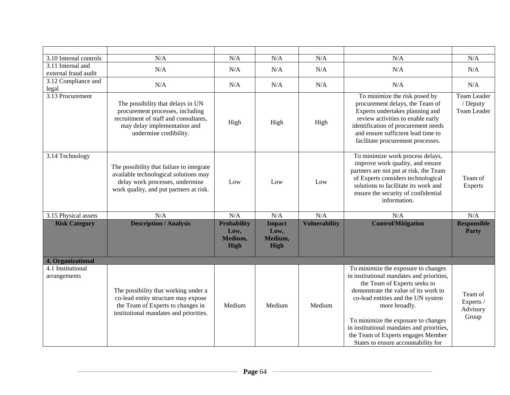| 3.10 Internal controls                    | N/A                                                                                                                                                                      | N/A                                                  | N/A                                             | N/A                  | N/A                                                                                                                                                                                                                                                                                                                                                                              | N/A                                           |
|-------------------------------------------|--------------------------------------------------------------------------------------------------------------------------------------------------------------------------|------------------------------------------------------|-------------------------------------------------|----------------------|----------------------------------------------------------------------------------------------------------------------------------------------------------------------------------------------------------------------------------------------------------------------------------------------------------------------------------------------------------------------------------|-----------------------------------------------|
| 3.11 Internal and<br>external fraud audit | N/A                                                                                                                                                                      | N/A                                                  | N/A                                             | N/A                  | N/A                                                                                                                                                                                                                                                                                                                                                                              | N/A                                           |
| 3.12 Compliance and<br>legal              | N/A                                                                                                                                                                      | N/A                                                  | N/A                                             | N/A                  | N/A                                                                                                                                                                                                                                                                                                                                                                              | N/A                                           |
| 3.13 Procurement                          | The possibility that delays in UN<br>procurement processes, including<br>recruitment of staff and consultants,<br>may delay implementation and<br>undermine credibility. | High                                                 | High                                            | High                 | To minimize the risk posed by<br>procurement delays, the Team of<br>Experts undertakes planning and<br>review activities to enable early<br>identification of procurement needs<br>and ensure sufficient lead time to<br>facilitate procurement processes.                                                                                                                       | <b>Team Leader</b><br>/ Deputy<br>Team Leader |
| 3.14 Technology                           | The possibility that failure to integrate<br>available technological solutions may<br>delay work processes, undermine<br>work quality, and put partners at risk.         | Low                                                  | Low                                             | Low                  | To minimize work process delays,<br>improve work quality, and ensure<br>partners are not put at risk, the Team<br>of Experts considers technological<br>solutions to facilitate its work and<br>ensure the security of confidential<br>information.                                                                                                                              | Team of<br><b>Experts</b>                     |
| 3.15 Physical assets                      | N/A                                                                                                                                                                      | N/A                                                  | N/A                                             | N/A                  | N/A                                                                                                                                                                                                                                                                                                                                                                              | N/A                                           |
| <b>Risk Category</b>                      | <b>Description / Analysis</b>                                                                                                                                            | <b>Probability</b><br>Low,<br>Medium,<br><b>High</b> | <b>Impact</b><br>Low,<br>Medium,<br><b>High</b> | <b>Vulnerability</b> | <b>Control/Mitigation</b>                                                                                                                                                                                                                                                                                                                                                        | <b>Responsible</b><br><b>Party</b>            |
| 4. Organizational                         |                                                                                                                                                                          |                                                      |                                                 |                      |                                                                                                                                                                                                                                                                                                                                                                                  |                                               |
| 4.1 Institutional<br>arrangements         | The possibility that working under a<br>co-lead entity structure may expose<br>the Team of Experts to changes in<br>institutional mandates and priorities.               | Medium                                               | Medium                                          | Medium               | To minimize the exposure to changes<br>in institutional mandates and priorities,<br>the Team of Experts seeks to<br>demonstrate the value of its work to<br>co-lead entities and the UN system<br>more broadly.<br>To minimize the exposure to changes<br>in institutional mandates and priorities,<br>the Team of Experts engages Member<br>States to ensure accountability for | Team of<br>Experts /<br>Advisory<br>Group     |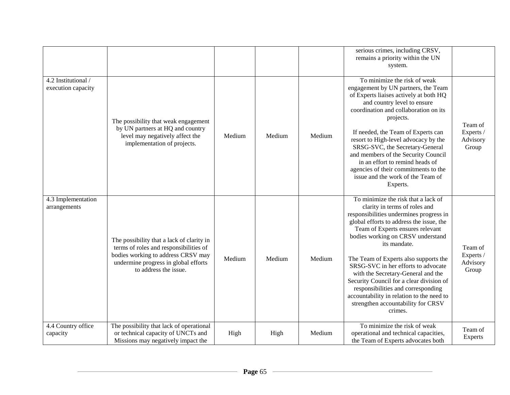|                                           |                                                                                                                                                                                            |        |        |        | serious crimes, including CRSV,<br>remains a priority within the UN<br>system.                                                                                                                                                                                                                                                                                                                                                                                                                                                                             |                                           |
|-------------------------------------------|--------------------------------------------------------------------------------------------------------------------------------------------------------------------------------------------|--------|--------|--------|------------------------------------------------------------------------------------------------------------------------------------------------------------------------------------------------------------------------------------------------------------------------------------------------------------------------------------------------------------------------------------------------------------------------------------------------------------------------------------------------------------------------------------------------------------|-------------------------------------------|
| 4.2 Institutional /<br>execution capacity | The possibility that weak engagement<br>by UN partners at HQ and country<br>level may negatively affect the<br>implementation of projects.                                                 | Medium | Medium | Medium | To minimize the risk of weak<br>engagement by UN partners, the Team<br>of Experts liaises actively at both HQ<br>and country level to ensure<br>coordination and collaboration on its<br>projects.<br>If needed, the Team of Experts can<br>resort to High-level advocacy by the<br>SRSG-SVC, the Secretary-General<br>and members of the Security Council<br>in an effort to remind heads of<br>agencies of their commitments to the<br>issue and the work of the Team of<br>Experts.                                                                     | Team of<br>Experts /<br>Advisory<br>Group |
| 4.3 Implementation<br>arrangements        | The possibility that a lack of clarity in<br>terms of roles and responsibilities of<br>bodies working to address CRSV may<br>undermine progress in global efforts<br>to address the issue. | Medium | Medium | Medium | To minimize the risk that a lack of<br>clarity in terms of roles and<br>responsibilities undermines progress in<br>global efforts to address the issue, the<br>Team of Experts ensures relevant<br>bodies working on CRSV understand<br>its mandate.<br>The Team of Experts also supports the<br>SRSG-SVC in her efforts to advocate<br>with the Secretary-General and the<br>Security Council for a clear division of<br>responsibilities and corresponding<br>accountability in relation to the need to<br>strengthen accountability for CRSV<br>crimes. | Team of<br>Experts /<br>Advisory<br>Group |
| 4.4 Country office<br>capacity            | The possibility that lack of operational<br>or technical capacity of UNCTs and<br>Missions may negatively impact the                                                                       | High   | High   | Medium | To minimize the risk of weak<br>operational and technical capacities,<br>the Team of Experts advocates both                                                                                                                                                                                                                                                                                                                                                                                                                                                | Team of<br>Experts                        |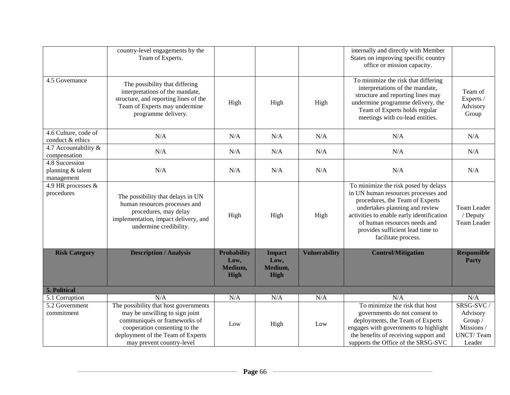|                                                   | country-level engagements by the<br>Team of Experts.                                                                                                                                                       |                                                      |                                                 |                      | internally and directly with Member<br>States on improving specific country<br>office or mission capacity.                                                                                                                                                                               |                                                                              |
|---------------------------------------------------|------------------------------------------------------------------------------------------------------------------------------------------------------------------------------------------------------------|------------------------------------------------------|-------------------------------------------------|----------------------|------------------------------------------------------------------------------------------------------------------------------------------------------------------------------------------------------------------------------------------------------------------------------------------|------------------------------------------------------------------------------|
| 4.5 Governance                                    | The possibility that differing<br>interpretations of the mandate,<br>structure, and reporting lines of the<br>Team of Experts may undermine<br>programme delivery.                                         | High                                                 | High                                            | High                 | To minimize the risk that differing<br>interpretations of the mandate,<br>structure and reporting lines may<br>undermine programme delivery, the<br>Team of Experts holds regular<br>meetings with co-lead entities.                                                                     | Team of<br>Experts /<br>Advisory<br>Group                                    |
| 4.6 Culture, code of<br>conduct & ethics          | N/A                                                                                                                                                                                                        | N/A                                                  | N/A                                             | N/A                  | N/A                                                                                                                                                                                                                                                                                      | N/A                                                                          |
| 4.7 Accountability &<br>compensation              | N/A                                                                                                                                                                                                        | N/A                                                  | N/A                                             | N/A                  | N/A                                                                                                                                                                                                                                                                                      | N/A                                                                          |
| 4.8 Succession<br>planning & talent<br>management | N/A                                                                                                                                                                                                        | N/A                                                  | N/A                                             | N/A                  | N/A                                                                                                                                                                                                                                                                                      | N/A                                                                          |
| 4.9 HR processes &<br>procedures                  | The possibility that delays in UN<br>human resources processes and<br>procedures, may delay<br>implementation, impact delivery, and<br>undermine credibility.                                              | High                                                 | High                                            | High                 | To minimize the risk posed by delays<br>in UN human resources processes and<br>procedures, the Team of Experts<br>undertakes planning and review<br>activities to enable early identification<br>of human resources needs and<br>provides sufficient lead time to<br>facilitate process. | Team Leader<br>/ Deputy<br>Team Leader                                       |
| <b>Risk Category</b>                              | <b>Description / Analysis</b>                                                                                                                                                                              | <b>Probability</b><br>Low,<br>Medium,<br><b>High</b> | <b>Impact</b><br>Low,<br>Medium,<br><b>High</b> | <b>Vulnerability</b> | <b>Control/Mitigation</b>                                                                                                                                                                                                                                                                | <b>Responsible</b><br><b>Party</b>                                           |
| <b>5. Political</b>                               |                                                                                                                                                                                                            |                                                      |                                                 |                      |                                                                                                                                                                                                                                                                                          |                                                                              |
| 5.1 Corruption                                    | N/A                                                                                                                                                                                                        | N/A                                                  | N/A                                             | N/A                  | N/A                                                                                                                                                                                                                                                                                      | N/A                                                                          |
| 5.2 Government<br>commitment                      | The possibility that host governments<br>may be unwilling to sign joint<br>communiqués or frameworks of<br>cooperation consenting to the<br>deployment of the Team of Experts<br>may prevent country-level | Low                                                  | High                                            | Low                  | To minimize the risk that host<br>governments do not consent to<br>deployments, the Team of Experts<br>engages with governments to highlight<br>the benefits of receiving support and<br>supports the Office of the SRSG-SVC                                                             | SRSG-SVC/<br>Advisory<br>Group /<br>Missions /<br><b>UNCT/Team</b><br>Leader |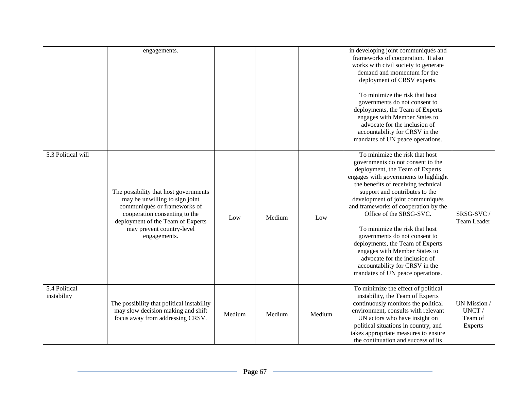|                              | engagements.                                                                                                                                                                                                               |        |        |        | in developing joint communiqués and<br>frameworks of cooperation. It also<br>works with civil society to generate<br>demand and momentum for the<br>deployment of CRSV experts.<br>To minimize the risk that host<br>governments do not consent to<br>deployments, the Team of Experts<br>engages with Member States to<br>advocate for the inclusion of<br>accountability for CRSV in the<br>mandates of UN peace operations.                                                                                                                                                 |                                             |
|------------------------------|----------------------------------------------------------------------------------------------------------------------------------------------------------------------------------------------------------------------------|--------|--------|--------|--------------------------------------------------------------------------------------------------------------------------------------------------------------------------------------------------------------------------------------------------------------------------------------------------------------------------------------------------------------------------------------------------------------------------------------------------------------------------------------------------------------------------------------------------------------------------------|---------------------------------------------|
| 5.3 Political will           | The possibility that host governments<br>may be unwilling to sign joint<br>communiqués or frameworks of<br>cooperation consenting to the<br>deployment of the Team of Experts<br>may prevent country-level<br>engagements. | Low    | Medium | Low    | To minimize the risk that host<br>governments do not consent to the<br>deployment, the Team of Experts<br>engages with governments to highlight<br>the benefits of receiving technical<br>support and contributes to the<br>development of joint communiqués<br>and frameworks of cooperation by the<br>Office of the SRSG-SVC.<br>To minimize the risk that host<br>governments do not consent to<br>deployments, the Team of Experts<br>engages with Member States to<br>advocate for the inclusion of<br>accountability for CRSV in the<br>mandates of UN peace operations. | SRSG-SVC /<br>Team Leader                   |
| 5.4 Political<br>instability | The possibility that political instability<br>may slow decision making and shift<br>focus away from addressing CRSV.                                                                                                       | Medium | Medium | Medium | To minimize the effect of political<br>instability, the Team of Experts<br>continuously monitors the political<br>environment, consults with relevant<br>UN actors who have insight on<br>political situations in country, and<br>takes appropriate measures to ensure<br>the continuation and success of its                                                                                                                                                                                                                                                                  | UN Mission /<br>UNCT/<br>Team of<br>Experts |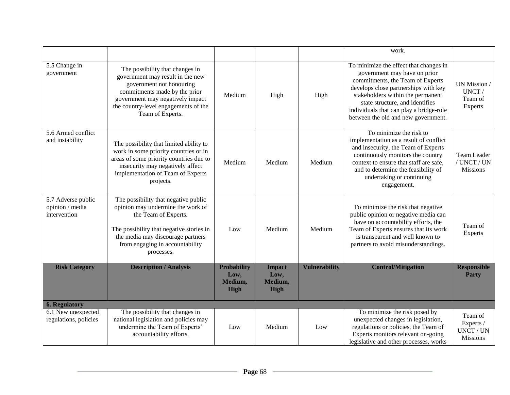|                                                       |                                                                                                                                                                                                                                     |                                                      |                                                 |                      | work.                                                                                                                                                                                                                                                                                                        |                                                      |
|-------------------------------------------------------|-------------------------------------------------------------------------------------------------------------------------------------------------------------------------------------------------------------------------------------|------------------------------------------------------|-------------------------------------------------|----------------------|--------------------------------------------------------------------------------------------------------------------------------------------------------------------------------------------------------------------------------------------------------------------------------------------------------------|------------------------------------------------------|
| 5.5 Change in<br>government                           | The possibility that changes in<br>government may result in the new<br>government not honouring<br>commitments made by the prior<br>government may negatively impact<br>the country-level engagements of the<br>Team of Experts.    | Medium                                               | High                                            | High                 | To minimize the effect that changes in<br>government may have on prior<br>commitments, the Team of Experts<br>develops close partnerships with key<br>stakeholders within the permanent<br>state structure, and identifies<br>individuals that can play a bridge-role<br>between the old and new government. | UN Mission /<br>UNCT/<br>Team of<br>Experts          |
| 5.6 Armed conflict<br>and instability                 | The possibility that limited ability to<br>work in some priority countries or in<br>areas of some priority countries due to<br>insecurity may negatively affect<br>implementation of Team of Experts<br>projects.                   | Medium                                               | Medium                                          | Medium               | To minimize the risk to<br>implementation as a result of conflict<br>and insecurity, the Team of Experts<br>continuously monitors the country<br>context to ensure that staff are safe,<br>and to determine the feasibility of<br>undertaking or continuing<br>engagement.                                   | Team Leader<br>/ UNCT / UN<br><b>Missions</b>        |
| 5.7 Adverse public<br>opinion / media<br>intervention | The possibility that negative public<br>opinion may undermine the work of<br>the Team of Experts.<br>The possibility that negative stories in<br>the media may discourage partners<br>from engaging in accountability<br>processes. | Low                                                  | Medium                                          | Medium               | To minimize the risk that negative<br>public opinion or negative media can<br>have on accountability efforts, the<br>Team of Experts ensures that its work<br>is transparent and well known to<br>partners to avoid misunderstandings.                                                                       | Team of<br><b>Experts</b>                            |
| <b>Risk Category</b>                                  | <b>Description / Analysis</b>                                                                                                                                                                                                       | <b>Probability</b><br>Low,<br>Medium,<br><b>High</b> | <b>Impact</b><br>Low,<br>Medium,<br><b>High</b> | <b>Vulnerability</b> | <b>Control/Mitigation</b>                                                                                                                                                                                                                                                                                    | <b>Responsible</b><br>Party                          |
| <b>6. Regulatory</b>                                  |                                                                                                                                                                                                                                     |                                                      |                                                 |                      |                                                                                                                                                                                                                                                                                                              |                                                      |
| 6.1 New unexpected<br>regulations, policies           | The possibility that changes in<br>national legislation and policies may<br>undermine the Team of Experts'<br>accountability efforts.                                                                                               | Low                                                  | Medium                                          | Low                  | To minimize the risk posed by<br>unexpected changes in legislation,<br>regulations or policies, the Team of<br>Experts monitors relevant on-going<br>legislative and other processes, works                                                                                                                  | Team of<br>Experts /<br>UNCT / UN<br><b>Missions</b> |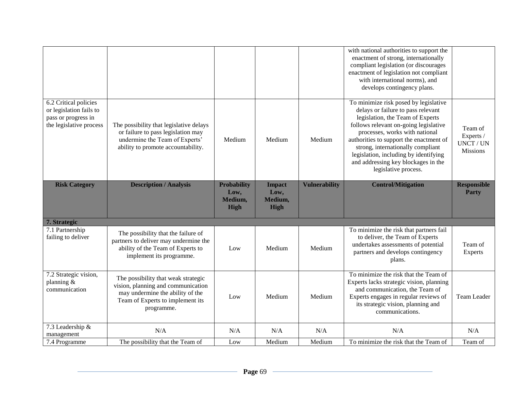|                                                                                                    |                                                                                                                                                                 |                                                      |                                                 |                      | with national authorities to support the<br>enactment of strong, internationally<br>compliant legislation (or discourages<br>enactment of legislation not compliant<br>with international norms), and<br>develops contingency plans.                                                                                                                                               |                                                      |
|----------------------------------------------------------------------------------------------------|-----------------------------------------------------------------------------------------------------------------------------------------------------------------|------------------------------------------------------|-------------------------------------------------|----------------------|------------------------------------------------------------------------------------------------------------------------------------------------------------------------------------------------------------------------------------------------------------------------------------------------------------------------------------------------------------------------------------|------------------------------------------------------|
| 6.2 Critical policies<br>or legislation fails to<br>pass or progress in<br>the legislative process | The possibility that legislative delays<br>or failure to pass legislation may<br>undermine the Team of Experts'<br>ability to promote accountability.           | Medium                                               | Medium                                          | Medium               | To minimize risk posed by legislative<br>delays or failure to pass relevant<br>legislation, the Team of Experts<br>follows relevant on-going legislative<br>processes, works with national<br>authorities to support the enactment of<br>strong, internationally compliant<br>legislation, including by identifying<br>and addressing key blockages in the<br>legislative process. | Team of<br>Experts /<br>UNCT / UN<br><b>Missions</b> |
| <b>Risk Category</b>                                                                               | <b>Description / Analysis</b>                                                                                                                                   | <b>Probability</b><br>Low,<br>Medium,<br><b>High</b> | <b>Impact</b><br>Low,<br>Medium,<br><b>High</b> | <b>Vulnerability</b> | <b>Control/Mitigation</b>                                                                                                                                                                                                                                                                                                                                                          | <b>Responsible</b><br><b>Party</b>                   |
| 7. Strategic                                                                                       |                                                                                                                                                                 |                                                      |                                                 |                      |                                                                                                                                                                                                                                                                                                                                                                                    |                                                      |
| 7.1 Partnership<br>failing to deliver                                                              | The possibility that the failure of<br>partners to deliver may undermine the<br>ability of the Team of Experts to<br>implement its programme.                   | Low                                                  | Medium                                          | Medium               | To minimize the risk that partners fail<br>to deliver, the Team of Experts<br>undertakes assessments of potential<br>partners and develops contingency<br>plans.                                                                                                                                                                                                                   | Team of<br>Experts                                   |
| 7.2 Strategic vision,<br>planning $&$<br>communication                                             | The possibility that weak strategic<br>vision, planning and communication<br>may undermine the ability of the<br>Team of Experts to implement its<br>programme. | Low                                                  | Medium                                          | Medium               | To minimize the risk that the Team of<br>Experts lacks strategic vision, planning<br>and communication, the Team of<br>Experts engages in regular reviews of<br>its strategic vision, planning and<br>communications.                                                                                                                                                              | Team Leader                                          |
| 7.3 Leadership &<br>management                                                                     | N/A                                                                                                                                                             | N/A                                                  | N/A                                             | N/A                  | N/A                                                                                                                                                                                                                                                                                                                                                                                | N/A                                                  |
| 7.4 Programme                                                                                      | The possibility that the Team of                                                                                                                                | Low                                                  | Medium                                          | Medium               | To minimize the risk that the Team of                                                                                                                                                                                                                                                                                                                                              | Team of                                              |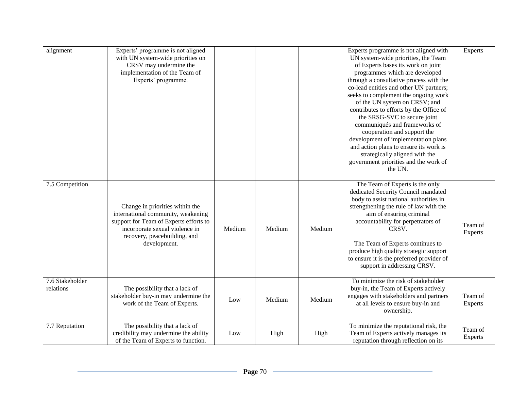| alignment                                 | Experts' programme is not aligned<br>with UN system-wide priorities on<br>CRSV may undermine the<br>implementation of the Team of<br>Experts' programme.                                          |        |        |        | Experts programme is not aligned with<br>UN system-wide priorities, the Team<br>of Experts bases its work on joint<br>programmes which are developed<br>through a consultative process with the<br>co-lead entities and other UN partners;<br>seeks to complement the ongoing work<br>of the UN system on CRSV; and<br>contributes to efforts by the Office of<br>the SRSG-SVC to secure joint<br>communiqués and frameworks of<br>cooperation and support the<br>development of implementation plans<br>and action plans to ensure its work is<br>strategically aligned with the<br>government priorities and the work of<br>the UN. | Experts            |
|-------------------------------------------|---------------------------------------------------------------------------------------------------------------------------------------------------------------------------------------------------|--------|--------|--------|---------------------------------------------------------------------------------------------------------------------------------------------------------------------------------------------------------------------------------------------------------------------------------------------------------------------------------------------------------------------------------------------------------------------------------------------------------------------------------------------------------------------------------------------------------------------------------------------------------------------------------------|--------------------|
| 7.5 Competition                           | Change in priorities within the<br>international community, weakening<br>support for Team of Experts efforts to<br>incorporate sexual violence in<br>recovery, peacebuilding, and<br>development. | Medium | Medium | Medium | The Team of Experts is the only<br>dedicated Security Council mandated<br>body to assist national authorities in<br>strengthening the rule of law with the<br>aim of ensuring criminal<br>accountability for perpetrators of<br>CRSV.<br>The Team of Experts continues to<br>produce high quality strategic support<br>to ensure it is the preferred provider of<br>support in addressing CRSV.                                                                                                                                                                                                                                       | Team of<br>Experts |
| $\overline{7.6}$ Stakeholder<br>relations | The possibility that a lack of<br>stakeholder buy-in may undermine the<br>work of the Team of Experts.                                                                                            | Low    | Medium | Medium | To minimize the risk of stakeholder<br>buy-in, the Team of Experts actively<br>engages with stakeholders and partners<br>at all levels to ensure buy-in and<br>ownership.                                                                                                                                                                                                                                                                                                                                                                                                                                                             | Team of<br>Experts |
| 7.7 Reputation                            | The possibility that a lack of<br>credibility may undermine the ability<br>of the Team of Experts to function.                                                                                    | Low    | High   | High   | To minimize the reputational risk, the<br>Team of Experts actively manages its<br>reputation through reflection on its                                                                                                                                                                                                                                                                                                                                                                                                                                                                                                                | Team of<br>Experts |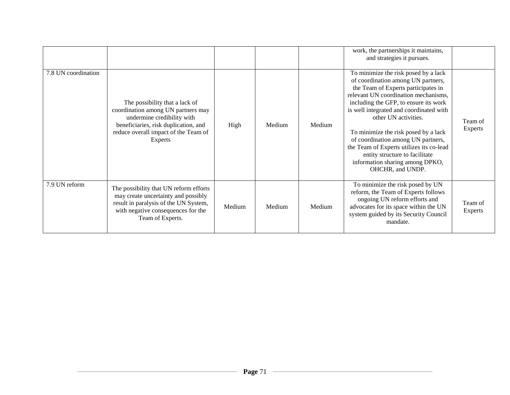|                     |                                                                                                                                                                                               |        |        |        | work, the partnerships it maintains,<br>and strategies it pursues.                                                                                                                                                                                                                                                                                                                                                                                                                       |                           |
|---------------------|-----------------------------------------------------------------------------------------------------------------------------------------------------------------------------------------------|--------|--------|--------|------------------------------------------------------------------------------------------------------------------------------------------------------------------------------------------------------------------------------------------------------------------------------------------------------------------------------------------------------------------------------------------------------------------------------------------------------------------------------------------|---------------------------|
| 7.8 UN coordination | The possibility that a lack of<br>coordination among UN partners may<br>undermine credibility with<br>beneficiaries, risk duplication, and<br>reduce overall impact of the Team of<br>Experts | High   | Medium | Medium | To minimize the risk posed by a lack<br>of coordination among UN partners,<br>the Team of Experts participates in<br>relevant UN coordination mechanisms,<br>including the GFP, to ensure its work<br>is well integrated and coordinated with<br>other UN activities.<br>To minimize the risk posed by a lack<br>of coordination among UN partners,<br>the Team of Experts utilizes its co-lead<br>entity structure to facilitate<br>information sharing among DPKO,<br>OHCHR, and UNDP. | Team of<br><b>Experts</b> |
| 7.9 UN reform       | The possibility that UN reform efforts<br>may create uncertainty and possibly<br>result in paralysis of the UN System,<br>with negative consequences for the<br>Team of Experts.              | Medium | Medium | Medium | To minimize the risk posed by UN<br>reform, the Team of Experts follows<br>ongoing UN reform efforts and<br>advocates for its space within the UN<br>system guided by its Security Council<br>mandate.                                                                                                                                                                                                                                                                                   | Team of<br><b>Experts</b> |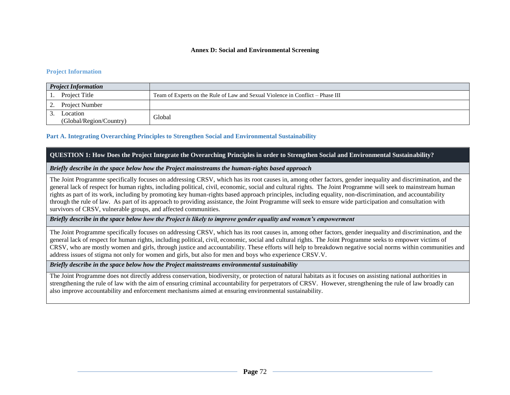#### **Annex D: Social and Environmental Screening**

## **Project Information**

| <b>Project Information</b>          |                                                                                |
|-------------------------------------|--------------------------------------------------------------------------------|
| Project Title                       | Team of Experts on the Rule of Law and Sexual Violence in Conflict – Phase III |
| Project Number                      |                                                                                |
| Location<br>(Global/Region/Country) | Global                                                                         |

## **Part A. Integrating Overarching Principles to Strengthen Social and Environmental Sustainability**

## **QUESTION 1: How Does the Project Integrate the Overarching Principles in order to Strengthen Social and Environmental Sustainability?**

## *Briefly describe in the space below how the Project mainstreams the human-rights based approach*

The Joint Programme specifically focuses on addressing CRSV, which has its root causes in, among other factors, gender inequality and discrimination, and the general lack of respect for human rights, including political, civil, economic, social and cultural rights. The Joint Programme will seek to mainstream human rights as part of its work, including by promoting key human-rights based approach principles, including equality, non-discrimination, and accountability through the rule of law. As part of its approach to providing assistance, the Joint Programme will seek to ensure wide participation and consultation with survivors of CRSV, vulnerable groups, and affected communities.

## *Briefly describe in the space below how the Project is likely to improve gender equality and women's empowerment*

The Joint Programme specifically focuses on addressing CRSV, which has its root causes in, among other factors, gender inequality and discrimination, and the general lack of respect for human rights, including political, civil, economic, social and cultural rights. The Joint Programme seeks to empower victims of CRSV, who are mostly women and girls, through justice and accountability. These efforts will help to breakdown negative social norms within communities and address issues of stigma not only for women and girls, but also for men and boys who experience CRSV.V.

# *Briefly describe in the space below how the Project mainstreams environmental sustainability*

The Joint Programme does not directly address conservation, biodiversity, or protection of natural habitats as it focuses on assisting national authorities in strengthening the rule of law with the aim of ensuring criminal accountability for perpetrators of CRSV. However, strengthening the rule of law broadly can also improve accountability and enforcement mechanisms aimed at ensuring environmental sustainability.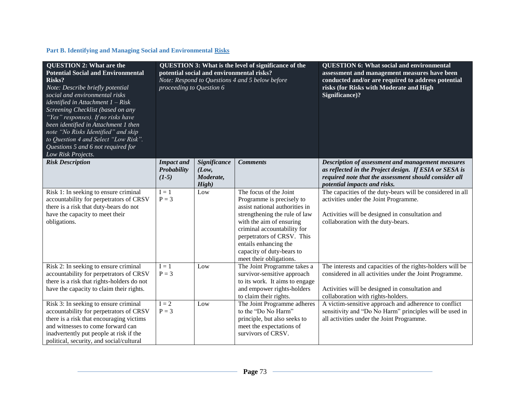# **Part B. Identifying and Managing Social and Environmental Risks**

| <b>QUESTION 2: What are the</b><br><b>Potential Social and Environmental</b><br>Risks?<br>Note: Describe briefly potential<br>social and environmental risks<br>identified in Attachment $1 - Risk$<br>Screening Checklist (based on any<br>"Yes" responses). If no risks have<br>been identified in Attachment 1 then<br>note "No Risks Identified" and skip<br>to Question 4 and Select "Low Risk".<br>Questions 5 and 6 not required for<br>Low Risk Projects. | proceeding to Question 6                    | potential social and environmental risks?   | <b>QUESTION 3: What is the level of significance of the</b><br>Note: Respond to Questions 4 and 5 below before                                                                                                                                                                                   | <b>QUESTION 6: What social and environmental</b><br>assessment and management measures have been<br>conducted and/or are required to address potential<br>risks (for Risks with Moderate and High<br>Significance)? |
|-------------------------------------------------------------------------------------------------------------------------------------------------------------------------------------------------------------------------------------------------------------------------------------------------------------------------------------------------------------------------------------------------------------------------------------------------------------------|---------------------------------------------|---------------------------------------------|--------------------------------------------------------------------------------------------------------------------------------------------------------------------------------------------------------------------------------------------------------------------------------------------------|---------------------------------------------------------------------------------------------------------------------------------------------------------------------------------------------------------------------|
| <b>Risk Description</b>                                                                                                                                                                                                                                                                                                                                                                                                                                           | <b>Impact and</b><br>Probability<br>$(1-5)$ | Significance<br>(Low,<br>Moderate,<br>High) | <b>Comments</b>                                                                                                                                                                                                                                                                                  | Description of assessment and management measures<br>as reflected in the Project design. If ESIA or SESA is<br>required note that the assessment should consider all<br>potential impacts and risks.                |
| Risk 1: In seeking to ensure criminal<br>accountability for perpetrators of CRSV<br>there is a risk that duty-bears do not<br>have the capacity to meet their<br>obligations.                                                                                                                                                                                                                                                                                     | $I = 1$<br>$P = 3$                          | Low                                         | The focus of the Joint<br>Programme is precisely to<br>assist national authorities in<br>strengthening the rule of law<br>with the aim of ensuring<br>criminal accountability for<br>perpetrators of CRSV. This<br>entails enhancing the<br>capacity of duty-bears to<br>meet their obligations. | The capacities of the duty-bears will be considered in all<br>activities under the Joint Programme.<br>Activities will be designed in consultation and<br>collaboration with the duty-bears.                        |
| Risk 2: In seeking to ensure criminal<br>accountability for perpetrators of CRSV<br>there is a risk that rights-holders do not<br>have the capacity to claim their rights.                                                                                                                                                                                                                                                                                        | $I = 1$<br>$P = 3$                          | Low                                         | The Joint Programme takes a<br>survivor-sensitive approach<br>to its work. It aims to engage<br>and empower rights-holders<br>to claim their rights.                                                                                                                                             | The interests and capacities of the rights-holders will be<br>considered in all activities under the Joint Programme.<br>Activities will be designed in consultation and<br>collaboration with rights-holders.      |
| Risk 3: In seeking to ensure criminal<br>accountability for perpetrators of CRSV<br>there is a risk that encouraging victims<br>and witnesses to come forward can<br>inadvertently put people at risk if the<br>political, security, and social/cultural                                                                                                                                                                                                          | $I = 2$<br>$P = 3$                          | Low                                         | The Joint Programme adheres<br>to the "Do No Harm"<br>principle, but also seeks to<br>meet the expectations of<br>survivors of CRSV.                                                                                                                                                             | A victim-sensitive approach and adherence to conflict<br>sensitivity and "Do No Harm" principles will be used in<br>all activities under the Joint Programme.                                                       |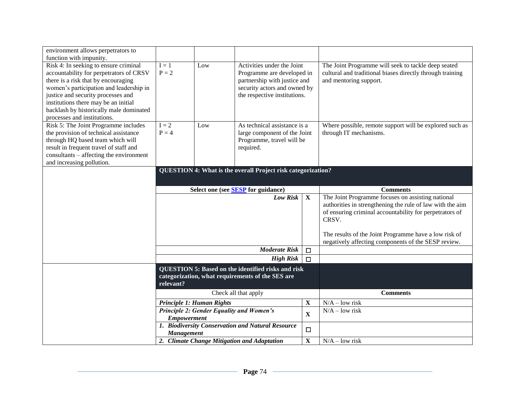| environment allows perpetrators to                                     |                                           |                           |                                                                     |                       |                                                           |
|------------------------------------------------------------------------|-------------------------------------------|---------------------------|---------------------------------------------------------------------|-----------------------|-----------------------------------------------------------|
| function with impunity.                                                |                                           |                           |                                                                     |                       |                                                           |
| Risk 4: In seeking to ensure criminal                                  | $I = 1$                                   | Low                       | Activities under the Joint                                          |                       | The Joint Programme will seek to tackle deep seated       |
| accountability for perpetrators of CRSV                                | $P = 2$                                   |                           | Programme are developed in                                          |                       | cultural and traditional biases directly through training |
| there is a risk that by encouraging                                    |                                           |                           | partnership with justice and                                        |                       | and mentoring support.                                    |
| women's participation and leadership in                                |                                           |                           | security actors and owned by                                        |                       |                                                           |
| justice and security processes and                                     |                                           |                           | the respective institutions.                                        |                       |                                                           |
| institutions there may be an initial                                   |                                           |                           |                                                                     |                       |                                                           |
| backlash by historically male dominated<br>processes and institutions. |                                           |                           |                                                                     |                       |                                                           |
| Risk 5: The Joint Programme includes                                   | $I = 2$                                   | Low                       | As technical assistance is a                                        |                       | Where possible, remote support will be explored such as   |
| the provision of technical assistance                                  | $P = 4$                                   |                           | large component of the Joint                                        |                       | through IT mechanisms.                                    |
| through HQ based team which will                                       |                                           |                           | Programme, travel will be                                           |                       |                                                           |
| result in frequent travel of staff and                                 |                                           |                           | required.                                                           |                       |                                                           |
| consultants – affecting the environment                                |                                           |                           |                                                                     |                       |                                                           |
| and increasing pollution.                                              |                                           |                           |                                                                     |                       |                                                           |
|                                                                        |                                           |                           | <b>QUESTION 4: What is the overall Project risk categorization?</b> |                       |                                                           |
|                                                                        |                                           |                           |                                                                     |                       |                                                           |
|                                                                        |                                           |                           |                                                                     |                       |                                                           |
|                                                                        | Select one (see <b>SESP</b> for guidance) |                           |                                                                     | <b>Comments</b>       |                                                           |
|                                                                        |                                           |                           |                                                                     |                       |                                                           |
|                                                                        |                                           |                           | Low Risk                                                            | $\mathbf X$           | The Joint Programme focuses on assisting national         |
|                                                                        |                                           |                           |                                                                     |                       | authorities in strengthening the rule of law with the aim |
|                                                                        |                                           |                           |                                                                     |                       | of ensuring criminal accountability for perpetrators of   |
|                                                                        |                                           |                           |                                                                     |                       | CRSV.                                                     |
|                                                                        |                                           |                           |                                                                     |                       |                                                           |
|                                                                        |                                           |                           |                                                                     |                       | The results of the Joint Programme have a low risk of     |
|                                                                        |                                           |                           |                                                                     |                       | negatively affecting components of the SESP review.       |
|                                                                        |                                           |                           | <b>Moderate Risk</b>                                                | $\Box$                |                                                           |
|                                                                        |                                           |                           | <b>High Risk</b>                                                    | $\Box$                |                                                           |
|                                                                        |                                           |                           | <b>QUESTION 5: Based on the identified risks and risk</b>           |                       |                                                           |
|                                                                        |                                           |                           | categorization, what requirements of the SES are                    |                       |                                                           |
|                                                                        | relevant?                                 |                           |                                                                     |                       |                                                           |
|                                                                        |                                           |                           | Check all that apply                                                |                       | <b>Comments</b>                                           |
|                                                                        |                                           | Principle 1: Human Rights |                                                                     | $\mathbf X$           | $\overline{N/A}$ – low risk                               |
|                                                                        |                                           |                           | Principle 2: Gender Equality and Women's                            |                       | $N/A - low risk$                                          |
|                                                                        | <b>Empowerment</b>                        |                           |                                                                     | $\mathbf X$           |                                                           |
|                                                                        |                                           |                           | 1. Biodiversity Conservation and Natural Resource                   |                       |                                                           |
|                                                                        | <b>Management</b>                         |                           | 2. Climate Change Mitigation and Adaptation                         | $\Box$<br>$\mathbf X$ | $N/A - low risk$                                          |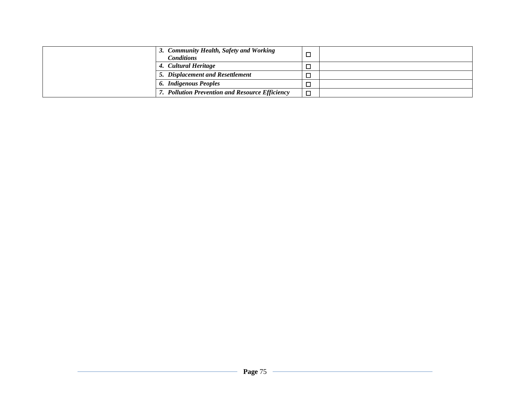| 3. Community Health, Safety and Working<br><b>Conditions</b> | □      |  |
|--------------------------------------------------------------|--------|--|
| 4. Cultural Heritage                                         | □      |  |
| 5. Displacement and Resettlement                             | □      |  |
| 6. Indigenous Peoples                                        |        |  |
| 7. Pollution Prevention and Resource Efficiency              | $\Box$ |  |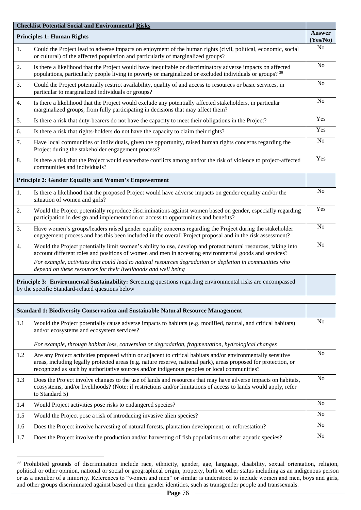| <b>Checklist Potential Social and Environmental Risks</b> |                                                                                                                                                                                                                                                                                                                                 |                |  |  |  |  |
|-----------------------------------------------------------|---------------------------------------------------------------------------------------------------------------------------------------------------------------------------------------------------------------------------------------------------------------------------------------------------------------------------------|----------------|--|--|--|--|
| <b>Principles 1: Human Rights</b>                         |                                                                                                                                                                                                                                                                                                                                 |                |  |  |  |  |
| 1.                                                        | Could the Project lead to adverse impacts on enjoyment of the human rights (civil, political, economic, social<br>or cultural) of the affected population and particularly of marginalized groups?                                                                                                                              | N <sub>o</sub> |  |  |  |  |
| 2.                                                        | Is there a likelihood that the Project would have inequitable or discriminatory adverse impacts on affected<br>populations, particularly people living in poverty or marginalized or excluded individuals or groups? 39                                                                                                         | N <sub>o</sub> |  |  |  |  |
| 3.                                                        | Could the Project potentially restrict availability, quality of and access to resources or basic services, in<br>particular to marginalized individuals or groups?                                                                                                                                                              | N <sub>o</sub> |  |  |  |  |
| 4.                                                        | Is there a likelihood that the Project would exclude any potentially affected stakeholders, in particular<br>marginalized groups, from fully participating in decisions that may affect them?                                                                                                                                   | N <sub>o</sub> |  |  |  |  |
| 5.                                                        | Is there a risk that duty-bearers do not have the capacity to meet their obligations in the Project?                                                                                                                                                                                                                            | Yes            |  |  |  |  |
| 6.                                                        | Is there a risk that rights-holders do not have the capacity to claim their rights?                                                                                                                                                                                                                                             | Yes            |  |  |  |  |
| 7.                                                        | Have local communities or individuals, given the opportunity, raised human rights concerns regarding the<br>Project during the stakeholder engagement process?                                                                                                                                                                  | N <sub>o</sub> |  |  |  |  |
| 8.                                                        | Is there a risk that the Project would exacerbate conflicts among and/or the risk of violence to project-affected<br>communities and individuals?                                                                                                                                                                               | Yes            |  |  |  |  |
|                                                           | <b>Principle 2: Gender Equality and Women's Empowerment</b>                                                                                                                                                                                                                                                                     |                |  |  |  |  |
| 1.                                                        | Is there a likelihood that the proposed Project would have adverse impacts on gender equality and/or the<br>situation of women and girls?                                                                                                                                                                                       | N <sub>o</sub> |  |  |  |  |
| 2.                                                        | Would the Project potentially reproduce discriminations against women based on gender, especially regarding<br>participation in design and implementation or access to opportunities and benefits?                                                                                                                              | Yes            |  |  |  |  |
| 3.                                                        | Have women's groups/leaders raised gender equality concerns regarding the Project during the stakeholder<br>engagement process and has this been included in the overall Project proposal and in the risk assessment?                                                                                                           | N <sub>o</sub> |  |  |  |  |
| 4.                                                        | Would the Project potentially limit women's ability to use, develop and protect natural resources, taking into<br>account different roles and positions of women and men in accessing environmental goods and services?                                                                                                         | N <sub>o</sub> |  |  |  |  |
|                                                           | For example, activities that could lead to natural resources degradation or depletion in communities who<br>depend on these resources for their livelihoods and well being                                                                                                                                                      |                |  |  |  |  |
|                                                           | Principle 3: Environmental Sustainability: Screening questions regarding environmental risks are encompassed<br>by the specific Standard-related questions below                                                                                                                                                                |                |  |  |  |  |
|                                                           |                                                                                                                                                                                                                                                                                                                                 |                |  |  |  |  |
|                                                           | <b>Standard 1: Biodiversity Conservation and Sustainable Natural Resource Management</b>                                                                                                                                                                                                                                        |                |  |  |  |  |
| 1.1                                                       | Would the Project potentially cause adverse impacts to habitats (e.g. modified, natural, and critical habitats)<br>and/or ecosystems and ecosystem services?                                                                                                                                                                    | N <sub>o</sub> |  |  |  |  |
|                                                           | For example, through habitat loss, conversion or degradation, fragmentation, hydrological changes                                                                                                                                                                                                                               |                |  |  |  |  |
| 1.2                                                       | Are any Project activities proposed within or adjacent to critical habitats and/or environmentally sensitive<br>areas, including legally protected areas (e.g. nature reserve, national park), areas proposed for protection, or<br>recognized as such by authoritative sources and/or indigenous peoples or local communities? | N <sub>o</sub> |  |  |  |  |
| 1.3                                                       | Does the Project involve changes to the use of lands and resources that may have adverse impacts on habitats,<br>ecosystems, and/or livelihoods? (Note: if restrictions and/or limitations of access to lands would apply, refer<br>to Standard 5)                                                                              | N <sub>o</sub> |  |  |  |  |
| 1.4                                                       | Would Project activities pose risks to endangered species?                                                                                                                                                                                                                                                                      | N <sub>o</sub> |  |  |  |  |
| 1.5                                                       | Would the Project pose a risk of introducing invasive alien species?                                                                                                                                                                                                                                                            | N <sub>o</sub> |  |  |  |  |
| 1.6                                                       | Does the Project involve harvesting of natural forests, plantation development, or reforestation?                                                                                                                                                                                                                               | N <sub>o</sub> |  |  |  |  |
| 1.7                                                       | Does the Project involve the production and/or harvesting of fish populations or other aquatic species?                                                                                                                                                                                                                         | N <sub>o</sub> |  |  |  |  |

<sup>&</sup>lt;sup>39</sup> Prohibited grounds of discrimination include race, ethnicity, gender, age, language, disability, sexual orientation, religion, political or other opinion, national or social or geographical origin, property, birth or other status including as an indigenous person or as a member of a minority. References to "women and men" or similar is understood to include women and men, boys and girls, and other groups discriminated against based on their gender identities, such as transgender people and transsexuals.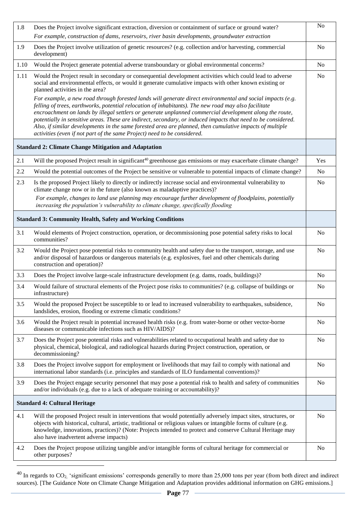| 1.8  | Does the Project involve significant extraction, diversion or containment of surface or ground water?                                                                                                                                                                                                                                                                                                                                                                                                                                                                                                                                  | N <sub>o</sub> |
|------|----------------------------------------------------------------------------------------------------------------------------------------------------------------------------------------------------------------------------------------------------------------------------------------------------------------------------------------------------------------------------------------------------------------------------------------------------------------------------------------------------------------------------------------------------------------------------------------------------------------------------------------|----------------|
|      | For example, construction of dams, reservoirs, river basin developments, groundwater extraction                                                                                                                                                                                                                                                                                                                                                                                                                                                                                                                                        |                |
| 1.9  | Does the Project involve utilization of genetic resources? (e.g. collection and/or harvesting, commercial<br>development)                                                                                                                                                                                                                                                                                                                                                                                                                                                                                                              | N <sub>o</sub> |
| 1.10 | Would the Project generate potential adverse transboundary or global environmental concerns?                                                                                                                                                                                                                                                                                                                                                                                                                                                                                                                                           | No             |
| 1.11 | Would the Project result in secondary or consequential development activities which could lead to adverse<br>social and environmental effects, or would it generate cumulative impacts with other known existing or<br>planned activities in the area?                                                                                                                                                                                                                                                                                                                                                                                 | No             |
|      | For example, a new road through forested lands will generate direct environmental and social impacts (e.g.<br>felling of trees, earthworks, potential relocation of inhabitants). The new road may also facilitate<br>encroachment on lands by illegal settlers or generate unplanned commercial development along the route,<br>potentially in sensitive areas. These are indirect, secondary, or induced impacts that need to be considered.<br>Also, if similar developments in the same forested area are planned, then cumulative impacts of multiple<br>activities (even if not part of the same Project) need to be considered. |                |
|      | <b>Standard 2: Climate Change Mitigation and Adaptation</b>                                                                                                                                                                                                                                                                                                                                                                                                                                                                                                                                                                            |                |
| 2.1  | Will the proposed Project result in significant <sup>40</sup> greenhouse gas emissions or may exacerbate climate change?                                                                                                                                                                                                                                                                                                                                                                                                                                                                                                               | Yes            |
| 2.2  | Would the potential outcomes of the Project be sensitive or vulnerable to potential impacts of climate change?                                                                                                                                                                                                                                                                                                                                                                                                                                                                                                                         | N <sub>o</sub> |
| 2.3  | Is the proposed Project likely to directly or indirectly increase social and environmental vulnerability to<br>climate change now or in the future (also known as maladaptive practices)?                                                                                                                                                                                                                                                                                                                                                                                                                                              | No             |
|      | For example, changes to land use planning may encourage further development of floodplains, potentially<br>increasing the population's vulnerability to climate change, specifically flooding                                                                                                                                                                                                                                                                                                                                                                                                                                          |                |
|      | <b>Standard 3: Community Health, Safety and Working Conditions</b>                                                                                                                                                                                                                                                                                                                                                                                                                                                                                                                                                                     |                |
| 3.1  | Would elements of Project construction, operation, or decommissioning pose potential safety risks to local<br>communities?                                                                                                                                                                                                                                                                                                                                                                                                                                                                                                             | No             |
| 3.2  | Would the Project pose potential risks to community health and safety due to the transport, storage, and use<br>and/or disposal of hazardous or dangerous materials (e.g. explosives, fuel and other chemicals during<br>construction and operation)?                                                                                                                                                                                                                                                                                                                                                                                  | No             |
| 3.3  | Does the Project involve large-scale infrastructure development (e.g. dams, roads, buildings)?                                                                                                                                                                                                                                                                                                                                                                                                                                                                                                                                         | No             |
| 3.4  | Would failure of structural elements of the Project pose risks to communities? (e.g. collapse of buildings or<br>infrastructure)                                                                                                                                                                                                                                                                                                                                                                                                                                                                                                       | N <sub>o</sub> |
| 3.5  | Would the proposed Project be susceptible to or lead to increased vulnerability to earthquakes, subsidence,<br>landslides, erosion, flooding or extreme climatic conditions?                                                                                                                                                                                                                                                                                                                                                                                                                                                           | N <sub>o</sub> |
| 3.6  | Would the Project result in potential increased health risks (e.g. from water-borne or other vector-borne<br>diseases or communicable infections such as HIV/AIDS)?                                                                                                                                                                                                                                                                                                                                                                                                                                                                    | No             |
| 3.7  | Does the Project pose potential risks and vulnerabilities related to occupational health and safety due to<br>physical, chemical, biological, and radiological hazards during Project construction, operation, or<br>decommissioning?                                                                                                                                                                                                                                                                                                                                                                                                  | No             |
| 3.8  | Does the Project involve support for employment or livelihoods that may fail to comply with national and<br>international labor standards (i.e. principles and standards of ILO fundamental conventions)?                                                                                                                                                                                                                                                                                                                                                                                                                              | N <sub>o</sub> |
| 3.9  | Does the Project engage security personnel that may pose a potential risk to health and safety of communities<br>and/or individuals (e.g. due to a lack of adequate training or accountability)?                                                                                                                                                                                                                                                                                                                                                                                                                                       | No             |
|      | <b>Standard 4: Cultural Heritage</b>                                                                                                                                                                                                                                                                                                                                                                                                                                                                                                                                                                                                   |                |
| 4.1  | Will the proposed Project result in interventions that would potentially adversely impact sites, structures, or<br>objects with historical, cultural, artistic, traditional or religious values or intangible forms of culture (e.g.<br>knowledge, innovations, practices)? (Note: Projects intended to protect and conserve Cultural Heritage may<br>also have inadvertent adverse impacts)                                                                                                                                                                                                                                           | N <sub>o</sub> |
| 4.2  | Does the Project propose utilizing tangible and/or intangible forms of cultural heritage for commercial or<br>other purposes?                                                                                                                                                                                                                                                                                                                                                                                                                                                                                                          | N <sub>o</sub> |

 $^{40}$  In regards to CO<sub>2</sub>, 'significant emissions' corresponds generally to more than 25,000 tons per year (from both direct and indirect sources). [The Guidance Note on Climate Change Mitigation and Adaptation provides additional information on GHG emissions.]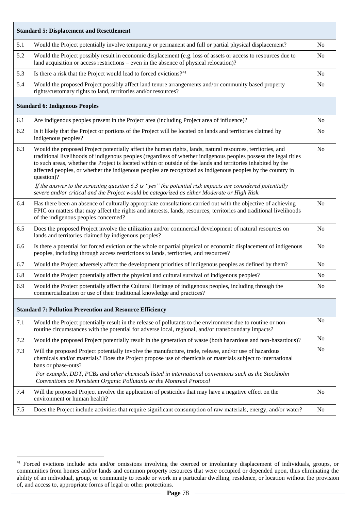|       | <b>Standard 5: Displacement and Resettlement</b>                                                                                                                                                                                                                                                                                                                                                                                                                                                                                                                                            |                |
|-------|---------------------------------------------------------------------------------------------------------------------------------------------------------------------------------------------------------------------------------------------------------------------------------------------------------------------------------------------------------------------------------------------------------------------------------------------------------------------------------------------------------------------------------------------------------------------------------------------|----------------|
| 5.1   | Would the Project potentially involve temporary or permanent and full or partial physical displacement?                                                                                                                                                                                                                                                                                                                                                                                                                                                                                     | N <sub>o</sub> |
| 5.2   | Would the Project possibly result in economic displacement (e.g. loss of assets or access to resources due to<br>land acquisition or access restrictions – even in the absence of physical relocation)?                                                                                                                                                                                                                                                                                                                                                                                     | N <sub>0</sub> |
| 5.3   | Is there a risk that the Project would lead to forced evictions? <sup>41</sup>                                                                                                                                                                                                                                                                                                                                                                                                                                                                                                              | N <sub>0</sub> |
| 5.4   | Would the proposed Project possibly affect land tenure arrangements and/or community based property<br>rights/customary rights to land, territories and/or resources?                                                                                                                                                                                                                                                                                                                                                                                                                       | N <sub>o</sub> |
|       | <b>Standard 6: Indigenous Peoples</b>                                                                                                                                                                                                                                                                                                                                                                                                                                                                                                                                                       |                |
| 6.1   | Are indigenous peoples present in the Project area (including Project area of influence)?                                                                                                                                                                                                                                                                                                                                                                                                                                                                                                   | N <sub>o</sub> |
| 6.2   | Is it likely that the Project or portions of the Project will be located on lands and territories claimed by<br>indigenous peoples?                                                                                                                                                                                                                                                                                                                                                                                                                                                         | N <sub>0</sub> |
| 6.3   | Would the proposed Project potentially affect the human rights, lands, natural resources, territories, and<br>traditional livelihoods of indigenous peoples (regardless of whether indigenous peoples possess the legal titles<br>to such areas, whether the Project is located within or outside of the lands and territories inhabited by the<br>affected peoples, or whether the indigenous peoples are recognized as indigenous peoples by the country in<br>question)?<br>If the answer to the screening question $6.3$ is "yes" the potential risk impacts are considered potentially | N <sub>o</sub> |
|       | severe and/or critical and the Project would be categorized as either Moderate or High Risk.                                                                                                                                                                                                                                                                                                                                                                                                                                                                                                |                |
| 6.4   | Has there been an absence of culturally appropriate consultations carried out with the objective of achieving<br>FPIC on matters that may affect the rights and interests, lands, resources, territories and traditional livelihoods<br>of the indigenous peoples concerned?                                                                                                                                                                                                                                                                                                                | N <sub>o</sub> |
| 6.5   | Does the proposed Project involve the utilization and/or commercial development of natural resources on<br>lands and territories claimed by indigenous peoples?                                                                                                                                                                                                                                                                                                                                                                                                                             | N <sub>o</sub> |
| 6.6   | Is there a potential for forced eviction or the whole or partial physical or economic displacement of indigenous<br>peoples, including through access restrictions to lands, territories, and resources?                                                                                                                                                                                                                                                                                                                                                                                    | N <sub>o</sub> |
| 6.7   | Would the Project adversely affect the development priorities of indigenous peoples as defined by them?                                                                                                                                                                                                                                                                                                                                                                                                                                                                                     | N <sub>o</sub> |
| 6.8   | Would the Project potentially affect the physical and cultural survival of indigenous peoples?                                                                                                                                                                                                                                                                                                                                                                                                                                                                                              | N <sub>0</sub> |
| 6.9   | Would the Project potentially affect the Cultural Heritage of indigenous peoples, including through the<br>commercialization or use of their traditional knowledge and practices?                                                                                                                                                                                                                                                                                                                                                                                                           | N <sub>0</sub> |
|       | <b>Standard 7: Pollution Prevention and Resource Efficiency</b>                                                                                                                                                                                                                                                                                                                                                                                                                                                                                                                             |                |
| 7.1   | Would the Project potentially result in the release of pollutants to the environment due to routine or non-<br>routine circumstances with the potential for adverse local, regional, and/or transboundary impacts?                                                                                                                                                                                                                                                                                                                                                                          | N <sub>o</sub> |
| 7.2   | Would the proposed Project potentially result in the generation of waste (both hazardous and non-hazardous)?                                                                                                                                                                                                                                                                                                                                                                                                                                                                                | N <sub>o</sub> |
| 7.3   | Will the proposed Project potentially involve the manufacture, trade, release, and/or use of hazardous<br>chemicals and/or materials? Does the Project propose use of chemicals or materials subject to international<br>bans or phase-outs?                                                                                                                                                                                                                                                                                                                                                | N <sub>o</sub> |
|       | For example, DDT, PCBs and other chemicals listed in international conventions such as the Stockholm<br>Conventions on Persistent Organic Pollutants or the Montreal Protocol                                                                                                                                                                                                                                                                                                                                                                                                               |                |
| 7.4   | Will the proposed Project involve the application of pesticides that may have a negative effect on the<br>environment or human health?                                                                                                                                                                                                                                                                                                                                                                                                                                                      | N <sub>o</sub> |
| $7.5$ | Does the Project include activities that require significant consumption of raw materials, energy, and/or water?                                                                                                                                                                                                                                                                                                                                                                                                                                                                            | No             |

 $41$  Forced evictions include acts and/or omissions involving the coerced or involuntary displacement of individuals, groups, or communities from homes and/or lands and common property resources that were occupied or depended upon, thus eliminating the ability of an individual, group, or community to reside or work in a particular dwelling, residence, or location without the provision of, and access to, appropriate forms of legal or other protections.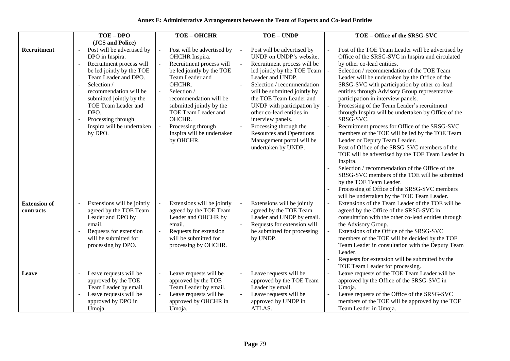# **Annex E: Administrative Arrangements between the Team of Experts and Co-lead Entities**

|                                  | TOE-DPO                                                                                                                                                                                                                                                                                                                                                                     | <b>TOE-OHCHR</b>                                                                                                                                                                                                                                                                                          | TOE - UNDP                                                                                                                                                                                                                                                                                                                                                                                                                        | TOE - Office of the SRSG-SVC                                                                                                                                                                                                                                                                                                                                                                                                                                                                                                                                                                                                                                                                                                                                                                                                                                                                                                                                                      |
|----------------------------------|-----------------------------------------------------------------------------------------------------------------------------------------------------------------------------------------------------------------------------------------------------------------------------------------------------------------------------------------------------------------------------|-----------------------------------------------------------------------------------------------------------------------------------------------------------------------------------------------------------------------------------------------------------------------------------------------------------|-----------------------------------------------------------------------------------------------------------------------------------------------------------------------------------------------------------------------------------------------------------------------------------------------------------------------------------------------------------------------------------------------------------------------------------|-----------------------------------------------------------------------------------------------------------------------------------------------------------------------------------------------------------------------------------------------------------------------------------------------------------------------------------------------------------------------------------------------------------------------------------------------------------------------------------------------------------------------------------------------------------------------------------------------------------------------------------------------------------------------------------------------------------------------------------------------------------------------------------------------------------------------------------------------------------------------------------------------------------------------------------------------------------------------------------|
|                                  | (JCS and Police)                                                                                                                                                                                                                                                                                                                                                            |                                                                                                                                                                                                                                                                                                           |                                                                                                                                                                                                                                                                                                                                                                                                                                   |                                                                                                                                                                                                                                                                                                                                                                                                                                                                                                                                                                                                                                                                                                                                                                                                                                                                                                                                                                                   |
| Recruitment                      | Post will be advertised by<br>$\blacksquare$<br>DPO in Inspira.<br>Recruitment process will<br>$\sim$<br>be led jointly by the TOE<br>Team Leader and DPO.<br>Selection /<br>$\overline{a}$<br>recommendation will be<br>submitted jointly by the<br>TOE Team Leader and<br>DPO.<br>Processing through<br>$\overline{\phantom{a}}$<br>Inspira will be undertaken<br>by DPO. | Post will be advertised by<br>OHCHR Inspira.<br>Recruitment process will<br>be led jointly by the TOE<br>Team Leader and<br>OHCHR.<br>Selection /<br>recommendation will be<br>submitted jointly by the<br>TOE Team Leader and<br>OHCHR.<br>Processing through<br>Inspira will be undertaken<br>by OHCHR. | Post will be advertised by<br>UNDP on UNDP's website.<br>Recruitment process will be<br>led jointly by the TOE Team<br>Leader and UNDP.<br>Selection / recommendation<br>will be submitted jointly by<br>the TOE Team Leader and<br>UNDP with participation by<br>other co-lead entities in<br>interview panels.<br>Processing through the<br><b>Resources and Operations</b><br>Management portal will be<br>undertaken by UNDP. | Post of the TOE Team Leader will be advertised by<br>Office of the SRSG-SVC in Inspira and circulated<br>by other co-lead entities.<br>Selection / recommendation of the TOE Team<br>Leader will be undertaken by the Office of the<br>SRSG-SVC with participation by other co-lead<br>entities through Advisory Group representative<br>participation in interview panels.<br>Processing of the Team Leader's recruitment<br>through Inspira will be undertaken by Office of the<br>SRSG-SVC.<br>Recruitment process for Office of the SRSG-SVC<br>members of the TOE will be led by the TOE Team<br>Leader or Deputy Team Leader.<br>Post of Office of the SRSG-SVC members of the<br>TOE will be advertised by the TOE Team Leader in<br>Inspira.<br>Selection / recommendation of the Office of the<br>SRSG-SVC members of the TOE will be submitted<br>by the TOE Team Leader.<br>Processing of Office of the SRSG-SVC members<br>will be undertaken by the TOE Team Leader. |
| <b>Extension of</b><br>contracts | Extensions will be jointly<br>$\overline{a}$<br>agreed by the TOE Team<br>Leader and DPO by<br>email.<br>Requests for extension<br>$\blacksquare$<br>will be submitted for<br>processing by DPO.                                                                                                                                                                            | Extensions will be jointly<br>agreed by the TOE Team<br>Leader and OHCHR by<br>email.<br>Requests for extension<br>will be submitted for<br>processing by OHCHR.                                                                                                                                          | Extensions will be jointly<br>agreed by the TOE Team<br>Leader and UNDP by email.<br>Requests for extension will<br>be submitted for processing<br>by UNDP.                                                                                                                                                                                                                                                                       | Extensions of the Team Leader of the TOE will be<br>agreed by the Office of the SRSG-SVC in<br>consultation with the other co-lead entities through<br>the Advisory Group.<br>Extensions of the Office of the SRSG-SVC<br>members of the TOE will be decided by the TOE<br>Team Leader in consultation with the Deputy Team<br>Leader.<br>Requests for extension will be submitted by the<br>TOE Team Leader for processing.                                                                                                                                                                                                                                                                                                                                                                                                                                                                                                                                                      |
| Leave                            | Leave requests will be<br>$\sim$<br>approved by the TOE<br>Team Leader by email.<br>Leave requests will be<br>approved by DPO in<br>Umoja.                                                                                                                                                                                                                                  | Leave requests will be<br>approved by the TOE<br>Team Leader by email.<br>Leave requests will be<br>approved by OHCHR in<br>Umoja.                                                                                                                                                                        | Leave requests will be<br>approved by the TOE Team<br>Leader by email.<br>Leave requests will be<br>approved by UNDP in<br>ATLAS.                                                                                                                                                                                                                                                                                                 | Leave requests of the TOE Team Leader will be<br>approved by the Office of the SRSG-SVC in<br>Umoja.<br>Leave requests of the Office of the SRSG-SVC<br>members of the TOE will be approved by the TOE<br>Team Leader in Umoja.                                                                                                                                                                                                                                                                                                                                                                                                                                                                                                                                                                                                                                                                                                                                                   |

<u> 1989 - Johann Barn, mars ann an t-Amhain Aonaich an t-Aonaich an t-Aonaich an t-Aonaich an t-Aonaich an t-Aon</u>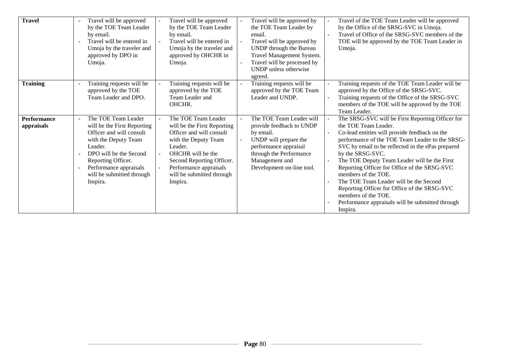| <b>Travel</b>                    | $\overline{\phantom{a}}$<br>by email.<br>$\sim$<br>Umoja. | Travel will be approved<br>by the TOE Team Leader<br>Travel will be entered in<br>Umoja by the traveler and<br>approved by DPO in                                                                             | Travel will be approved<br>by the TOE Team Leader<br>by email.<br>Travel will be entered in<br>Umoja by the traveler and<br>approved by OHCHR in<br>Umoja.                                                                             | Travel will be approved by<br>the TOE Team Leader by<br>email.<br>Travel will be approved by<br>UNDP through the Bureau<br>Travel Management System.<br>Travel will be processed by<br><b>UNDP</b> unless otherwise<br>agreed. | Travel of the TOE Team Leader will be approved<br>by the Office of the SRSG-SVC in Umoja.<br>Travel of Office of the SRSG-SVC members of the<br>TOE will be approved by the TOE Team Leader in<br>Umoja.                                                                                                                                                                                                                                                                                                                                                      |
|----------------------------------|-----------------------------------------------------------|---------------------------------------------------------------------------------------------------------------------------------------------------------------------------------------------------------------|----------------------------------------------------------------------------------------------------------------------------------------------------------------------------------------------------------------------------------------|--------------------------------------------------------------------------------------------------------------------------------------------------------------------------------------------------------------------------------|---------------------------------------------------------------------------------------------------------------------------------------------------------------------------------------------------------------------------------------------------------------------------------------------------------------------------------------------------------------------------------------------------------------------------------------------------------------------------------------------------------------------------------------------------------------|
| <b>Training</b>                  | $\blacksquare$                                            | Training requests will be<br>approved by the TOE<br>Team Leader and DPO.                                                                                                                                      | Training requests will be<br>approved by the TOE<br>Team Leader and<br>OHCHR.                                                                                                                                                          | Training requests will be<br>approved by the TOE Team<br>Leader and UNDP.                                                                                                                                                      | Training requests of the TOE Team Leader will be<br>approved by the Office of the SRSG-SVC.<br>Training requests of the Office of the SRSG-SVC<br>members of the TOE will be approved by the TOE<br>Team Leader.                                                                                                                                                                                                                                                                                                                                              |
| <b>Performance</b><br>appraisals | Leader.<br>$\blacksquare$<br>Inspira.                     | The TOE Team Leader<br>will be the First Reporting<br>Officer and will consult<br>with the Deputy Team<br>DPO will be the Second<br>Reporting Officer.<br>Performance appraisals<br>will be submitted through | The TOE Team Leader<br>will be the First Reporting<br>Officer and will consult<br>with the Deputy Team<br>Leader.<br>OHCHR will be the<br>Second Reporting Officer.<br>Performance appraisals<br>will be submitted through<br>Inspira. | The TOE Team Leader will<br>provide feedback to UNDP<br>by email.<br>UNDP will prepare the<br>performance appraisal<br>through the Performance<br>Management and<br>Development on-line tool.                                  | The SRSG-SVC will be First Reporting Officer for<br>the TOE Team Leader.<br>Co-lead entities will provide feedback on the<br>performance of the TOE Team Leader to the SRSG-<br>SVC by email to be reflected in the ePas prepared<br>by the SRSG-SVC.<br>The TOE Deputy Team Leader will be the First<br>Reporting Officer for Office of the SRSG-SVC<br>members of the TOE.<br>The TOE Team Leader will be the Second<br>Reporting Officer for Office of the SRSG-SVC<br>members of the TOE.<br>Performance appraisals will be submitted through<br>Inspira. |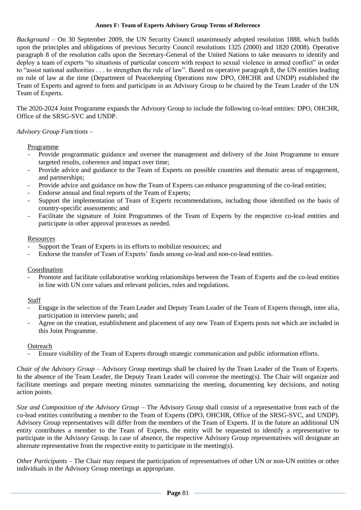#### **Annex F: Team of Experts Advisory Group Terms of Reference**

*Background* – On 30 September 2009, the UN Security Council unanimously adopted resolution 1888, which builds upon the principles and obligations of previous Security Council resolutions 1325 (2000) and 1820 (2008). Operative paragraph 8 of the resolution calls upon the Secretary-General of the United Nations to take measures to identify and deploy a team of experts "to situations of particular concern with respect to sexual violence in armed conflict" in order to "assist national authorities . . . to strengthen the rule of law". Based on operative paragraph 8, the UN entities leading on rule of law at the time (Department of Peacekeeping Operations now DPO, OHCHR and UNDP) established the Team of Experts and agreed to form and participate in an Advisory Group to be chaired by the Team Leader of the UN Team of Experts.

The 2020-2024 Joint Programme expands the Advisory Group to include the following co-lead entities: DPO, OHCHR, Office of the SRSG-SVC and UNDP.

## *Advisory Group Functions* –

Programme

- Provide programmatic guidance and oversee the management and delivery of the Joint Programme to ensure targeted results, coherence and impact over time;
- Provide advice and guidance to the Team of Experts on possible countries and thematic areas of engagement, and partnerships;
- Provide advice and guidance on how the Team of Experts can enhance programming of the co-lead entities;
- Endorse annual and final reports of the Team of Experts;
- Support the implementation of Team of Experts recommendations, including those identified on the basis of country-specific assessments; and
- Facilitate the signature of Joint Programmes of the Team of Experts by the respective co-lead entities and participate in other approval processes as needed.

### Resources

- Support the Team of Experts in its efforts to mobilize resources; and
- Endorse the transfer of Team of Experts' funds among co-lead and non-co-lead entities.

### Coordination

- Promote and facilitate collaborative working relationships between the Team of Experts and the co-lead entities in line with UN core values and relevant policies, rules and regulations.

### **Staff**

- Engage in the selection of the Team Leader and Deputy Team Leader of the Team of Experts through, inter alia, participation in interview panels; and
- Agree on the creation, establishment and placement of any new Team of Experts posts not which are included in this Joint Programme.

### **Outreach**

Ensure visibility of the Team of Experts through strategic communication and public information efforts.

*Chair of the Advisory Group* – Advisory Group meetings shall be chaired by the Team Leader of the Team of Experts. In the absence of the Team Leader, the Deputy Team Leader will convene the meeting(s). The Chair will organize and facilitate meetings and prepare meeting minutes summarizing the meeting, documenting key decisions, and noting action points.

*Size and Composition of the Advisory Group* – The Advisory Group shall consist of a representative from each of the co-lead entities contributing a member to the Team of Experts (DPO, OHCHR, Office of the SRSG-SVC, and UNDP). Advisory Group representatives will differ from the members of the Team of Experts. If in the future an additional UN entity contributes a member to the Team of Experts, the entity will be requested to identify a representative to participate in the Advisory Group. In case of absence, the respective Advisory Group representatives will designate an alternate representative from the respective entity to participate in the meeting(s).

*Other Participants* – The Chair may request the participation of representatives of other UN or non-UN entities or other individuals in the Advisory Group meetings as appropriate.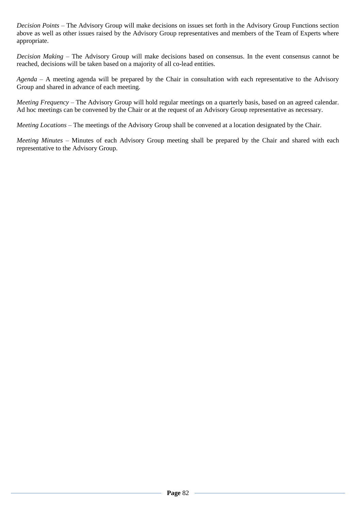*Decision Points* – The Advisory Group will make decisions on issues set forth in the Advisory Group Functions section above as well as other issues raised by the Advisory Group representatives and members of the Team of Experts where appropriate.

*Decision Making* – The Advisory Group will make decisions based on consensus. In the event consensus cannot be reached, decisions will be taken based on a majority of all co-lead entities.

*Agenda* – A meeting agenda will be prepared by the Chair in consultation with each representative to the Advisory Group and shared in advance of each meeting.

*Meeting Frequency* – The Advisory Group will hold regular meetings on a quarterly basis, based on an agreed calendar. Ad hoc meetings can be convened by the Chair or at the request of an Advisory Group representative as necessary.

*Meeting Locations* – The meetings of the Advisory Group shall be convened at a location designated by the Chair.

*Meeting Minutes* – Minutes of each Advisory Group meeting shall be prepared by the Chair and shared with each representative to the Advisory Group.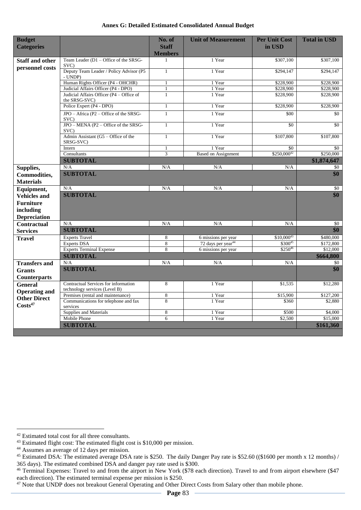| <b>Budget</b><br><b>Categories</b>        |                                                           | No. of<br><b>Staff</b><br><b>Members</b> | <b>Unit of Measurement</b>     | <b>Per Unit Cost</b><br>in USD | <b>Total in USD</b> |
|-------------------------------------------|-----------------------------------------------------------|------------------------------------------|--------------------------------|--------------------------------|---------------------|
| <b>Staff and other</b><br>personnel costs | Team Leader (D1 - Office of the SRSG-<br>SVC)             | $\mathbf{1}$                             | 1 Year                         | \$307,100                      | \$307,100           |
|                                           | Deputy Team Leader / Policy Advisor (P5<br>- UNDP)        | $\mathbf{1}$                             | 1 Year                         | \$294,147                      | \$294,147           |
|                                           | Human Rights Officer (P4 - OHCHR)                         | $\mathbf{1}$                             | 1 Year                         | \$228,900                      | \$228,900           |
|                                           | Judicial Affairs Officer (P4 - DPO)                       | $\mathbf{1}$                             | 1 Year                         | \$228,900                      | \$228,900           |
|                                           | Judicial Affairs Officer (P4 - Office of<br>the SRSG-SVC) | $\mathbf{1}$                             | 1 Year                         | \$228,900                      | \$228,900           |
|                                           | Police Expert (P4 - DPO)                                  | $\mathbf{1}$                             | 1 Year                         | \$228,900                      | \$228,900           |
|                                           | $JPO - Africa (P2 - Office of the SRSG -$<br>SVC)         | $\mathbf{1}$                             | 1 Year                         | \$00                           | \$0                 |
|                                           | JPO - MENA (P2 - Office of the SRSG-<br>SVC)              | $\mathbf{1}$                             | 1 Year                         | \$0                            | $\overline{50}$     |
|                                           | Admin Assistant $(G5 - Office of the)$<br>SRSG-SVC)       | $\mathbf{1}$                             | 1 Year                         | \$107,800                      | \$107,800           |
|                                           | Intern                                                    | $\mathbf{1}$                             | 1 Year                         | \$0                            | \$0                 |
|                                           | Consultants                                               | $\overline{3}$                           | <b>Based on Assignment</b>     | \$250,00042                    | \$250,000           |
|                                           | <b>SUBTOTAL</b>                                           |                                          |                                |                                | \$1,874,647         |
| Supplies,                                 | N/A                                                       | N/A                                      | N/A                            | N/A                            | \$0                 |
| Commodities,<br><b>Materials</b>          | <b>SUBTOTAL</b>                                           |                                          |                                |                                | \$0                 |
| Equipment,                                | N/A                                                       | N/A                                      | N/A                            | N/A                            | $\sqrt{6}$          |
| <b>Vehicles and</b>                       | <b>SUBTOTAL</b>                                           |                                          |                                |                                | \$0                 |
| <b>Furniture</b>                          |                                                           |                                          |                                |                                |                     |
| including                                 |                                                           |                                          |                                |                                |                     |
| <b>Depreciation</b>                       |                                                           |                                          |                                |                                |                     |
| <b>Contractual</b>                        | N/A                                                       | N/A                                      | N/A                            | N/A                            | \$0                 |
| <b>Services</b>                           | <b>SUBTOTAL</b>                                           |                                          |                                |                                | \$0                 |
|                                           | <b>Experts Travel</b>                                     | 8                                        | 6 missions per year            | $$10,000^{43}$                 | \$480,000           |
| <b>Travel</b>                             | <b>Experts DSA</b>                                        | 8                                        | 72 days per year <sup>44</sup> | \$30045                        | \$172,800           |
|                                           | <b>Experts Terminal Expense</b>                           | 8                                        | 6 missions per year            | $$250^{46}$                    | \$12,000            |
|                                           | <b>SUBTOTAL</b>                                           |                                          |                                |                                | \$664,800           |
| <b>Transfers and</b>                      | N/A                                                       | N/A                                      | N/A                            | N/A                            | \$0                 |
| <b>Grants</b>                             | <b>SUBTOTAL</b>                                           |                                          |                                |                                | $\overline{\$0}$    |
| <b>Counterparts</b>                       |                                                           |                                          |                                |                                |                     |
|                                           | Contractual Services for information                      | 8                                        | 1 Year                         | \$1,535                        | \$12,280            |
| <b>General</b>                            | technology services (Level B)                             |                                          |                                |                                |                     |
| <b>Operating and</b>                      | Premises (rental and maintenance)                         | 8                                        | 1 Year                         | \$15,900                       | \$127,200           |
| <b>Other Direct</b>                       | Communications for telephone and fax                      | 8                                        | 1 Year                         | \$360                          | \$2,880             |
| Costs <sup>47</sup>                       | services                                                  |                                          |                                |                                |                     |
|                                           | Supplies and Materials                                    | 8                                        | 1 Year                         | \$500                          | \$4,000             |
|                                           | Mobile Phone                                              | $\overline{6}$                           | 1 Year                         | \$2,500                        | \$15,000            |
|                                           | <b>SUBTOTAL</b>                                           |                                          |                                |                                | \$161,360           |

#### **Annex G: Detailed Estimated Consolidated Annual Budget**

<sup>42</sup> Estimated total cost for all three consultants.

<sup>43</sup> Estimated flight cost: The estimated flight cost is \$10,000 per mission.

<sup>44</sup> Assumes an average of 12 days per mission.

<sup>&</sup>lt;sup>45</sup> Estimated DSA: The estimated average DSA rate is \$250. The daily Danger Pay rate is \$52.60 ((\$1600 per month x 12 months) / 365 days). The estimated combined DSA and danger pay rate used is \$300.

<sup>&</sup>lt;sup>46</sup> Terminal Expenses: Travel to and from the airport in New York (\$78 each direction). Travel to and from airport elsewhere (\$47 each direction). The estimated terminal expense per mission is \$250.

<sup>&</sup>lt;sup>47</sup> Note that UNDP does not breakout General Operating and Other Direct Costs from Salary other than mobile phone.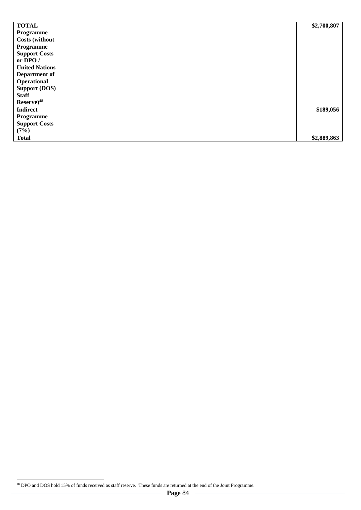| <b>TOTAL</b>          | \$2,700,807 |
|-----------------------|-------------|
| Programme             |             |
| <b>Costs (without</b> |             |
| Programme             |             |
| <b>Support Costs</b>  |             |
| or DPO /              |             |
| <b>United Nations</b> |             |
| Department of         |             |
| Operational           |             |
| <b>Support (DOS)</b>  |             |
| <b>Staff</b>          |             |
| $Reserve)^{48}$       |             |
| <b>Indirect</b>       | \$189,056   |
| Programme             |             |
| <b>Support Costs</b>  |             |
| (7%)                  |             |
| <b>Total</b>          | \$2,889,863 |

 $\overline{a}$ <sup>48</sup> DPO and DOS hold 15% of funds received as staff reserve. These funds are returned at the end of the Joint Programme.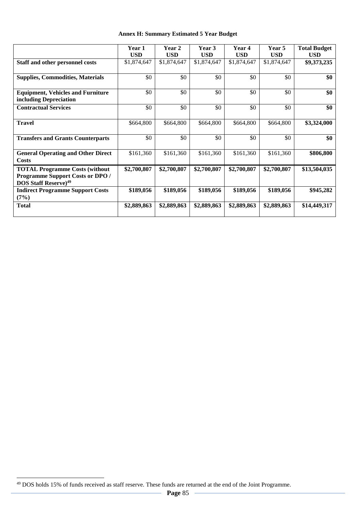|  |  | <b>Annex H: Summary Estimated 5 Year Budget</b> |  |  |
|--|--|-------------------------------------------------|--|--|
|--|--|-------------------------------------------------|--|--|

|                                                                                                                             | Year 1      | Year 2      | Year 3      | Year 4      | Year 5      | <b>Total Budget</b> |
|-----------------------------------------------------------------------------------------------------------------------------|-------------|-------------|-------------|-------------|-------------|---------------------|
|                                                                                                                             | <b>USD</b>  | <b>USD</b>  | <b>USD</b>  | <b>USD</b>  | <b>USD</b>  | <b>USD</b>          |
| Staff and other personnel costs                                                                                             | \$1,874,647 | \$1,874,647 | \$1,874,647 | \$1,874,647 | \$1,874,647 | \$9,373,235         |
| <b>Supplies, Commodities, Materials</b>                                                                                     | \$0         | \$0         | \$0         | \$0         | \$0         | \$0                 |
| <b>Equipment, Vehicles and Furniture</b><br>including Depreciation                                                          | \$0         | \$0         | \$0         | \$0         | \$0         | \$0                 |
| <b>Contractual Services</b>                                                                                                 | \$0         | \$0         | \$0         | \$0         | \$0         | \$0                 |
| <b>Travel</b>                                                                                                               | \$664,800   | \$664,800   | \$664,800   | \$664,800   | \$664,800   | \$3,324,000         |
| <b>Transfers and Grants Counterparts</b>                                                                                    | \$0         | \$0         | \$0         | \$0         | \$0         | \$0                 |
| <b>General Operating and Other Direct</b><br>Costs                                                                          | \$161,360   | \$161,360   | \$161,360   | \$161,360   | \$161,360   | \$806,800           |
| <b>TOTAL Programme Costs (without</b><br><b>Programme Support Costs or DPO /</b><br><b>DOS Staff Reserve)</b> <sup>49</sup> | \$2,700,807 | \$2,700,807 | \$2,700,807 | \$2,700,807 | \$2,700,807 | \$13,504,035        |
| <b>Indirect Programme Support Costs</b><br>(7%)                                                                             | \$189,056   | \$189,056   | \$189,056   | \$189,056   | \$189,056   | \$945,282           |
| <b>Total</b>                                                                                                                | \$2,889,863 | \$2,889,863 | \$2,889,863 | \$2,889,863 | \$2,889,863 | \$14,449,317        |

<sup>&</sup>lt;sup>49</sup> DOS holds 15% of funds received as staff reserve. These funds are returned at the end of the Joint Programme.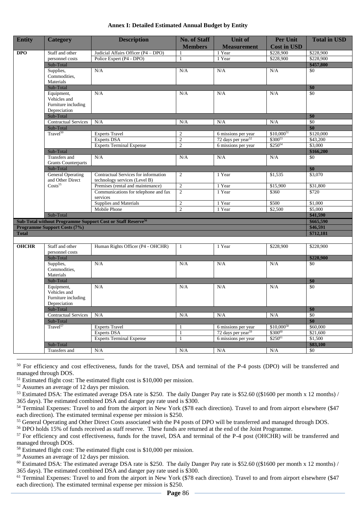| Annex I: Detailed Estimated Annual Budget by Entity |  |  |  |
|-----------------------------------------------------|--|--|--|
|-----------------------------------------------------|--|--|--|

| <b>Entity</b> | <b>Category</b>                              | <b>Description</b>                                                      | <b>No. of Staff</b><br><b>Members</b> | <b>Unit of</b><br><b>Measurement</b> | <b>Per Unit</b><br><b>Cost in USD</b> | <b>Total in USD</b>   |
|---------------|----------------------------------------------|-------------------------------------------------------------------------|---------------------------------------|--------------------------------------|---------------------------------------|-----------------------|
| <b>DPO</b>    | Staff and other                              | Judicial Affairs Officer (P4 - DPO)                                     | 1                                     | 1 Year                               | \$228,900                             | \$228,900             |
|               | personnel costs                              | Police Expert (P4 - DPO)                                                | $\mathbf{1}$                          | 1 Year                               | \$228,900                             | \$228,900             |
|               | Sub-Total                                    |                                                                         |                                       |                                      |                                       | \$457,800             |
|               | Supplies,                                    | N/A                                                                     | N/A                                   | N/A                                  | N/A                                   | \$0                   |
|               | Commodities,                                 |                                                                         |                                       |                                      |                                       |                       |
|               | Materials                                    |                                                                         |                                       |                                      |                                       |                       |
|               | Sub-Total                                    |                                                                         |                                       |                                      |                                       | \$0                   |
|               | Equipment,                                   | N/A                                                                     | N/A                                   | N/A                                  | N/A                                   | \$0                   |
|               | Vehicles and                                 |                                                                         |                                       |                                      |                                       |                       |
|               | Furniture including                          |                                                                         |                                       |                                      |                                       |                       |
|               | Depreciation                                 |                                                                         |                                       |                                      |                                       |                       |
|               | Sub-Total                                    |                                                                         |                                       |                                      |                                       | \$0                   |
|               | <b>Contractual Services</b>                  | N/A                                                                     | N/A                                   | N/A                                  | $\rm N/A$                             | \$0                   |
|               | Sub-Total                                    |                                                                         |                                       |                                      |                                       | \$0                   |
|               | Travel <sup>50</sup>                         | <b>Experts Travel</b>                                                   | $\overline{c}$                        | 6 missions per year                  | $$10,000^{51}$                        | \$120,000             |
|               |                                              | <b>Experts DSA</b>                                                      | $\overline{2}$                        | 72 days per year <sup>52</sup>       | $$300^{53}$                           | \$43,200              |
|               |                                              | <b>Experts Terminal Expense</b>                                         | $\overline{c}$                        | 6 missions per year                  | \$25054                               | \$3,000               |
|               | Sub-Total                                    |                                                                         |                                       |                                      |                                       | \$166,200             |
|               | Transfers and                                | N/A                                                                     | N/A                                   | N/A                                  | N/A                                   | \$0                   |
|               | <b>Grants Counterparts</b>                   |                                                                         |                                       |                                      |                                       |                       |
|               | Sub-Total                                    |                                                                         |                                       |                                      |                                       | \$0                   |
|               | <b>General Operating</b><br>and Other Direct | Contractual Services for information<br>technology services (Level B)   | $\overline{2}$                        | 1 Year                               | \$1,535                               | \$3,070               |
|               | Costs <sup>55</sup>                          | Premises (rental and maintenance)                                       | $\overline{2}$                        | 1 Year                               | \$15,900                              | \$31,800              |
|               |                                              | Communications for telephone and fax                                    | $\overline{c}$                        | 1 Year                               | \$360                                 | \$720                 |
|               |                                              | services                                                                |                                       |                                      |                                       |                       |
|               |                                              | Supplies and Materials                                                  | $\overline{c}$                        | 1 Year                               | \$500                                 | \$1,000               |
|               |                                              | Mobile Phone                                                            | $\overline{2}$                        | 1 Year                               | \$2,500                               | \$5,000               |
|               | Sub-Total                                    |                                                                         |                                       |                                      |                                       | \$41,590              |
|               |                                              | Sub-Total without Programme Support Cost or Staff Reserve <sup>56</sup> |                                       |                                      |                                       | \$665,590             |
|               | <b>Programme Support Costs (7%)</b>          |                                                                         |                                       |                                      |                                       | \$46,591<br>\$712,181 |
| <b>Total</b>  |                                              |                                                                         |                                       |                                      |                                       |                       |
|               |                                              |                                                                         |                                       |                                      |                                       |                       |
| <b>OHCHR</b>  | Staff and other                              | Human Rights Officer (P4 - OHCHR)                                       | $\mathbf{1}$                          | 1 Year                               | \$228,900                             | \$228,900             |
|               | personnel costs                              |                                                                         |                                       |                                      |                                       |                       |
|               | Sub-Total                                    |                                                                         |                                       |                                      |                                       | \$228,900             |
|               | Supplies,                                    | N/A                                                                     | N/A                                   | N/A                                  | N/A                                   | \$0                   |
|               | Commodities.                                 |                                                                         |                                       |                                      |                                       |                       |
|               | Materials                                    |                                                                         |                                       |                                      |                                       |                       |
|               | Sub-Total                                    |                                                                         |                                       |                                      |                                       | \$0                   |
|               | Equipment,                                   | N/A                                                                     | N/A                                   | N/A                                  | N/A                                   | \$0                   |
|               | Vehicles and                                 |                                                                         |                                       |                                      |                                       |                       |
|               | Furniture including                          |                                                                         |                                       |                                      |                                       |                       |
|               | Depreciation                                 |                                                                         |                                       |                                      |                                       |                       |
|               | Sub-Total                                    |                                                                         |                                       |                                      |                                       | \$0                   |
|               | Contractual Services                         | N/A                                                                     | $\rm N/A$                             | $\rm N/A$                            | $\rm N/A$                             | \$0                   |
|               | Sub-Total                                    |                                                                         |                                       |                                      |                                       | \$0                   |
|               | Travel <sup>57</sup>                         | <b>Experts Travel</b>                                                   | $\mathbf{1}$                          | 6 missions per year                  | $$10,000^{58}$                        | \$60,000              |
|               |                                              | <b>Experts DSA</b>                                                      | $\mathbf{1}$                          | 72 days per year <sup>59</sup>       | \$30060                               | \$21,600              |
|               |                                              | <b>Experts Terminal Expense</b>                                         | $\mathbf{1}$                          | 6 missions per year                  | $$250^{61}$                           | \$1,500               |
|               | Sub-Total                                    |                                                                         |                                       |                                      |                                       | \$83,100              |
|               | Transfers and                                | N/A                                                                     | N/A                                   | N/A                                  | N/A                                   | \$0                   |

<sup>50</sup> For efficiency and cost effectiveness, funds for the travel, DSA and terminal of the P-4 posts (DPO) will be transferred and managed through DOS.

 $51$  Estimated flight cost: The estimated flight cost is \$10,000 per mission.

<sup>52</sup> Assumes an average of 12 days per mission.

 $\overline{a}$ 

<sup>53</sup> Estimated DSA: The estimated average DSA rate is \$250. The daily Danger Pay rate is \$52.60 ((\$1600 per month x 12 months) / 365 days). The estimated combined DSA and danger pay rate used is \$300.

<sup>54</sup> Terminal Expenses: Travel to and from the airport in New York (\$78 each direction). Travel to and from airport elsewhere (\$47) each direction). The estimated terminal expense per mission is \$250.

<sup>55</sup> General Operating and Other Direct Costs associated with the P4 posts of DPO will be transferred and managed through DOS.

<sup>56</sup> DPO holds 15% of funds received as staff reserve. These funds are returned at the end of the Joint Programme.

<sup>57</sup> For efficiency and cost effectiveness, funds for the travel, DSA and terminal of the P-4 post (OHCHR) will be transferred and managed through DOS.

<sup>58</sup> Estimated flight cost: The estimated flight cost is \$10,000 per mission.

<sup>59</sup> Assumes an average of 12 days per mission.

<sup>60</sup> Estimated DSA: The estimated average DSA rate is \$250. The daily Danger Pay rate is \$52.60 ((\$1600 per month x 12 months) / 365 days). The estimated combined DSA and danger pay rate used is \$300.

<sup>61</sup> Terminal Expenses: Travel to and from the airport in New York (\$78 each direction). Travel to and from airport elsewhere (\$47 each direction). The estimated terminal expense per mission is \$250.

**Page** 86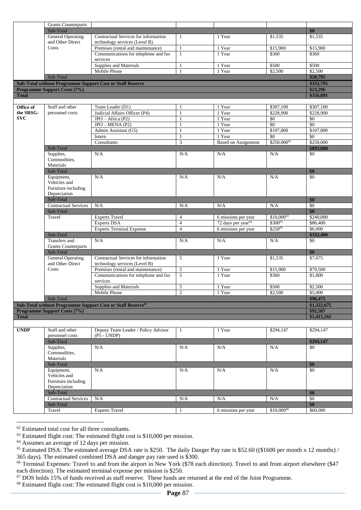|              | <b>Grants Counterparts</b>                   |                                                                           |                     |                                |                   |                     |
|--------------|----------------------------------------------|---------------------------------------------------------------------------|---------------------|--------------------------------|-------------------|---------------------|
|              | Sub-Total                                    |                                                                           |                     |                                |                   | \$0                 |
|              | <b>General Operating</b><br>and Other Direct | Contractual Services for information<br>technology services (Level B)     | 1                   | 1 Year                         | \$1,535           | \$1,535             |
|              | Costs                                        | Premises (rental and maintenance)                                         | $\mathbf{1}$        | 1 Year                         | \$15,900          | \$15,900            |
|              |                                              | Communications for telephone and fax<br>services                          | 1                   | 1 Year                         | \$360             | \$360               |
|              |                                              | Supplies and Materials                                                    | $\mathbf{1}$        | 1 Year                         | \$500             | \$500               |
|              |                                              | Mobile Phone                                                              | $\mathbf{1}$        | 1 Year                         | \$2,500           | \$2,500             |
|              | Sub-Total                                    |                                                                           |                     |                                |                   | \$20,795            |
|              |                                              | <b>Sub-Total without Programme Support Cost or Staff Reserve</b>          |                     |                                |                   | \$332,795           |
|              | <b>Programme Support Costs (7%)</b>          |                                                                           |                     |                                |                   | \$23,296            |
| <b>Total</b> |                                              |                                                                           |                     |                                |                   | \$356,091           |
|              |                                              |                                                                           |                     |                                |                   |                     |
| Office of    | Staff and other                              | Team Leader (D1)                                                          | 1                   | 1 Year                         | \$307,100         | \$307,100           |
| the SRSG-    | personnel costs                              | Judicial Affairs Officer (P4)                                             | $\mathbf{1}$        | 1 Year                         | \$228,900         | \$228,900           |
| SVC          |                                              | JPO - Africa (P2)                                                         | $\mathbf{1}$        | 1 Year                         | \$0               | \$0                 |
|              |                                              | $JPO-MENA(P2)$                                                            | $\mathbf{1}$        | 1 Year                         | \$0               | \$0                 |
|              |                                              | Admin Assistant (G5)                                                      | 1                   | 1 Year                         | \$107,800         | \$107,800           |
|              |                                              | Intern                                                                    | 1                   | 1 Year                         | $\overline{50}$   | \$0                 |
|              |                                              | Consultants                                                               | $\mathfrak{Z}$      | <b>Based on Assignment</b>     | \$250,00062       | \$250,000           |
|              | Sub-Total                                    |                                                                           |                     |                                |                   | \$893,800           |
|              | Supplies,                                    | N/A                                                                       | N/A                 | N/A                            | N/A               | \$0                 |
|              | Commodities,                                 |                                                                           |                     |                                |                   |                     |
|              | Materials                                    |                                                                           |                     |                                |                   |                     |
|              | Sub-Total                                    |                                                                           |                     |                                |                   | \$0                 |
|              | Equipment,                                   | N/A                                                                       | N/A                 | N/A                            | N/A               | \$0                 |
|              | Vehicles and                                 |                                                                           |                     |                                |                   |                     |
|              | Furniture including                          |                                                                           |                     |                                |                   |                     |
|              | Depreciation                                 |                                                                           |                     |                                |                   |                     |
|              | Sub-Total                                    |                                                                           |                     |                                |                   | \$0                 |
|              | <b>Contractual Services</b>                  | N/A                                                                       | N/A                 | N/A                            | N/A               | \$0                 |
|              | Sub-Total                                    |                                                                           |                     |                                |                   | \$0                 |
|              | Travel                                       | <b>Experts Travel</b>                                                     | $\overline{4}$      | 6 missions per year            | \$10,00063        | \$240,000           |
|              |                                              | <b>Experts DSA</b>                                                        | $\overline{4}$      | 72 days per year <sup>64</sup> | \$30065           | \$86,400            |
|              |                                              | <b>Experts Terminal Expense</b>                                           | $\overline{4}$      | 6 missions per year            | \$25066           | \$6,000             |
|              | Sub-Total                                    |                                                                           |                     |                                |                   | \$332,400           |
|              |                                              |                                                                           | N/A                 | N/A                            | N/A               | \$0                 |
|              | Transfers and                                | N/A                                                                       |                     |                                |                   |                     |
|              | <b>Grants Counterparts</b>                   |                                                                           |                     |                                |                   |                     |
|              | Sub-Total                                    |                                                                           |                     |                                |                   | \$0                 |
|              | <b>General Operating</b><br>and Other Direct | Contractual Services for information                                      | 5                   | 1 Year                         | \$1,535           | \$7,675             |
|              | Costs                                        | technology services (Level B)                                             |                     | 1 Year                         |                   |                     |
|              |                                              | Premises (rental and maintenance)<br>Communications for telephone and fax | $\overline{5}$<br>5 | 1 Year                         | \$15,900<br>\$360 | \$79,500<br>\$1,800 |
|              |                                              | services                                                                  |                     |                                |                   |                     |
|              |                                              | Supplies and Materials                                                    | 5                   | 1 Year                         | \$500             | \$2,500             |
|              |                                              | Mobile Phone                                                              | $\overline{2}$      | 1 Year                         | \$2,500           | \$5,000             |
|              | Sub-Total                                    |                                                                           |                     |                                |                   | \$96,475            |
|              |                                              | Sub-Total without Programme Support Cost or Staff Reserve <sup>67</sup>   |                     |                                |                   | \$1,322,675         |
|              | <b>Programme Support Costs (7%)</b>          |                                                                           |                     |                                |                   | \$92,587            |
| <b>Total</b> |                                              |                                                                           |                     |                                |                   | \$1,415,262         |
|              |                                              |                                                                           |                     |                                |                   |                     |
| <b>UNDP</b>  | Staff and other                              | Deputy Team Leader / Policy Advisor                                       | $\mathbf{1}$        | 1 Year                         | \$294,147         | \$294,147           |
|              | personnel costs                              | $(P5 - UNDP)$                                                             |                     |                                |                   |                     |
|              | Sub-Total                                    |                                                                           |                     |                                |                   | \$294,147           |
|              | Supplies,                                    | N/A                                                                       | N/A                 | N/A                            | N/A               | \$0                 |
|              | Commodities,                                 |                                                                           |                     |                                |                   |                     |
|              | Materials                                    |                                                                           |                     |                                |                   |                     |
|              | Sub-Total                                    |                                                                           |                     |                                |                   | \$0                 |
|              | Equipment,                                   | N/A                                                                       | N/A                 | N/A                            | N/A               | \$0                 |
|              | Vehicles and                                 |                                                                           |                     |                                |                   |                     |
|              | Furniture including                          |                                                                           |                     |                                |                   |                     |
|              | Depreciation<br>Sub-Total                    |                                                                           |                     |                                |                   | \$0                 |
|              |                                              | N/A                                                                       | $\rm N/A$           | N/A                            | $\rm N/A$         | \$0                 |
|              | <b>Contractual Services</b><br>Sub-Total     |                                                                           |                     |                                |                   | \$0                 |
|              | Travel                                       | <b>Experts Travel</b>                                                     | $\mathbf{1}$        | 6 missions per year            | $$10,000^{68}$    | \$60,000            |

<sup>62</sup> Estimated total cost for all three consultants.

 $\overline{a}$ 

<sup>64</sup> Assumes an average of 12 days per mission.

 $63$  Estimated flight cost: The estimated flight cost is \$10,000 per mission.

 $65$  Estimated DSA: The estimated average DSA rate is \$250. The daily Danger Pay rate is \$52.60 ((\$1600 per month x 12 months) / 365 days). The estimated combined DSA and danger pay rate used is \$300.

<sup>&</sup>lt;sup>66</sup> Terminal Expenses: Travel to and from the airport in New York (\$78 each direction). Travel to and from airport elsewhere (\$47 each direction). The estimated terminal expense per mission is \$250.

<sup>&</sup>lt;sup>67</sup> DOS holds 15% of funds received as staff reserve. These funds are returned at the end of the Joint Programme.

<sup>68</sup> Estimated flight cost: The estimated flight cost is \$10,000 per mission.